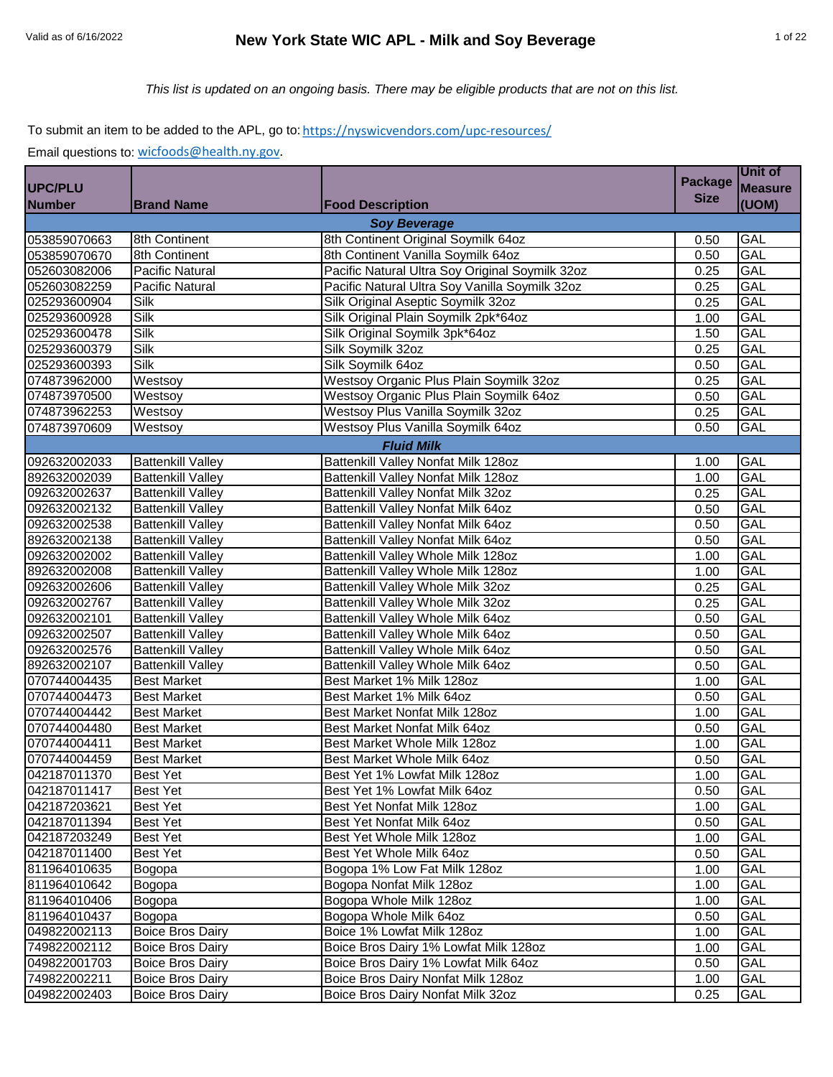# Valid as of 6/16/2022 **New York State WIC APL - Milk and Soy Beverage** 1 of 22

# *This list is updated on an ongoing basis. There may be eligible products that are not on this list.*

#### To submit an item to be added to the APL, go to: https://nyswicvendors.com/upc-resources/

|                |                          |                                                 | <b>Package</b> | Unit of        |
|----------------|--------------------------|-------------------------------------------------|----------------|----------------|
| <b>UPC/PLU</b> |                          |                                                 | <b>Size</b>    | <b>Measure</b> |
| <b>Number</b>  | <b>Brand Name</b>        | <b>Food Description</b>                         |                | (UOM)          |
|                |                          | <b>Soy Beverage</b>                             |                |                |
| 053859070663   | 8th Continent            | 8th Continent Original Soymilk 64oz             | 0.50           | GAL            |
| 053859070670   | 8th Continent            | 8th Continent Vanilla Soymilk 64oz              | 0.50           | <b>GAL</b>     |
| 052603082006   | <b>Pacific Natural</b>   | Pacific Natural Ultra Soy Original Soymilk 32oz | 0.25           | GAL            |
| 052603082259   | <b>Pacific Natural</b>   | Pacific Natural Ultra Soy Vanilla Soymilk 32oz  | 0.25           | <b>GAL</b>     |
| 025293600904   | Silk                     | Silk Original Aseptic Soymilk 32oz              | 0.25           | <b>GAL</b>     |
| 025293600928   | Silk                     | Silk Original Plain Soymilk 2pk*64oz            | 1.00           | <b>GAL</b>     |
| 025293600478   | <b>Silk</b>              | Silk Original Soymilk 3pk*64oz                  | 1.50           | GAL            |
| 025293600379   | <b>Silk</b>              | Silk Soymilk 32oz                               | 0.25           | <b>GAL</b>     |
| 025293600393   | <b>Silk</b>              | Silk Soymilk 64oz                               | 0.50           | <b>GAL</b>     |
| 074873962000   | Westsoy                  | Westsoy Organic Plus Plain Soymilk 32oz         | 0.25           | <b>GAL</b>     |
| 074873970500   | Westsoy                  | Westsoy Organic Plus Plain Soymilk 64oz         | 0.50           | <b>GAL</b>     |
| 074873962253   | Westsoy                  | Westsoy Plus Vanilla Soymilk 32oz               | 0.25           | <b>GAL</b>     |
| 074873970609   | Westsoy                  | <b>Westsoy Plus Vanilla Soymilk 64oz</b>        | 0.50           | GAL            |
|                |                          | <b>Fluid Milk</b>                               |                |                |
| 092632002033   | <b>Battenkill Valley</b> | Battenkill Valley Nonfat Milk 128oz             | 1.00           | <b>GAL</b>     |
| 892632002039   | <b>Battenkill Valley</b> | Battenkill Valley Nonfat Milk 128oz             | 1.00           | GAL            |
| 092632002637   | <b>Battenkill Valley</b> | Battenkill Valley Nonfat Milk 32oz              | 0.25           | <b>GAL</b>     |
| 092632002132   | <b>Battenkill Valley</b> | Battenkill Valley Nonfat Milk 64oz              | 0.50           | <b>GAL</b>     |
| 092632002538   | <b>Battenkill Valley</b> | Battenkill Valley Nonfat Milk 64oz              | 0.50           | GAL            |
| 892632002138   | <b>Battenkill Valley</b> | Battenkill Valley Nonfat Milk 64oz              | 0.50           | GAL            |
| 092632002002   | <b>Battenkill Valley</b> | Battenkill Valley Whole Milk 128oz              | 1.00           | <b>GAL</b>     |
| 892632002008   | <b>Battenkill Valley</b> | Battenkill Valley Whole Milk 128oz              | 1.00           | <b>GAL</b>     |
| 092632002606   | <b>Battenkill Valley</b> | Battenkill Valley Whole Milk 32oz               | 0.25           | <b>GAL</b>     |
| 092632002767   | <b>Battenkill Valley</b> | Battenkill Valley Whole Milk 32oz               | 0.25           | GAL            |
| 092632002101   | <b>Battenkill Valley</b> | Battenkill Valley Whole Milk 64oz               | 0.50           | <b>GAL</b>     |
| 092632002507   | <b>Battenkill Valley</b> | Battenkill Valley Whole Milk 64oz               | 0.50           | <b>GAL</b>     |
| 092632002576   | <b>Battenkill Valley</b> | Battenkill Valley Whole Milk 64oz               | 0.50           | <b>GAL</b>     |
| 892632002107   | <b>Battenkill Valley</b> | Battenkill Valley Whole Milk 64oz               | 0.50           | <b>GAL</b>     |
| 070744004435   | <b>Best Market</b>       | Best Market 1% Milk 128oz                       | 1.00           | <b>GAL</b>     |
| 070744004473   | <b>Best Market</b>       | Best Market 1% Milk 64oz                        | 0.50           | <b>GAL</b>     |
| 070744004442   | <b>Best Market</b>       | Best Market Nonfat Milk 128oz                   | 1.00           | GAL            |
| 070744004480   | <b>Best Market</b>       | Best Market Nonfat Milk 64oz                    | 0.50           | <b>GAL</b>     |
| 070744004411   | <b>Best Market</b>       | Best Market Whole Milk 128oz                    | 1.00           | GAL            |
| 070744004459   | <b>Best Market</b>       | Best Market Whole Milk 64oz                     | 0.50           | <b>GAL</b>     |
| 042187011370   | <b>Best Yet</b>          | Best Yet 1% Lowfat Milk 128oz                   | 1.00           | <b>GAL</b>     |
| 042187011417   | <b>Best Yet</b>          | Best Yet 1% Lowfat Milk 64oz                    | 0.50           | <b>GAL</b>     |
| 042187203621   | <b>Best Yet</b>          | Best Yet Nonfat Milk 128oz                      | 1.00           | GAL            |
| 042187011394   | <b>Best Yet</b>          | Best Yet Nonfat Milk 64oz                       | 0.50           | GAL            |
| 042187203249   | <b>Best Yet</b>          | Best Yet Whole Milk 128oz                       | 1.00           | GAL            |
| 042187011400   | <b>Best Yet</b>          | Best Yet Whole Milk 64oz                        | 0.50           | GAL            |
| 811964010635   | Bogopa                   | Bogopa 1% Low Fat Milk 128oz                    | 1.00           | GAL            |
| 811964010642   | Bogopa                   | Bogopa Nonfat Milk 128oz                        | 1.00           | GAL            |
| 811964010406   | Bogopa                   | Bogopa Whole Milk 128oz                         | 1.00           | GAL            |
| 811964010437   | Bogopa                   | Bogopa Whole Milk 64oz                          | 0.50           | GAL            |
| 049822002113   | <b>Boice Bros Dairy</b>  | Boice 1% Lowfat Milk 128oz                      | 1.00           | GAL            |
| 749822002112   | <b>Boice Bros Dairy</b>  | Boice Bros Dairy 1% Lowfat Milk 128oz           | 1.00           | GAL            |
| 049822001703   | <b>Boice Bros Dairy</b>  | Boice Bros Dairy 1% Lowfat Milk 64oz            | 0.50           | GAL            |
| 749822002211   | <b>Boice Bros Dairy</b>  | Boice Bros Dairy Nonfat Milk 128oz              | 1.00           | GAL            |
| 049822002403   | <b>Boice Bros Dairy</b>  | Boice Bros Dairy Nonfat Milk 32oz               | 0.25           | GAL            |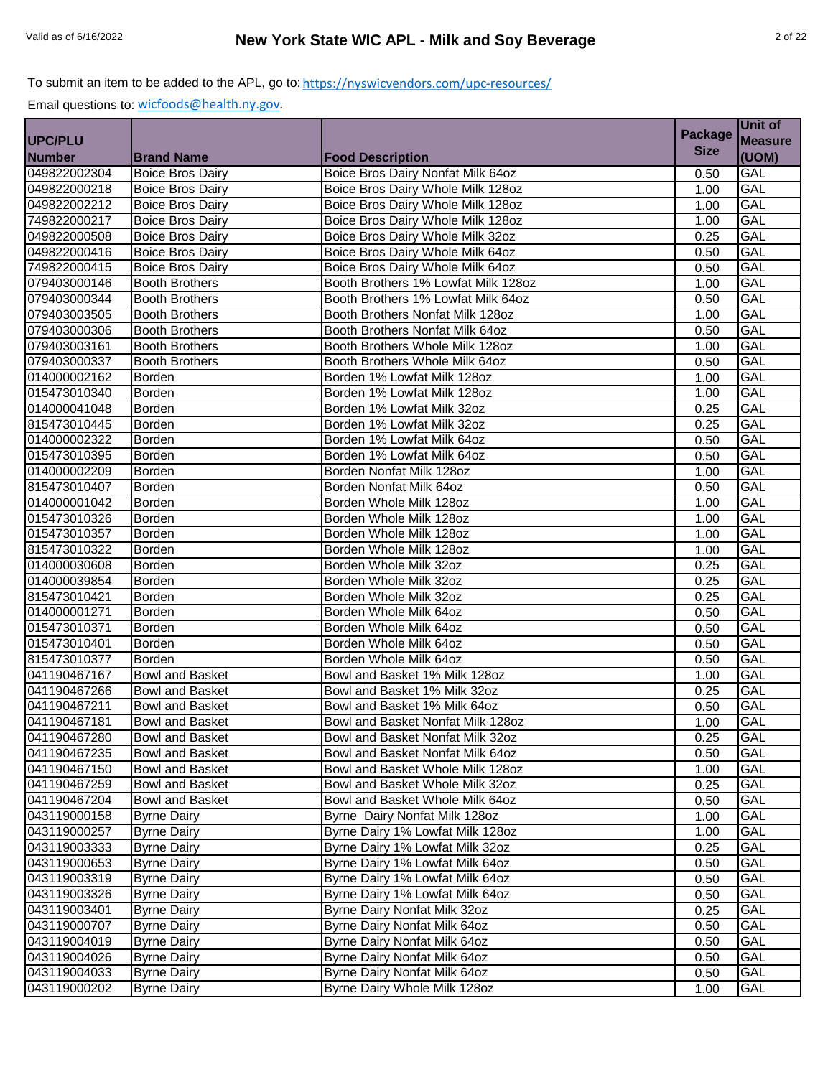|                |                         |                                     |                | Unit of        |
|----------------|-------------------------|-------------------------------------|----------------|----------------|
| <b>UPC/PLU</b> |                         |                                     | <b>Package</b> | <b>Measure</b> |
| <b>Number</b>  | <b>Brand Name</b>       | <b>Food Description</b>             | <b>Size</b>    | (UOM)          |
| 049822002304   | <b>Boice Bros Dairy</b> | Boice Bros Dairy Nonfat Milk 64oz   | 0.50           | GAL            |
| 049822000218   | <b>Boice Bros Dairy</b> | Boice Bros Dairy Whole Milk 128oz   | 1.00           | <b>GAL</b>     |
| 049822002212   | <b>Boice Bros Dairy</b> | Boice Bros Dairy Whole Milk 128oz   | 1.00           | GAL            |
| 749822000217   | <b>Boice Bros Dairy</b> | Boice Bros Dairy Whole Milk 128oz   | 1.00           | GAL            |
| 049822000508   | <b>Boice Bros Dairy</b> | Boice Bros Dairy Whole Milk 32oz    | 0.25           | <b>GAL</b>     |
| 049822000416   | <b>Boice Bros Dairy</b> | Boice Bros Dairy Whole Milk 64oz    | 0.50           | <b>GAL</b>     |
| 749822000415   | <b>Boice Bros Dairy</b> | Boice Bros Dairy Whole Milk 64oz    | 0.50           | <b>GAL</b>     |
| 079403000146   | <b>Booth Brothers</b>   | Booth Brothers 1% Lowfat Milk 128oz | 1.00           | <b>GAL</b>     |
| 079403000344   | <b>Booth Brothers</b>   | Booth Brothers 1% Lowfat Milk 64oz  | 0.50           | <b>GAL</b>     |
| 079403003505   | <b>Booth Brothers</b>   | Booth Brothers Nonfat Milk 128oz    | 1.00           | GAL            |
| 079403000306   | <b>Booth Brothers</b>   | Booth Brothers Nonfat Milk 64oz     | 0.50           | GAL            |
| 079403003161   | <b>Booth Brothers</b>   | Booth Brothers Whole Milk 128oz     | 1.00           | <b>GAL</b>     |
| 079403000337   | <b>Booth Brothers</b>   | Booth Brothers Whole Milk 64oz      | 0.50           | <b>GAL</b>     |
| 014000002162   | Borden                  | Borden 1% Lowfat Milk 128oz         | 1.00           | GAL            |
| 015473010340   | Borden                  | Borden 1% Lowfat Milk 128oz         | 1.00           | <b>GAL</b>     |
| 014000041048   | Borden                  | Borden 1% Lowfat Milk 32oz          | 0.25           | <b>GAL</b>     |
| 815473010445   | Borden                  | Borden 1% Lowfat Milk 32oz          | 0.25           | <b>GAL</b>     |
| 014000002322   | Borden                  | Borden 1% Lowfat Milk 64oz          | 0.50           | <b>GAL</b>     |
| 015473010395   | Borden                  | Borden 1% Lowfat Milk 64oz          | 0.50           | <b>GAL</b>     |
| 014000002209   | Borden                  | Borden Nonfat Milk 128oz            | 1.00           | <b>GAL</b>     |
| 815473010407   | Borden                  | Borden Nonfat Milk 64oz             | 0.50           | GAL            |
| 014000001042   | Borden                  | Borden Whole Milk 128oz             | 1.00           | <b>GAL</b>     |
| 015473010326   | Borden                  | Borden Whole Milk 128oz             | 1.00           | GAL            |
| 015473010357   | Borden                  | Borden Whole Milk 128oz             | 1.00           | <b>GAL</b>     |
| 815473010322   | Borden                  | Borden Whole Milk 128oz             | 1.00           | GAL            |
| 014000030608   | Borden                  | Borden Whole Milk 32oz              | 0.25           | GAL            |
| 014000039854   | Borden                  | Borden Whole Milk 32oz              | 0.25           | <b>GAL</b>     |
| 815473010421   | Borden                  | Borden Whole Milk 32oz              | 0.25           | <b>GAL</b>     |
| 014000001271   | Borden                  | Borden Whole Milk 64oz              | 0.50           | GAL            |
| 015473010371   | <b>Borden</b>           | Borden Whole Milk 64oz              | 0.50           | GAL            |
| 015473010401   | <b>Borden</b>           | Borden Whole Milk 64oz              | 0.50           | <b>GAL</b>     |
| 815473010377   | <b>Borden</b>           | Borden Whole Milk 64oz              | 0.50           | GAL            |
| 041190467167   | <b>Bowl and Basket</b>  | Bowl and Basket 1% Milk 128oz       | 1.00           | GAL            |
| 041190467266   | <b>Bowl and Basket</b>  | Bowl and Basket 1% Milk 32oz        | 0.25           | <b>GAL</b>     |
| 041190467211   | <b>Bowl and Basket</b>  | Bowl and Basket 1% Milk 64oz        | 0.50           | <b>GAL</b>     |
| 041190467181   | <b>Bowl and Basket</b>  | Bowl and Basket Nonfat Milk 128oz   | 1.00           | <b>GAL</b>     |
| 041190467280   | Bowl and Basket         | Bowl and Basket Nonfat Milk 32oz    | 0.25           | GAL            |
| 041190467235   | <b>Bowl and Basket</b>  | Bowl and Basket Nonfat Milk 64oz    | 0.50           | GAL            |
| 041190467150   | <b>Bowl and Basket</b>  | Bowl and Basket Whole Milk 128oz    | 1.00           | GAL            |
| 041190467259   | <b>Bowl and Basket</b>  | Bowl and Basket Whole Milk 32oz     | 0.25           | GAL            |
| 041190467204   | Bowl and Basket         | Bowl and Basket Whole Milk 64oz     | 0.50           | GAL            |
| 043119000158   | <b>Byrne Dairy</b>      | Byrne Dairy Nonfat Milk 128oz       | 1.00           | GAL            |
| 043119000257   | <b>Byrne Dairy</b>      | Byrne Dairy 1% Lowfat Milk 128oz    | 1.00           | GAL            |
| 043119003333   | <b>Byrne Dairy</b>      | Byrne Dairy 1% Lowfat Milk 32oz     | 0.25           | GAL            |
| 043119000653   | <b>Byrne Dairy</b>      | Byrne Dairy 1% Lowfat Milk 64oz     | 0.50           | GAL            |
| 043119003319   | <b>Byrne Dairy</b>      | Byrne Dairy 1% Lowfat Milk 64oz     | 0.50           | GAL            |
| 043119003326   | <b>Byrne Dairy</b>      | Byrne Dairy 1% Lowfat Milk 64oz     | 0.50           | GAL            |
| 043119003401   | <b>Byrne Dairy</b>      | Byrne Dairy Nonfat Milk 32oz        | 0.25           | GAL            |
| 043119000707   | <b>Byrne Dairy</b>      | Byrne Dairy Nonfat Milk 64oz        | 0.50           | GAL            |
| 043119004019   | <b>Byrne Dairy</b>      | Byrne Dairy Nonfat Milk 64oz        | 0.50           | GAL            |
| 043119004026   | <b>Byrne Dairy</b>      | Byrne Dairy Nonfat Milk 64oz        | 0.50           | GAL            |
| 043119004033   | <b>Byrne Dairy</b>      | Byrne Dairy Nonfat Milk 64oz        | 0.50           | GAL            |
| 043119000202   | <b>Byrne Dairy</b>      | Byrne Dairy Whole Milk 128oz        | 1.00           | GAL            |
|                |                         |                                     |                |                |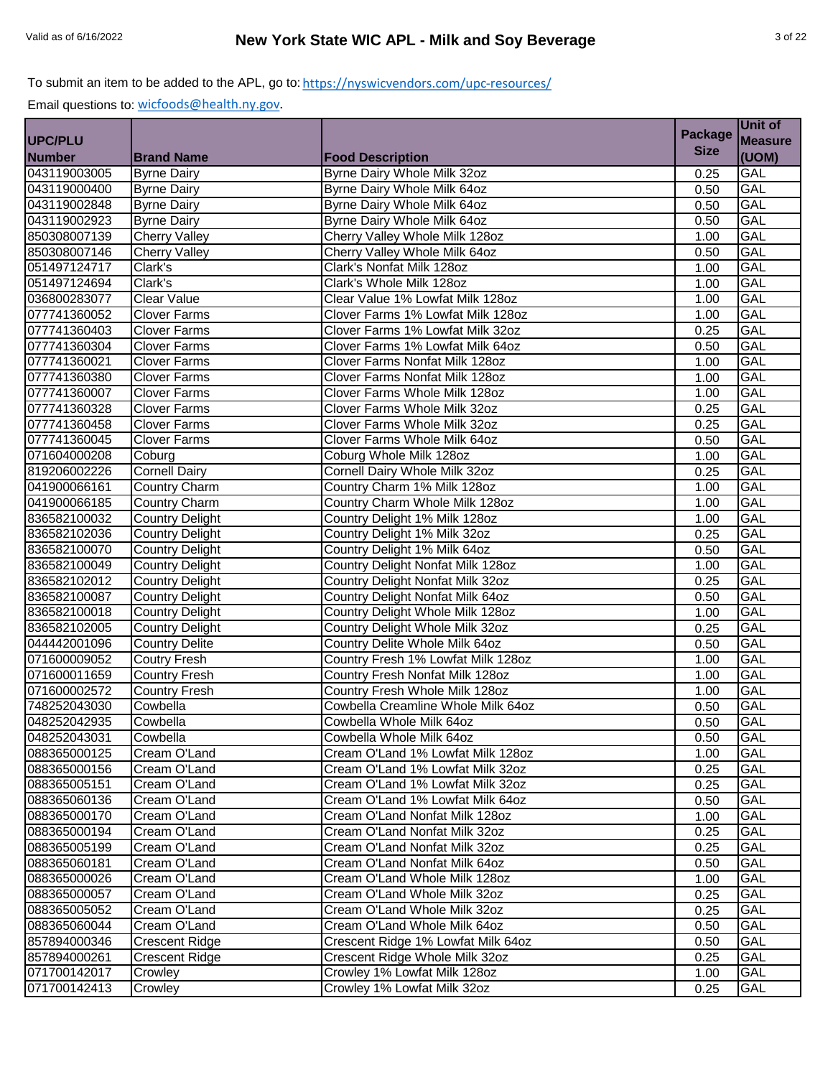|                |                        |                                    |                | Unit of        |
|----------------|------------------------|------------------------------------|----------------|----------------|
| <b>UPC/PLU</b> |                        |                                    | <b>Package</b> | <b>Measure</b> |
| <b>Number</b>  | <b>Brand Name</b>      | <b>Food Description</b>            | <b>Size</b>    | (UOM)          |
| 043119003005   | <b>Byrne Dairy</b>     | Byrne Dairy Whole Milk 32oz        | 0.25           | GAL            |
| 043119000400   | <b>Byrne Dairy</b>     | Byrne Dairy Whole Milk 64oz        | 0.50           | <b>GAL</b>     |
| 043119002848   | <b>Byrne Dairy</b>     | Byrne Dairy Whole Milk 64oz        | 0.50           | <b>GAL</b>     |
| 043119002923   | <b>Byrne Dairy</b>     | Byrne Dairy Whole Milk 64oz        | 0.50           | <b>GAL</b>     |
| 850308007139   | <b>Cherry Valley</b>   | Cherry Valley Whole Milk 128oz     | 1.00           | <b>GAL</b>     |
| 850308007146   | <b>Cherry Valley</b>   | Cherry Valley Whole Milk 64oz      | 0.50           | <b>GAL</b>     |
| 051497124717   | Clark's                | Clark's Nonfat Milk 128oz          | 1.00           | <b>GAL</b>     |
| 051497124694   | Clark's                | Clark's Whole Milk 128oz           | 1.00           | <b>GAL</b>     |
| 036800283077   | <b>Clear Value</b>     | Clear Value 1% Lowfat Milk 128oz   | 1.00           | <b>GAL</b>     |
| 077741360052   | <b>Clover Farms</b>    | Clover Farms 1% Lowfat Milk 128oz  | 1.00           | GAL            |
| 077741360403   | Clover Farms           | Clover Farms 1% Lowfat Milk 32oz   | 0.25           | <b>GAL</b>     |
| 077741360304   | <b>Clover Farms</b>    | Clover Farms 1% Lowfat Milk 64oz   | 0.50           | <b>GAL</b>     |
| 077741360021   | <b>Clover Farms</b>    | Clover Farms Nonfat Milk 128oz     | 1.00           | <b>GAL</b>     |
| 077741360380   | <b>Clover Farms</b>    | Clover Farms Nonfat Milk 128oz     | 1.00           | GAL            |
| 077741360007   | <b>Clover Farms</b>    | Clover Farms Whole Milk 128oz      | 1.00           | <b>GAL</b>     |
| 077741360328   | <b>Clover Farms</b>    | Clover Farms Whole Milk 32oz       | 0.25           | <b>GAL</b>     |
| 077741360458   | <b>Clover Farms</b>    | Clover Farms Whole Milk 32oz       | 0.25           | <b>GAL</b>     |
| 077741360045   | <b>Clover Farms</b>    | Clover Farms Whole Milk 64oz       | 0.50           | <b>GAL</b>     |
| 071604000208   | Coburg                 | Coburg Whole Milk 128oz            | 1.00           | <b>GAL</b>     |
| 819206002226   | <b>Cornell Dairy</b>   | Cornell Dairy Whole Milk 32oz      | 0.25           | <b>GAL</b>     |
| 041900066161   | Country Charm          | Country Charm 1% Milk 128oz        | 1.00           | GAL            |
| 041900066185   | <b>Country Charm</b>   | Country Charm Whole Milk 128oz     | 1.00           | <b>GAL</b>     |
| 836582100032   | <b>Country Delight</b> | Country Delight 1% Milk 128oz      | 1.00           | GAL            |
| 836582102036   | <b>Country Delight</b> | Country Delight 1% Milk 32oz       | 0.25           | <b>GAL</b>     |
| 836582100070   | <b>Country Delight</b> | Country Delight 1% Milk 64oz       | 0.50           | GAL            |
| 836582100049   | <b>Country Delight</b> | Country Delight Nonfat Milk 128oz  | 1.00           | <b>GAL</b>     |
| 836582102012   | <b>Country Delight</b> | Country Delight Nonfat Milk 32oz   | 0.25           | <b>GAL</b>     |
| 836582100087   | <b>Country Delight</b> | Country Delight Nonfat Milk 64oz   | 0.50           | <b>GAL</b>     |
| 836582100018   | <b>Country Delight</b> | Country Delight Whole Milk 128oz   | 1.00           | <b>GAL</b>     |
| 836582102005   | <b>Country Delight</b> | Country Delight Whole Milk 32oz    | 0.25           | <b>GAL</b>     |
| 044442001096   | <b>Country Delite</b>  | Country Delite Whole Milk 64oz     | 0.50           | <b>GAL</b>     |
| 071600009052   | <b>Coutry Fresh</b>    | Country Fresh 1% Lowfat Milk 128oz | 1.00           | GAL            |
| 071600011659   | Country Fresh          | Country Fresh Nonfat Milk 128oz    | 1.00           | <b>GAL</b>     |
| 071600002572   | <b>Country Fresh</b>   | Country Fresh Whole Milk 128oz     | 1.00           | <b>GAL</b>     |
| 748252043030   | Cowbella               | Cowbella Creamline Whole Milk 64oz | 0.50           | <b>GAL</b>     |
| 048252042935   | Cowbella               | Cowbella Whole Milk 64oz           | 0.50           | GAL            |
| 048252043031   | Cowbella               | Cowbella Whole Milk 64oz           | 0.50           | GAL            |
| 088365000125   | Cream O'Land           | Cream O'Land 1% Lowfat Milk 128oz  | 1.00           | GAL            |
| 088365000156   | Cream O'Land           | Cream O'Land 1% Lowfat Milk 32oz   | 0.25           | GAL            |
| 088365005151   | Cream O'Land           | Cream O'Land 1% Lowfat Milk 32oz   | 0.25           | GAL            |
| 088365060136   | Cream O'Land           | Cream O'Land 1% Lowfat Milk 64oz   | 0.50           | GAL            |
| 088365000170   | Cream O'Land           | Cream O'Land Nonfat Milk 128oz     | 1.00           | GAL            |
| 088365000194   | Cream O'Land           | Cream O'Land Nonfat Milk 32oz      | 0.25           | GAL            |
| 088365005199   | Cream O'Land           | Cream O'Land Nonfat Milk 32oz      | 0.25           | GAL            |
| 088365060181   | Cream O'Land           | Cream O'Land Nonfat Milk 64oz      | 0.50           | GAL            |
| 088365000026   | Cream O'Land           | Cream O'Land Whole Milk 128oz      | 1.00           | GAL            |
| 088365000057   | Cream O'Land           | Cream O'Land Whole Milk 32oz       | 0.25           | GAL            |
| 088365005052   | Cream O'Land           | Cream O'Land Whole Milk 32oz       | 0.25           | GAL            |
| 088365060044   | Cream O'Land           | Cream O'Land Whole Milk 64oz       | 0.50           | GAL            |
| 857894000346   | <b>Crescent Ridge</b>  | Crescent Ridge 1% Lowfat Milk 64oz | 0.50           | GAL            |
| 857894000261   | <b>Crescent Ridge</b>  | Crescent Ridge Whole Milk 32oz     | 0.25           | GAL            |
| 071700142017   | Crowley                | Crowley 1% Lowfat Milk 128oz       | 1.00           | GAL            |
| 071700142413   | Crowley                | Crowley 1% Lowfat Milk 32oz        | 0.25           | GAL            |
|                |                        |                                    |                |                |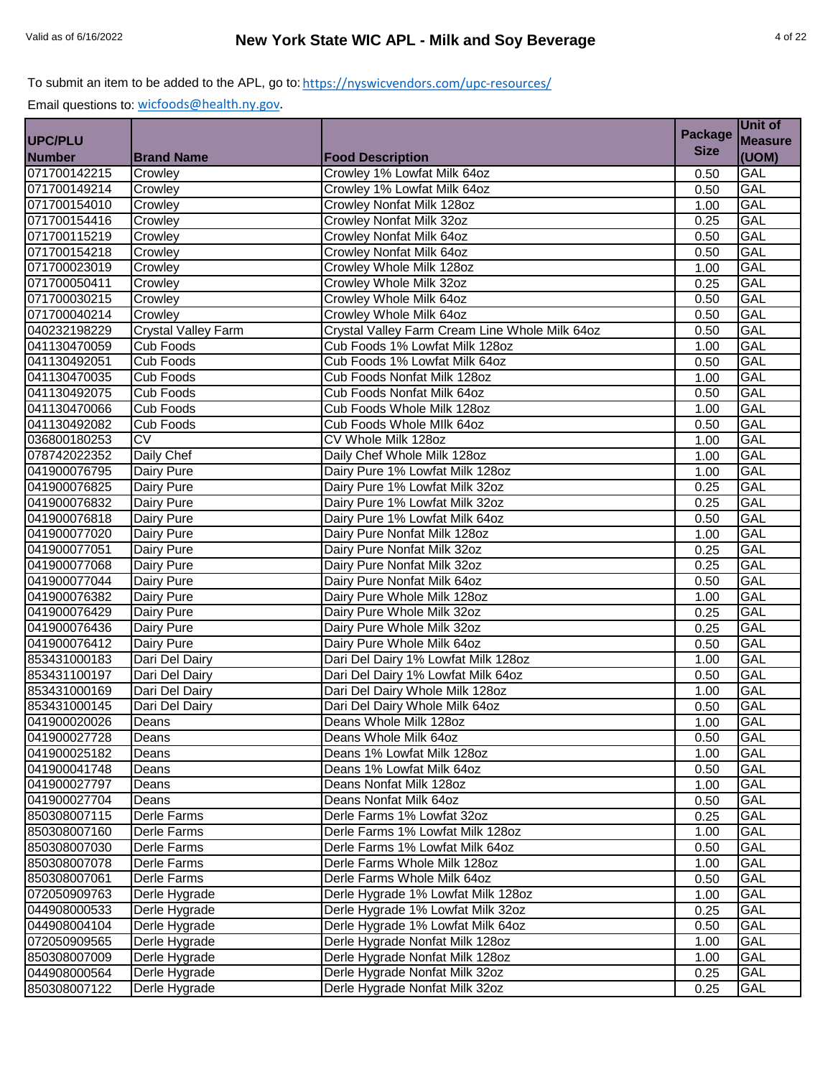|                |                            |                                                | <b>Package</b> | Unit of        |
|----------------|----------------------------|------------------------------------------------|----------------|----------------|
| <b>UPC/PLU</b> |                            |                                                |                | <b>Measure</b> |
| <b>Number</b>  | <b>Brand Name</b>          | <b>Food Description</b>                        | <b>Size</b>    | (UOM)          |
| 071700142215   | Crowley                    | Crowley 1% Lowfat Milk 64oz                    | 0.50           | <b>GAL</b>     |
| 071700149214   | Crowley                    | Crowley 1% Lowfat Milk 64oz                    | 0.50           | <b>GAL</b>     |
| 071700154010   | Crowley                    | Crowley Nonfat Milk 128oz                      | 1.00           | GAL            |
| 071700154416   | Crowley                    | Crowley Nonfat Milk 32oz                       | 0.25           | <b>GAL</b>     |
| 071700115219   | Crowley                    | Crowley Nonfat Milk 64oz                       | 0.50           | <b>GAL</b>     |
| 071700154218   | Crowley                    | Crowley Nonfat Milk 64oz                       | 0.50           | <b>GAL</b>     |
| 071700023019   | Crowley                    | Crowley Whole Milk 128oz                       | 1.00           | <b>GAL</b>     |
| 071700050411   | Crowley                    | Crowley Whole Milk 32oz                        | 0.25           | <b>GAL</b>     |
| 071700030215   | Crowley                    | Crowley Whole Milk 64oz                        | 0.50           | <b>GAL</b>     |
| 071700040214   | Crowley                    | Crowley Whole Milk 64oz                        | 0.50           | GAL            |
| 040232198229   | <b>Crystal Valley Farm</b> | Crystal Valley Farm Cream Line Whole Milk 64oz | 0.50           | GAL            |
| 041130470059   | Cub Foods                  | Cub Foods 1% Lowfat Milk 128oz                 | 1.00           | <b>GAL</b>     |
| 041130492051   | Cub Foods                  | Cub Foods 1% Lowfat Milk 64oz                  | 0.50           | <b>GAL</b>     |
| 041130470035   | Cub Foods                  | Cub Foods Nonfat Milk 128oz                    | 1.00           | GAL            |
| 041130492075   | Cub Foods                  | Cub Foods Nonfat Milk 64oz                     | 0.50           | <b>GAL</b>     |
| 041130470066   | Cub Foods                  | Cub Foods Whole Milk 128oz                     | 1.00           | <b>GAL</b>     |
| 041130492082   | Cub Foods                  | Cub Foods Whole Milk 64oz                      | 0.50           | <b>GAL</b>     |
| 036800180253   | CV                         | CV Whole Milk 128oz                            | 1.00           | <b>GAL</b>     |
| 078742022352   | Daily Chef                 | Daily Chef Whole Milk 128oz                    | 1.00           | <b>GAL</b>     |
| 041900076795   | Dairy Pure                 | Dairy Pure 1% Lowfat Milk 128oz                | 1.00           | <b>GAL</b>     |
| 041900076825   | Dairy Pure                 | Dairy Pure 1% Lowfat Milk 32oz                 | 0.25           | GAL            |
| 041900076832   | Dairy Pure                 | Dairy Pure 1% Lowfat Milk 32oz                 | 0.25           | <b>GAL</b>     |
| 041900076818   | Dairy Pure                 | Dairy Pure 1% Lowfat Milk 64oz                 | 0.50           | GAL            |
| 041900077020   | Dairy Pure                 | Dairy Pure Nonfat Milk 128oz                   | 1.00           | <b>GAL</b>     |
| 041900077051   | Dairy Pure                 | Dairy Pure Nonfat Milk 32oz                    | 0.25           | GAL            |
| 041900077068   | Dairy Pure                 | Dairy Pure Nonfat Milk 32oz                    | 0.25           | <b>GAL</b>     |
| 041900077044   | Dairy Pure                 | Dairy Pure Nonfat Milk 64oz                    | 0.50           | <b>GAL</b>     |
| 041900076382   | Dairy Pure                 | Dairy Pure Whole Milk 128oz                    | 1.00           | <b>GAL</b>     |
| 041900076429   | Dairy Pure                 | Dairy Pure Whole Milk 32oz                     | 0.25           | <b>GAL</b>     |
| 041900076436   | Dairy Pure                 | Dairy Pure Whole Milk 32oz                     | 0.25           | <b>GAL</b>     |
| 041900076412   | Dairy Pure                 | Dairy Pure Whole Milk 64oz                     | 0.50           | <b>GAL</b>     |
| 853431000183   | Dari Del Dairy             | Dari Del Dairy 1% Lowfat Milk 128oz            | 1.00           | GAL            |
| 853431100197   | Dari Del Dairy             | Dari Del Dairy 1% Lowfat Milk 64oz             | 0.50           | <b>GAL</b>     |
| 853431000169   | Dari Del Dairy             | Dari Del Dairy Whole Milk 128oz                | 1.00           | <b>GAL</b>     |
| 853431000145   | Dari Del Dairy             | Dari Del Dairy Whole Milk 64oz                 | 0.50           | GAL            |
| 041900020026   | Deans                      | Deans Whole Milk 128oz                         | 1.00           | <b>GAL</b>     |
| 041900027728   | Deans                      | Deans Whole Milk 64oz                          | 0.50           | GAL            |
| 041900025182   | Deans                      | Deans 1% Lowfat Milk 128oz                     | 1.00           | GAL            |
| 041900041748   | Deans                      | Deans 1% Lowfat Milk 64oz                      | 0.50           | GAL            |
| 041900027797   | Deans                      | Deans Nonfat Milk 128oz                        | 1.00           | GAL            |
| 041900027704   | Deans                      | Deans Nonfat Milk 64oz                         | 0.50           | GAL            |
| 850308007115   | Derle Farms                | Derle Farms 1% Lowfat 32oz                     | 0.25           | GAL            |
| 850308007160   | Derle Farms                | Derle Farms 1% Lowfat Milk 128oz               | 1.00           | GAL            |
| 850308007030   | Derle Farms                | Derle Farms 1% Lowfat Milk 64oz                | 0.50           | GAL            |
| 850308007078   | Derle Farms                | Derle Farms Whole Milk 128oz                   | 1.00           | GAL            |
| 850308007061   | Derle Farms                | Derle Farms Whole Milk 64oz                    | 0.50           | GAL            |
| 072050909763   | Derle Hygrade              | Derle Hygrade 1% Lowfat Milk 128oz             | 1.00           | GAL            |
| 044908000533   | Derle Hygrade              | Derle Hygrade 1% Lowfat Milk 32oz              | 0.25           | GAL            |
| 044908004104   | Derle Hygrade              | Derle Hygrade 1% Lowfat Milk 64oz              | 0.50           | GAL            |
| 072050909565   | Derle Hygrade              | Derle Hygrade Nonfat Milk 128oz                | 1.00           | GAL            |
| 850308007009   | Derle Hygrade              | Derle Hygrade Nonfat Milk 128oz                | 1.00           | GAL            |
| 044908000564   | Derle Hygrade              | Derle Hygrade Nonfat Milk 32oz                 | 0.25           | GAL            |
| 850308007122   | Derle Hygrade              | Derle Hygrade Nonfat Milk 32oz                 | 0.25           | GAL            |
|                |                            |                                                |                |                |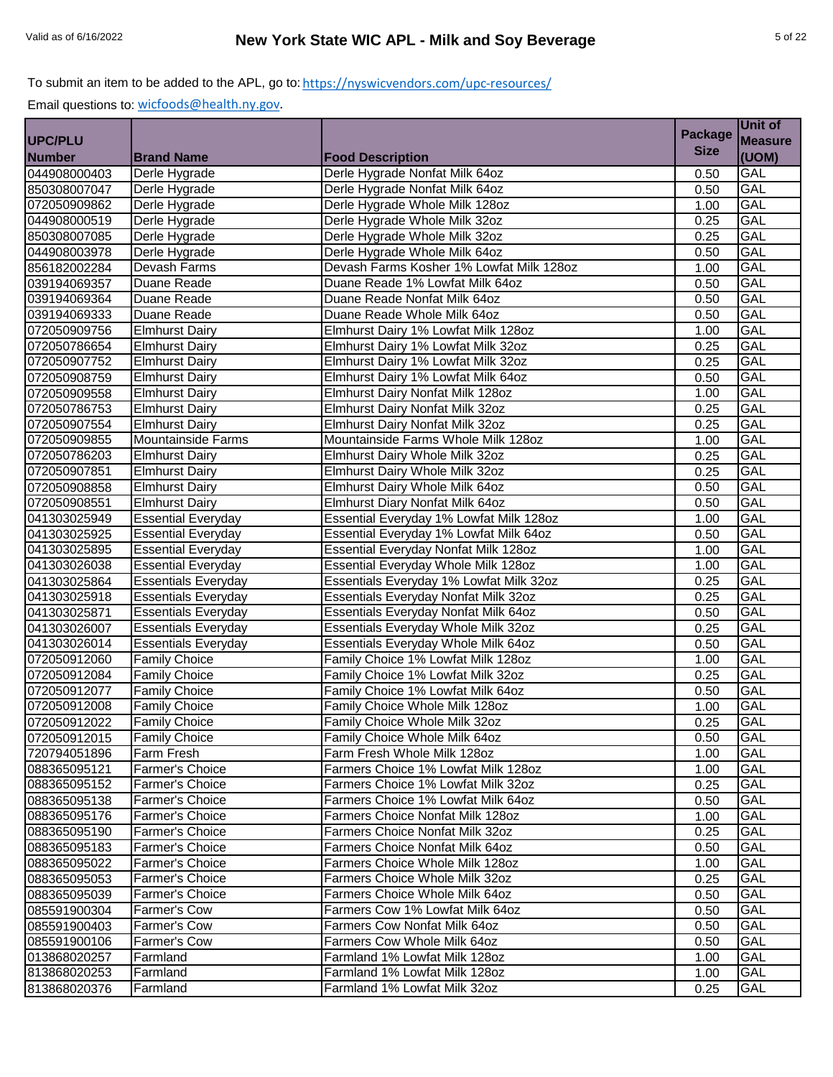|                |                            |                                          |                | Unit of        |
|----------------|----------------------------|------------------------------------------|----------------|----------------|
| <b>UPC/PLU</b> |                            |                                          | <b>Package</b> | <b>Measure</b> |
| <b>Number</b>  | <b>Brand Name</b>          | <b>Food Description</b>                  | <b>Size</b>    | (UOM)          |
| 044908000403   | Derle Hygrade              | Derle Hygrade Nonfat Milk 64oz           | 0.50           | GAL            |
| 850308007047   | Derle Hygrade              | Derle Hygrade Nonfat Milk 64oz           | 0.50           | <b>GAL</b>     |
| 072050909862   | Derle Hygrade              | Derle Hygrade Whole Milk 128oz           | 1.00           | GAL            |
| 044908000519   | Derle Hygrade              | Derle Hygrade Whole Milk 32oz            | 0.25           | <b>GAL</b>     |
| 850308007085   | Derle Hygrade              | Derle Hygrade Whole Milk 32oz            | 0.25           | <b>GAL</b>     |
| 044908003978   | Derle Hygrade              | Derle Hygrade Whole Milk 64oz            | 0.50           | <b>GAL</b>     |
| 856182002284   | Devash Farms               | Devash Farms Kosher 1% Lowfat Milk 128oz | 1.00           | <b>GAL</b>     |
| 039194069357   | Duane Reade                | Duane Reade 1% Lowfat Milk 64oz          | 0.50           | <b>GAL</b>     |
| 039194069364   | Duane Reade                | Duane Reade Nonfat Milk 64oz             | 0.50           | <b>GAL</b>     |
| 039194069333   | Duane Reade                | Duane Reade Whole Milk 64oz              | 0.50           | GAL            |
| 072050909756   | <b>Elmhurst Dairy</b>      | Elmhurst Dairy 1% Lowfat Milk 128oz      | 1.00           | GAL            |
| 072050786654   | <b>Elmhurst Dairy</b>      | Elmhurst Dairy 1% Lowfat Milk 32oz       | 0.25           | <b>GAL</b>     |
| 072050907752   | <b>Elmhurst Dairy</b>      | Elmhurst Dairy 1% Lowfat Milk 32oz       | 0.25           | <b>GAL</b>     |
| 072050908759   | <b>Elmhurst Dairy</b>      | Elmhurst Dairy 1% Lowfat Milk 64oz       | 0.50           | <b>GAL</b>     |
| 072050909558   | <b>Elmhurst Dairy</b>      | Elmhurst Dairy Nonfat Milk 128oz         | 1.00           | <b>GAL</b>     |
| 072050786753   | <b>Elmhurst Dairy</b>      | Elmhurst Dairy Nonfat Milk 32oz          | 0.25           | <b>GAL</b>     |
| 072050907554   | <b>Elmhurst Dairy</b>      | Elmhurst Dairy Nonfat Milk 32oz          | 0.25           | <b>GAL</b>     |
| 072050909855   | <b>Mountainside Farms</b>  | Mountainside Farms Whole Milk 128oz      | 1.00           | <b>GAL</b>     |
| 072050786203   | <b>Elmhurst Dairy</b>      | Elmhurst Dairy Whole Milk 32oz           | 0.25           | <b>GAL</b>     |
| 072050907851   | <b>Elmhurst Dairy</b>      | Elmhurst Dairy Whole Milk 32oz           | 0.25           | <b>GAL</b>     |
| 072050908858   | <b>Elmhurst Dairy</b>      | Elmhurst Dairy Whole Milk 64oz           | 0.50           | GAL            |
| 072050908551   | <b>Elmhurst Dairy</b>      | Elmhurst Diary Nonfat Milk 64oz          | 0.50           | GAL            |
| 041303025949   | <b>Essential Everyday</b>  | Essential Everyday 1% Lowfat Milk 128oz  | 1.00           | GAL            |
| 041303025925   | <b>Essential Everyday</b>  | Essential Everyday 1% Lowfat Milk 64oz   | 0.50           | <b>GAL</b>     |
| 041303025895   | <b>Essential Everyday</b>  | Essential Everyday Nonfat Milk 128oz     | 1.00           | <b>GAL</b>     |
| 041303026038   | <b>Essential Everyday</b>  | Essential Everyday Whole Milk 128oz      | 1.00           | <b>GAL</b>     |
| 041303025864   | <b>Essentials Everyday</b> | Essentials Everyday 1% Lowfat Milk 32oz  | 0.25           | <b>GAL</b>     |
| 041303025918   | <b>Essentials Everyday</b> | Essentials Everyday Nonfat Milk 32oz     | 0.25           | <b>GAL</b>     |
| 041303025871   | <b>Essentials Everyday</b> | Essentials Everyday Nonfat Milk 64oz     | 0.50           | <b>GAL</b>     |
| 041303026007   | <b>Essentials Everyday</b> | Essentials Everyday Whole Milk 32oz      | 0.25           | <b>GAL</b>     |
| 041303026014   | <b>Essentials Everyday</b> | Essentials Everyday Whole Milk 64oz      | 0.50           | <b>GAL</b>     |
| 072050912060   | <b>Family Choice</b>       | Family Choice 1% Lowfat Milk 128oz       | 1.00           | GAL            |
| 072050912084   | <b>Family Choice</b>       | Family Choice 1% Lowfat Milk 32oz        | 0.25           | <b>GAL</b>     |
| 072050912077   | <b>Family Choice</b>       | Family Choice 1% Lowfat Milk 64oz        | 0.50           | <b>GAL</b>     |
| 072050912008   | <b>Family Choice</b>       | Family Choice Whole Milk 128oz           | 1.00           | GAL            |
| 072050912022   | <b>Family Choice</b>       | Family Choice Whole Milk 32oz            | 0.25           | <b>GAL</b>     |
| 072050912015   | <b>Family Choice</b>       | Family Choice Whole Milk 64oz            | 0.50           | <b>GAL</b>     |
| 720794051896   | <b>Farm Fresh</b>          | Farm Fresh Whole Milk 128oz              | 1.00           | GAL            |
| 088365095121   | Farmer's Choice            | Farmers Choice 1% Lowfat Milk 128oz      | 1.00           | GAL            |
| 088365095152   | <b>Farmer's Choice</b>     | Farmers Choice 1% Lowfat Milk 32oz       | 0.25           | GAL            |
| 088365095138   | <b>Farmer's Choice</b>     | Farmers Choice 1% Lowfat Milk 64oz       | 0.50           | GAL            |
| 088365095176   | Farmer's Choice            | Farmers Choice Nonfat Milk 128oz         | 1.00           | GAL            |
| 088365095190   | Farmer's Choice            | Farmers Choice Nonfat Milk 32oz          | 0.25           | GAL            |
| 088365095183   | <b>Farmer's Choice</b>     | Farmers Choice Nonfat Milk 64oz          | 0.50           | GAL            |
| 088365095022   | <b>Farmer's Choice</b>     | Farmers Choice Whole Milk 128oz          | 1.00           | GAL            |
| 088365095053   | <b>Farmer's Choice</b>     | Farmers Choice Whole Milk 32oz           | 0.25           | GAL            |
| 088365095039   | <b>Farmer's Choice</b>     | Farmers Choice Whole Milk 64oz           | 0.50           | GAL            |
| 085591900304   | <b>Farmer's Cow</b>        | Farmers Cow 1% Lowfat Milk 64oz          | 0.50           | GAL            |
| 085591900403   | Farmer's Cow               | Farmers Cow Nonfat Milk 64oz             | 0.50           | GAL            |
| 085591900106   | <b>Farmer's Cow</b>        | Farmers Cow Whole Milk 64oz              | 0.50           | GAL            |
| 013868020257   | Farmland                   | Farmland 1% Lowfat Milk 128oz            | 1.00           | GAL            |
| 813868020253   | Farmland                   | Farmland 1% Lowfat Milk 128oz            | 1.00           | <b>GAL</b>     |
| 813868020376   | Farmland                   | Farmland 1% Lowfat Milk 32oz             | 0.25           | GAL            |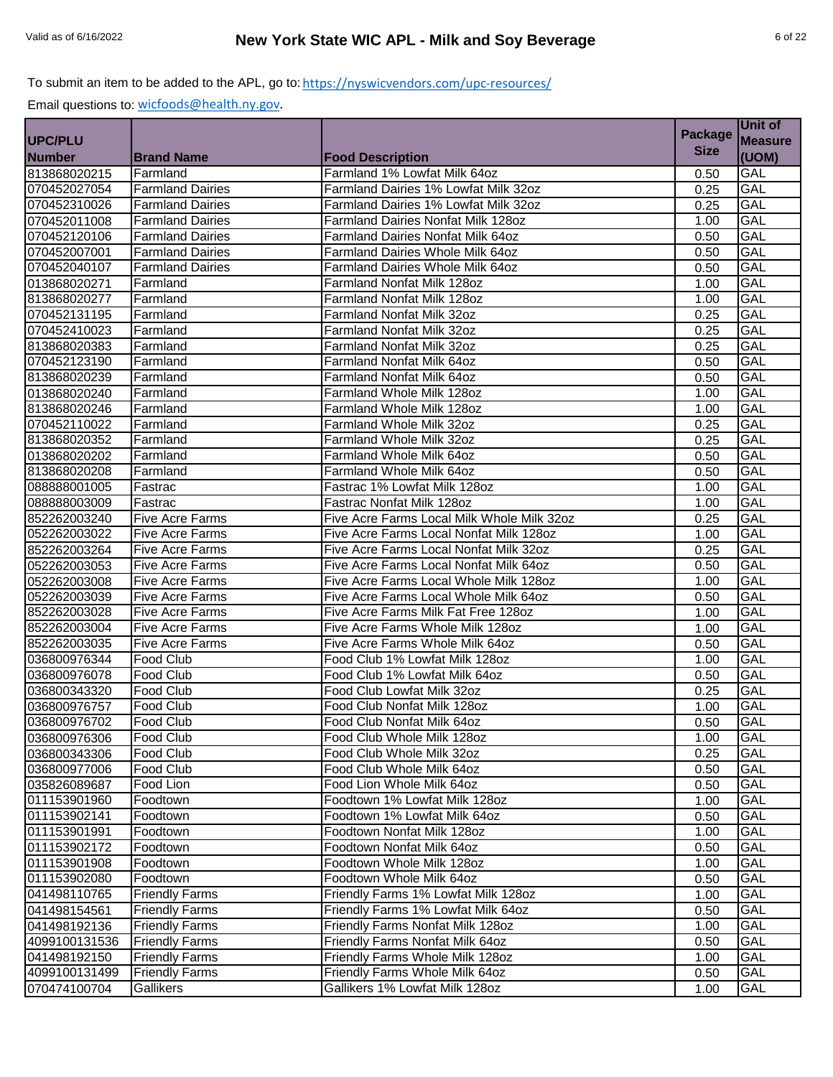|                |                         |                                            |                | Unit of        |
|----------------|-------------------------|--------------------------------------------|----------------|----------------|
| <b>UPC/PLU</b> |                         |                                            | <b>Package</b> | <b>Measure</b> |
| <b>Number</b>  | <b>Brand Name</b>       | <b>Food Description</b>                    | <b>Size</b>    | (UOM)          |
| 813868020215   | Farmland                | Farmland 1% Lowfat Milk 64oz               | 0.50           | GAL            |
| 070452027054   | <b>Farmland Dairies</b> | Farmland Dairies 1% Lowfat Milk 32oz       | 0.25           | <b>GAL</b>     |
| 070452310026   | <b>Farmland Dairies</b> | Farmland Dairies 1% Lowfat Milk 32oz       | 0.25           | GAL            |
| 070452011008   | <b>Farmland Dairies</b> | <b>Farmland Dairies Nonfat Milk 128oz</b>  | 1.00           | GAL            |
| 070452120106   | <b>Farmland Dairies</b> | <b>Farmland Dairies Nonfat Milk 64oz</b>   | 0.50           | <b>GAL</b>     |
| 070452007001   | Farmland Dairies        | Farmland Dairies Whole Milk 64oz           | 0.50           | <b>GAL</b>     |
| 070452040107   | <b>Farmland Dairies</b> | <b>Farmland Dairies Whole Milk 64oz</b>    | 0.50           | <b>GAL</b>     |
| 013868020271   | Farmland                | Farmland Nonfat Milk 128oz                 | 1.00           | <b>GAL</b>     |
| 813868020277   | Farmland                | Farmland Nonfat Milk 128oz                 | 1.00           | <b>GAL</b>     |
| 070452131195   | Farmland                | Farmland Nonfat Milk 32oz                  | 0.25           | GAL            |
| 070452410023   | Farmland                | Farmland Nonfat Milk 32oz                  | 0.25           | GAL            |
| 813868020383   | Farmland                | <b>Farmland Nonfat Milk 32oz</b>           | 0.25           | <b>GAL</b>     |
| 070452123190   | Farmland                | Farmland Nonfat Milk 64oz                  | 0.50           | <b>GAL</b>     |
| 813868020239   | Farmland                | Farmland Nonfat Milk 64oz                  | 0.50           | <b>GAL</b>     |
| 013868020240   | Farmland                | Farmland Whole Milk 128oz                  | 1.00           | <b>GAL</b>     |
| 813868020246   | Farmland                | Farmland Whole Milk 128oz                  | 1.00           | <b>GAL</b>     |
| 070452110022   | Farmland                | Farmland Whole Milk 32oz                   | 0.25           | <b>GAL</b>     |
| 813868020352   | Farmland                | Farmland Whole Milk 32oz                   | 0.25           | <b>GAL</b>     |
| 013868020202   | Farmland                | Farmland Whole Milk 64oz                   | 0.50           | <b>GAL</b>     |
| 813868020208   | Farmland                | Farmland Whole Milk 64oz                   | 0.50           | <b>GAL</b>     |
| 088888001005   | Fastrac                 | Fastrac 1% Lowfat Milk 128oz               | 1.00           | GAL            |
| 088888003009   | Fastrac                 | Fastrac Nonfat Milk 128oz                  | 1.00           | <b>GAL</b>     |
| 852262003240   | <b>Five Acre Farms</b>  | Five Acre Farms Local Milk Whole Milk 32oz | 0.25           | <b>GAL</b>     |
| 052262003022   | <b>Five Acre Farms</b>  | Five Acre Farms Local Nonfat Milk 128oz    | 1.00           | <b>GAL</b>     |
| 852262003264   | <b>Five Acre Farms</b>  | Five Acre Farms Local Nonfat Milk 32oz     | 0.25           | <b>GAL</b>     |
| 052262003053   | <b>Five Acre Farms</b>  | Five Acre Farms Local Nonfat Milk 64oz     | 0.50           | <b>GAL</b>     |
| 052262003008   | <b>Five Acre Farms</b>  | Five Acre Farms Local Whole Milk 128oz     | 1.00           | <b>GAL</b>     |
| 052262003039   | <b>Five Acre Farms</b>  | Five Acre Farms Local Whole Milk 64oz      | 0.50           | <b>GAL</b>     |
| 852262003028   | <b>Five Acre Farms</b>  | Five Acre Farms Milk Fat Free 128oz        | 1.00           | <b>GAL</b>     |
| 852262003004   | <b>Five Acre Farms</b>  | Five Acre Farms Whole Milk 128oz           | 1.00           | <b>GAL</b>     |
| 852262003035   | <b>Five Acre Farms</b>  | Five Acre Farms Whole Milk 64oz            | 0.50           | <b>GAL</b>     |
| 036800976344   | Food Club               | Food Club 1% Lowfat Milk 128oz             | 1.00           | GAL            |
| 036800976078   | Food Club               | Food Club 1% Lowfat Milk 64oz              | 0.50           | <b>GAL</b>     |
| 036800343320   | Food Club               | Food Club Lowfat Milk 32oz                 | 0.25           | <b>GAL</b>     |
| 036800976757   | Food Club               | Food Club Nonfat Milk 128oz                | 1.00           | <b>GAL</b>     |
| 036800976702   | Food Club               | Food Club Nonfat Milk 64oz                 | 0.50           | <b>GAL</b>     |
| 036800976306   | Food Club               | Food Club Whole Milk 128oz                 | 1.00           | GAL            |
| 036800343306   | Food Club               | Food Club Whole Milk 32oz                  | 0.25           | GAL            |
| 036800977006   | Food Club               | Food Club Whole Milk 64oz                  | 0.50           | GAL            |
| 035826089687   | Food Lion               | Food Lion Whole Milk 64oz                  | 0.50           | GAL            |
| 011153901960   | Foodtown                | Foodtown 1% Lowfat Milk 128oz              | 1.00           | GAL            |
| 011153902141   | Foodtown                | Foodtown 1% Lowfat Milk 64oz               | 0.50           | GAL            |
| 011153901991   | Foodtown                | Foodtown Nonfat Milk 128oz                 | 1.00           | GAL            |
| 011153902172   | Foodtown                | Foodtown Nonfat Milk 64oz                  | 0.50           | GAL            |
| 011153901908   | Foodtown                | Foodtown Whole Milk 128oz                  | 1.00           | GAL            |
| 011153902080   | Foodtown                | Foodtown Whole Milk 64oz                   | 0.50           | GAL            |
| 041498110765   | <b>Friendly Farms</b>   | Friendly Farms 1% Lowfat Milk 128oz        | 1.00           | GAL            |
| 041498154561   | <b>Friendly Farms</b>   | Friendly Farms 1% Lowfat Milk 64oz         | 0.50           | GAL            |
| 041498192136   | <b>Friendly Farms</b>   | Friendly Farms Nonfat Milk 128oz           | 1.00           | GAL            |
| 4099100131536  | <b>Friendly Farms</b>   | Friendly Farms Nonfat Milk 64oz            | 0.50           | GAL            |
| 041498192150   | <b>Friendly Farms</b>   | Friendly Farms Whole Milk 128oz            | 1.00           | GAL            |
| 4099100131499  | <b>Friendly Farms</b>   | Friendly Farms Whole Milk 64oz             | 0.50           | <b>GAL</b>     |
| 070474100704   | Gallikers               | Gallikers 1% Lowfat Milk 128oz             | 1.00           | GAL            |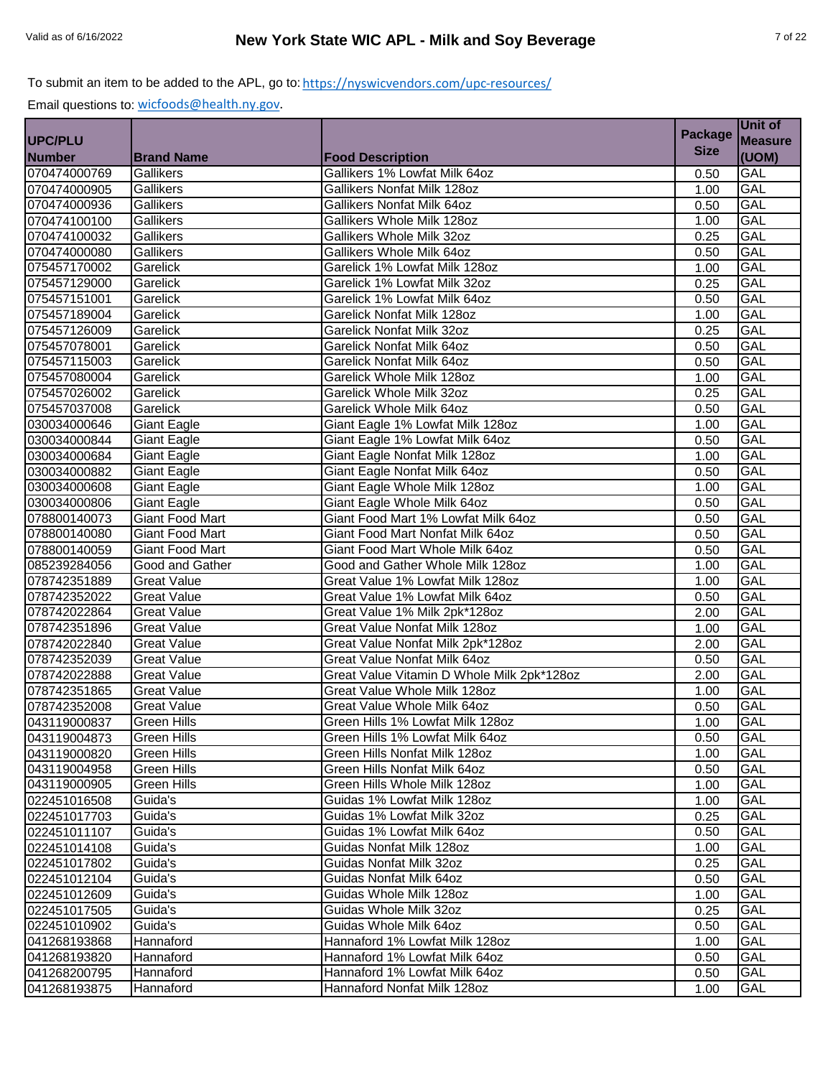|                              |                        |                                                    |                | Unit of        |
|------------------------------|------------------------|----------------------------------------------------|----------------|----------------|
| <b>UPC/PLU</b>               |                        |                                                    | <b>Package</b> | <b>Measure</b> |
| <b>Number</b>                | <b>Brand Name</b>      | <b>Food Description</b>                            | <b>Size</b>    | (UOM)          |
| 070474000769                 | Gallikers              | Gallikers 1% Lowfat Milk 64oz                      | 0.50           | GAL            |
| 070474000905                 | Gallikers              | Gallikers Nonfat Milk 128oz                        | 1.00           | <b>GAL</b>     |
| 070474000936                 | Gallikers              | Gallikers Nonfat Milk 64oz                         | 0.50           | <b>GAL</b>     |
| 070474100100                 | Gallikers              | Gallikers Whole Milk 128oz                         | 1.00           | <b>GAL</b>     |
| 070474100032                 | Gallikers              | Gallikers Whole Milk 32oz                          | 0.25           | <b>GAL</b>     |
| 070474000080                 | Gallikers              | Gallikers Whole Milk 64oz                          | 0.50           | <b>GAL</b>     |
| 075457170002                 | Garelick               | Garelick 1% Lowfat Milk 128oz                      | 1.00           | <b>GAL</b>     |
| 075457129000                 | Garelick               | Garelick 1% Lowfat Milk 32oz                       | 0.25           | <b>GAL</b>     |
| 075457151001                 | Garelick               | Garelick 1% Lowfat Milk 64oz                       | 0.50           | <b>GAL</b>     |
| 075457189004                 | Garelick               | Garelick Nonfat Milk 128oz                         | 1.00           | GAL            |
| 075457126009                 | Garelick               | Garelick Nonfat Milk 32oz                          | 0.25           | <b>GAL</b>     |
| 075457078001                 | Garelick               | Garelick Nonfat Milk 64oz                          | 0.50           | <b>GAL</b>     |
| 075457115003                 | Garelick               | Garelick Nonfat Milk 64oz                          | 0.50           | GAL            |
| 075457080004                 | Garelick               | Garelick Whole Milk 128oz                          | 1.00           | <b>GAL</b>     |
| 075457026002                 | Garelick               | Garelick Whole Milk 32oz                           | 0.25           | <b>GAL</b>     |
| 075457037008                 | Garelick               | Garelick Whole Milk 64oz                           | 0.50           | GAL            |
| 030034000646                 | Giant Eagle            | Giant Eagle 1% Lowfat Milk 128oz                   | 1.00           | <b>GAL</b>     |
| 030034000844                 | <b>Giant Eagle</b>     | Giant Eagle 1% Lowfat Milk 64oz                    | 0.50           | <b>GAL</b>     |
| 030034000684                 | <b>Giant Eagle</b>     | Giant Eagle Nonfat Milk 128oz                      | 1.00           | GAL            |
| 030034000882                 | <b>Giant Eagle</b>     | Giant Eagle Nonfat Milk 64oz                       | 0.50           | <b>GAL</b>     |
| 030034000608                 | <b>Giant Eagle</b>     | Giant Eagle Whole Milk 128oz                       | 1.00           | <b>GAL</b>     |
| 030034000806                 | <b>Giant Eagle</b>     | Giant Eagle Whole Milk 64oz                        | 0.50           | <b>GAL</b>     |
| 078800140073                 | <b>Giant Food Mart</b> | Giant Food Mart 1% Lowfat Milk 64oz                | 0.50           | <b>GAL</b>     |
| 078800140080                 | <b>Giant Food Mart</b> | Giant Food Mart Nonfat Milk 64oz                   | 0.50           | <b>GAL</b>     |
| 078800140059                 | <b>Giant Food Mart</b> | Giant Food Mart Whole Milk 64oz                    | 0.50           | GAL            |
| 085239284056                 | Good and Gather        | Good and Gather Whole Milk 128oz                   | 1.00           | <b>GAL</b>     |
| 078742351889                 | <b>Great Value</b>     | Great Value 1% Lowfat Milk 128oz                   | 1.00           | <b>GAL</b>     |
| 078742352022                 | <b>Great Value</b>     | Great Value 1% Lowfat Milk 64oz                    | 0.50           | <b>GAL</b>     |
| 078742022864                 | <b>Great Value</b>     | Great Value 1% Milk 2pk*128oz                      | 2.00           | <b>GAL</b>     |
| 078742351896                 | Great Value            | Great Value Nonfat Milk 128oz                      | 1.00           | <b>GAL</b>     |
| 078742022840                 | <b>Great Value</b>     | Great Value Nonfat Milk 2pk*128oz                  | 2.00           | <b>GAL</b>     |
| 078742352039                 | <b>Great Value</b>     | Great Value Nonfat Milk 64oz                       | 0.50           | GAL            |
| 078742022888                 | <b>Great Value</b>     | Great Value Vitamin D Whole Milk 2pk*128oz         | 2.00           | <b>GAL</b>     |
| 078742351865                 | <b>Great Value</b>     | Great Value Whole Milk 128oz                       | 1.00           | <b>GAL</b>     |
| 078742352008                 | <b>Great Value</b>     | Great Value Whole Milk 64oz                        | 0.50           | <b>GAL</b>     |
| 043119000837                 | <b>Green Hills</b>     | Green Hills 1% Lowfat Milk 128oz                   | 1.00           | <b>GAL</b>     |
| 043119004873                 | Green Hills            | Green Hills 1% Lowfat Milk 64oz                    | 0.50           | GAL            |
| 043119000820                 | <b>Green Hills</b>     | Green Hills Nonfat Milk 1280z                      | 1.00           | <b>GAL</b>     |
| 043119004958                 | <b>Green Hills</b>     | Green Hills Nonfat Milk 64oz                       | 0.50           | GAL            |
| 043119000905                 | <b>Green Hills</b>     | Green Hills Whole Milk 128oz                       | 1.00           | GAL            |
| 022451016508                 | Guida's                | Guidas 1% Lowfat Milk 128oz                        | 1.00           | GAL            |
| 022451017703                 | Guida's                | Guidas 1% Lowfat Milk 32oz                         | 0.25           | GAL            |
| 022451011107                 | Guida's                | Guidas 1% Lowfat Milk 64oz                         | 0.50           | GAL            |
| 022451014108                 | Guida's                | Guidas Nonfat Milk 128oz                           | 1.00           | GAL            |
| 022451017802                 | Guida's                | Guidas Nonfat Milk 32oz                            | 0.25           | GAL            |
|                              | Guida's                |                                                    | 0.50           | GAL            |
| 022451012104<br>022451012609 | Guida's                | Guidas Nonfat Milk 64oz<br>Guidas Whole Milk 128oz | 1.00           | GAL            |
| 022451017505                 | Guida's                | Guidas Whole Milk 32oz                             | 0.25           | GAL            |
| 022451010902                 | Guida's                | Guidas Whole Milk 64oz                             | 0.50           | GAL            |
| 041268193868                 | Hannaford              | Hannaford 1% Lowfat Milk 128oz                     | 1.00           | GAL            |
| 041268193820                 | Hannaford              | Hannaford 1% Lowfat Milk 64oz                      | 0.50           | GAL            |
| 041268200795                 | Hannaford              | Hannaford 1% Lowfat Milk 64oz                      | 0.50           | <b>GAL</b>     |
|                              |                        | Hannaford Nonfat Milk 128oz                        | 1.00           |                |
| 041268193875                 | Hannaford              |                                                    |                | GAL            |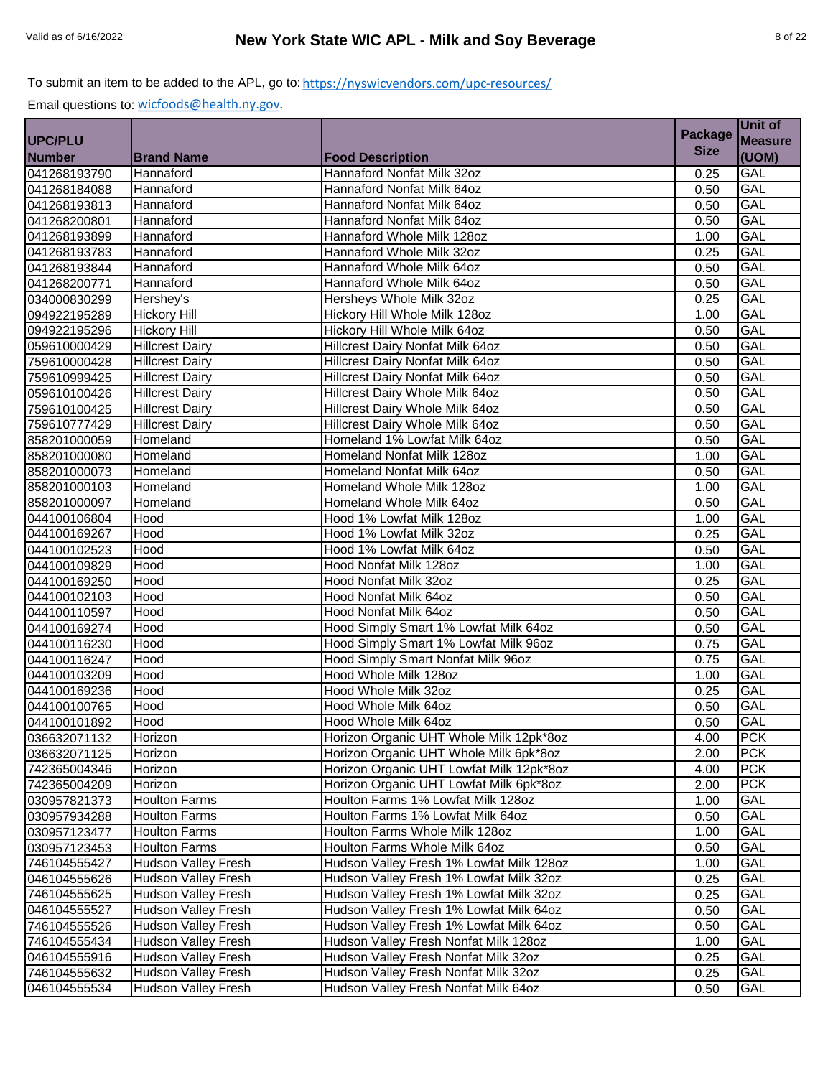|               |                            |                                          |                | Unit of        |
|---------------|----------------------------|------------------------------------------|----------------|----------------|
| UPC/PLU       |                            |                                          | <b>Package</b> | <b>Measure</b> |
| <b>Number</b> | <b>Brand Name</b>          | <b>Food Description</b>                  | <b>Size</b>    | (UOM)          |
| 041268193790  | Hannaford                  | Hannaford Nonfat Milk 32oz               | 0.25           | <b>GAL</b>     |
| 041268184088  | Hannaford                  | Hannaford Nonfat Milk 64oz               | 0.50           | <b>GAL</b>     |
| 041268193813  | Hannaford                  | Hannaford Nonfat Milk 64oz               | 0.50           | <b>GAL</b>     |
| 041268200801  | Hannaford                  | Hannaford Nonfat Milk 64oz               | 0.50           | <b>GAL</b>     |
| 041268193899  | Hannaford                  | Hannaford Whole Milk 128oz               | 1.00           | <b>GAL</b>     |
| 041268193783  | Hannaford                  | Hannaford Whole Milk 32oz                | 0.25           | <b>GAL</b>     |
| 041268193844  | Hannaford                  | Hannaford Whole Milk 64oz                | 0.50           | <b>GAL</b>     |
| 041268200771  | Hannaford                  | Hannaford Whole Milk 64oz                | 0.50           | <b>GAL</b>     |
| 034000830299  | Hershey's                  | Hersheys Whole Milk 32oz                 | 0.25           | <b>GAL</b>     |
| 094922195289  | <b>Hickory Hill</b>        | Hickory Hill Whole Milk 128oz            | 1.00           | GAL            |
| 094922195296  | <b>Hickory Hill</b>        | Hickory Hill Whole Milk 64oz             | 0.50           | <b>GAL</b>     |
| 059610000429  | <b>Hillcrest Dairy</b>     | Hillcrest Dairy Nonfat Milk 64oz         | 0.50           | GAL            |
| 759610000428  | <b>Hillcrest Dairy</b>     | Hillcrest Dairy Nonfat Milk 64oz         | 0.50           | GAL            |
| 759610999425  | <b>Hillcrest Dairy</b>     | Hillcrest Dairy Nonfat Milk 64oz         | 0.50           | GAL            |
| 059610100426  | <b>Hillcrest Dairy</b>     | Hillcrest Dairy Whole Milk 64oz          | 0.50           | <b>GAL</b>     |
| 759610100425  | <b>Hillcrest Dairy</b>     | Hillcrest Dairy Whole Milk 64oz          | 0.50           | <b>GAL</b>     |
| 759610777429  | <b>Hillcrest Dairy</b>     | Hillcrest Dairy Whole Milk 64oz          | 0.50           | <b>GAL</b>     |
| 858201000059  | Homeland                   | Homeland 1% Lowfat Milk 64oz             | 0.50           | <b>GAL</b>     |
| 858201000080  | Homeland                   | Homeland Nonfat Milk 128oz               | 1.00           | <b>GAL</b>     |
| 858201000073  | Homeland                   | Homeland Nonfat Milk 64oz                | 0.50           | <b>GAL</b>     |
| 858201000103  | Homeland                   | Homeland Whole Milk 128oz                | 1.00           | GAL            |
| 858201000097  | Homeland                   | Homeland Whole Milk 64oz                 | 0.50           | GAL            |
| 044100106804  | Hood                       | Hood 1% Lowfat Milk 128oz                | 1.00           | GAL            |
| 044100169267  | Hood                       | Hood 1% Lowfat Milk 32oz                 | 0.25           | GAL            |
| 044100102523  | Hood                       | Hood 1% Lowfat Milk 64oz                 | 0.50           | GAL            |
| 044100109829  | Hood                       | Hood Nonfat Milk 128oz                   | 1.00           | <b>GAL</b>     |
| 044100169250  | Hood                       | Hood Nonfat Milk 32oz                    | 0.25           | <b>GAL</b>     |
| 044100102103  | Hood                       | Hood Nonfat Milk 64oz                    | 0.50           | GAL            |
| 044100110597  | Hood                       | Hood Nonfat Milk 64oz                    | 0.50           | <b>GAL</b>     |
| 044100169274  | Hood                       | Hood Simply Smart 1% Lowfat Milk 64oz    | 0.50           | <b>GAL</b>     |
| 044100116230  | Hood                       | Hood Simply Smart 1% Lowfat Milk 96oz    | 0.75           | <b>GAL</b>     |
| 044100116247  | Hood                       | Hood Simply Smart Nonfat Milk 96oz       | 0.75           | GAL            |
| 044100103209  | <b>Hood</b>                | Hood Whole Milk 128oz                    | 1.00           | <b>GAL</b>     |
| 044100169236  | <b>Hood</b>                | Hood Whole Milk 32oz                     | 0.25           | <b>GAL</b>     |
| 044100100765  | Hood                       | Hood Whole Milk 64oz                     | 0.50           | GAL            |
| 044100101892  | Hood                       | Hood Whole Milk 64oz                     | 0.50           | GAL            |
| 036632071132  | Horizon                    | Horizon Organic UHT Whole Milk 12pk*8oz  | 4.00           | <b>PCK</b>     |
| 036632071125  | Horizon                    | Horizon Organic UHT Whole Milk 6pk*8oz   | 2.00           | <b>PCK</b>     |
| 742365004346  | Horizon                    | Horizon Organic UHT Lowfat Milk 12pk*8oz | 4.00           | <b>PCK</b>     |
| 742365004209  | Horizon                    | Horizon Organic UHT Lowfat Milk 6pk*8oz  | 2.00           | <b>PCK</b>     |
| 030957821373  | Houlton Farms              | Houlton Farms 1% Lowfat Milk 128oz       | 1.00           | GAL            |
| 030957934288  | <b>Houlton Farms</b>       | Houlton Farms 1% Lowfat Milk 64oz        | 0.50           | GAL            |
| 030957123477  | <b>Houlton Farms</b>       | Houlton Farms Whole Milk 128oz           | 1.00           | GAL            |
| 030957123453  | <b>Houlton Farms</b>       | Houlton Farms Whole Milk 64oz            | 0.50           | GAL            |
| 746104555427  | <b>Hudson Valley Fresh</b> | Hudson Valley Fresh 1% Lowfat Milk 128oz | 1.00           | GAL            |
| 046104555626  | Hudson Valley Fresh        | Hudson Valley Fresh 1% Lowfat Milk 32oz  | 0.25           | GAL            |
| 746104555625  | <b>Hudson Valley Fresh</b> | Hudson Valley Fresh 1% Lowfat Milk 32oz  | 0.25           | GAL            |
| 046104555527  | <b>Hudson Valley Fresh</b> | Hudson Valley Fresh 1% Lowfat Milk 64oz  | 0.50           | GAL            |
| 746104555526  | <b>Hudson Valley Fresh</b> | Hudson Valley Fresh 1% Lowfat Milk 64oz  | 0.50           | GAL            |
| 746104555434  | <b>Hudson Valley Fresh</b> | Hudson Valley Fresh Nonfat Milk 128oz    | 1.00           | GAL            |
| 046104555916  | <b>Hudson Valley Fresh</b> | Hudson Valley Fresh Nonfat Milk 32oz     | 0.25           | GAL            |
| 746104555632  | <b>Hudson Valley Fresh</b> | Hudson Valley Fresh Nonfat Milk 32oz     | 0.25           | GAL            |
| 046104555534  | <b>Hudson Valley Fresh</b> | Hudson Valley Fresh Nonfat Milk 64oz     | 0.50           | GAL            |
|               |                            |                                          |                |                |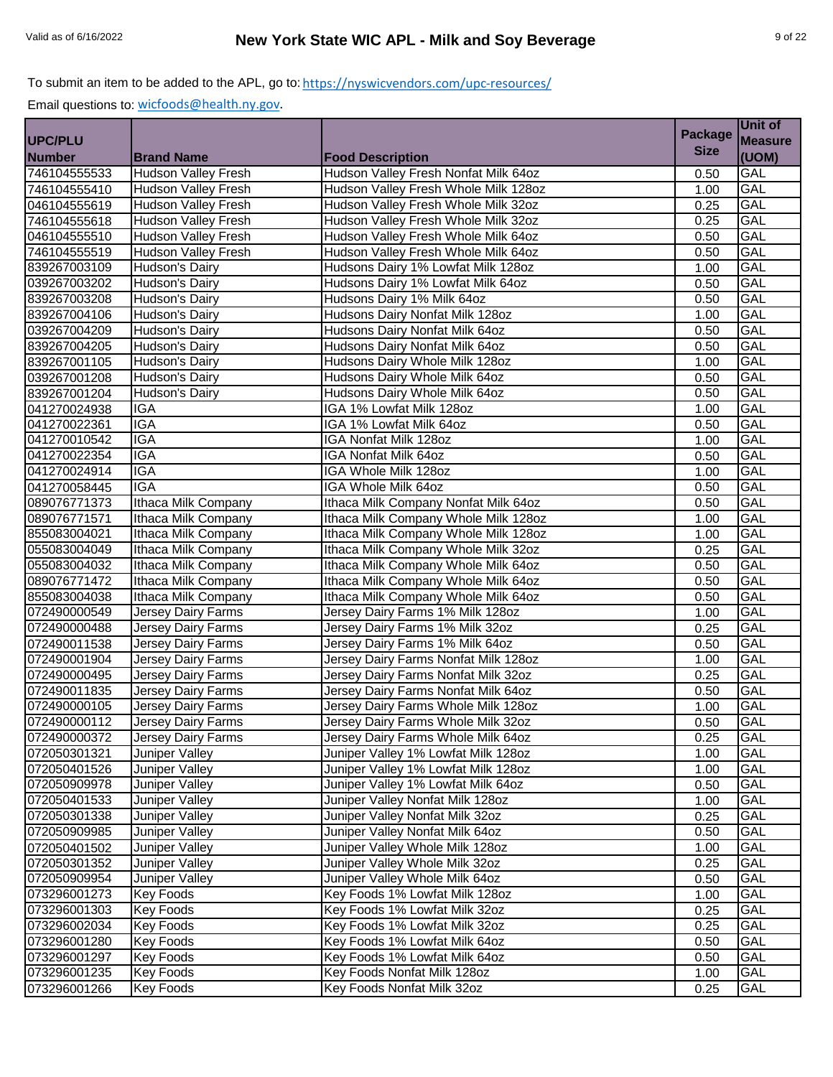|                |                            |                                      | <b>Package</b> | Unit of        |
|----------------|----------------------------|--------------------------------------|----------------|----------------|
| <b>UPC/PLU</b> |                            |                                      |                | <b>Measure</b> |
| <b>Number</b>  | <b>Brand Name</b>          | <b>Food Description</b>              | <b>Size</b>    | (UOM)          |
| 746104555533   | Hudson Valley Fresh        | Hudson Valley Fresh Nonfat Milk 64oz | 0.50           | GAL            |
| 746104555410   | <b>Hudson Valley Fresh</b> | Hudson Valley Fresh Whole Milk 128oz | 1.00           | <b>GAL</b>     |
| 046104555619   | <b>Hudson Valley Fresh</b> | Hudson Valley Fresh Whole Milk 32oz  | 0.25           | GAL            |
| 746104555618   | <b>Hudson Valley Fresh</b> | Hudson Valley Fresh Whole Milk 32oz  | 0.25           | GAL            |
| 046104555510   | <b>Hudson Valley Fresh</b> | Hudson Valley Fresh Whole Milk 64oz  | 0.50           | GAL            |
| 746104555519   | <b>Hudson Valley Fresh</b> | Hudson Valley Fresh Whole Milk 64oz  | 0.50           | <b>GAL</b>     |
| 839267003109   | Hudson's Dairy             | Hudsons Dairy 1% Lowfat Milk 128oz   | 1.00           | <b>GAL</b>     |
| 039267003202   | Hudson's Dairy             | Hudsons Dairy 1% Lowfat Milk 64oz    | 0.50           | <b>GAL</b>     |
| 839267003208   | <b>Hudson's Dairy</b>      | Hudsons Dairy 1% Milk 64oz           | 0.50           | GAL            |
| 839267004106   | Hudson's Dairy             | Hudsons Dairy Nonfat Milk 128oz      | 1.00           | GAL            |
| 039267004209   | Hudson's Dairy             | Hudsons Dairy Nonfat Milk 64oz       | 0.50           | GAL            |
| 839267004205   | Hudson's Dairy             | Hudsons Dairy Nonfat Milk 64oz       | 0.50           | GAL            |
| 839267001105   | Hudson's Dairy             | Hudsons Dairy Whole Milk 128oz       | 1.00           | <b>GAL</b>     |
| 039267001208   | Hudson's Dairy             | Hudsons Dairy Whole Milk 64oz        | 0.50           | <b>GAL</b>     |
| 839267001204   | Hudson's Dairy             | Hudsons Dairy Whole Milk 64oz        | 0.50           | <b>GAL</b>     |
| 041270024938   | <b>IGA</b>                 | IGA 1% Lowfat Milk 128oz             | 1.00           | <b>GAL</b>     |
| 041270022361   | <b>IGA</b>                 | IGA 1% Lowfat Milk 64oz              | 0.50           | GAL            |
| 041270010542   | <b>IGA</b>                 | IGA Nonfat Milk 128oz                | 1.00           | <b>GAL</b>     |
| 041270022354   | <b>IGA</b>                 | IGA Nonfat Milk 64oz                 | 0.50           | <b>GAL</b>     |
| 041270024914   | <b>IGA</b>                 | IGA Whole Milk 128oz                 | 1.00           | <b>GAL</b>     |
| 041270058445   | <b>IGA</b>                 | IGA Whole Milk 64oz                  | 0.50           | GAL            |
| 089076771373   | Ithaca Milk Company        | Ithaca Milk Company Nonfat Milk 64oz | 0.50           | GAL            |
| 089076771571   | Ithaca Milk Company        | Ithaca Milk Company Whole Milk 128oz | 1.00           | GAL            |
| 855083004021   | Ithaca Milk Company        | Ithaca Milk Company Whole Milk 128oz | 1.00           | GAL            |
| 055083004049   | Ithaca Milk Company        | Ithaca Milk Company Whole Milk 32oz  | 0.25           | GAL            |
| 055083004032   | Ithaca Milk Company        | Ithaca Milk Company Whole Milk 64oz  | 0.50           | <b>GAL</b>     |
| 089076771472   | Ithaca Milk Company        | Ithaca Milk Company Whole Milk 64oz  | 0.50           | <b>GAL</b>     |
| 855083004038   | Ithaca Milk Company        | Ithaca Milk Company Whole Milk 64oz  | 0.50           | <b>GAL</b>     |
| 072490000549   | Jersey Dairy Farms         | Jersey Dairy Farms 1% Milk 128oz     | 1.00           | GAL            |
| 072490000488   | Jersey Dairy Farms         | Jersey Dairy Farms 1% Milk 32oz      | 0.25           | GAL            |
| 072490011538   | Jersey Dairy Farms         | Jersey Dairy Farms 1% Milk 64oz      | 0.50           | GAL            |
| 072490001904   | Jersey Dairy Farms         | Jersey Dairy Farms Nonfat Milk 128oz | 1.00           | GAL            |
| 072490000495   | Jersey Dairy Farms         | Jersey Dairy Farms Nonfat Milk 32oz  | 0.25           | <b>GAL</b>     |
| 072490011835   | <b>Jersey Dairy Farms</b>  | Jersey Dairy Farms Nonfat Milk 64oz  | 0.50           | GAL            |
| 072490000105   | Jersey Dairy Farms         | Jersey Dairy Farms Whole Milk 128oz  | 1.00           | GAL            |
| 072490000112   | Jersey Dairy Farms         | Jersey Dairy Farms Whole Milk 32oz   | 0.50           | <b>GAL</b>     |
| 072490000372   | Jersey Dairy Farms         | Jersey Dairy Farms Whole Milk 64oz   | 0.25           | GAL            |
| 072050301321   | Juniper Valley             | Juniper Valley 1% Lowfat Milk 128oz  | 1.00           | GAL            |
| 072050401526   | Juniper Valley             | Juniper Valley 1% Lowfat Milk 128oz  | 1.00           | GAL            |
| 072050909978   | Juniper Valley             | Juniper Valley 1% Lowfat Milk 64oz   | 0.50           | GAL            |
| 072050401533   | Juniper Valley             | Juniper Valley Nonfat Milk 128oz     | 1.00           | GAL            |
| 072050301338   | Juniper Valley             | Juniper Valley Nonfat Milk 32oz      | 0.25           | GAL            |
| 072050909985   | Juniper Valley             | Juniper Valley Nonfat Milk 64oz      | 0.50           | GAL            |
| 072050401502   | Juniper Valley             | Juniper Valley Whole Milk 128oz      | 1.00           | GAL            |
| 072050301352   | Juniper Valley             | Juniper Valley Whole Milk 32oz       | 0.25           | GAL            |
| 072050909954   | Juniper Valley             | Juniper Valley Whole Milk 64oz       | 0.50           | GAL            |
| 073296001273   | <b>Key Foods</b>           | Key Foods 1% Lowfat Milk 128oz       | 1.00           | GAL            |
| 073296001303   | <b>Key Foods</b>           | Key Foods 1% Lowfat Milk 32oz        | 0.25           | GAL            |
| 073296002034   | <b>Key Foods</b>           | Key Foods 1% Lowfat Milk 32oz        | 0.25           | GAL            |
| 073296001280   | <b>Key Foods</b>           | Key Foods 1% Lowfat Milk 64oz        | 0.50           | GAL            |
| 073296001297   | <b>Key Foods</b>           | Key Foods 1% Lowfat Milk 64oz        | 0.50           | GAL            |
| 073296001235   | <b>Key Foods</b>           | Key Foods Nonfat Milk 128oz          | 1.00           | GAL            |
| 073296001266   | <b>Key Foods</b>           | Key Foods Nonfat Milk 32oz           | 0.25           | GAL            |
|                |                            |                                      |                |                |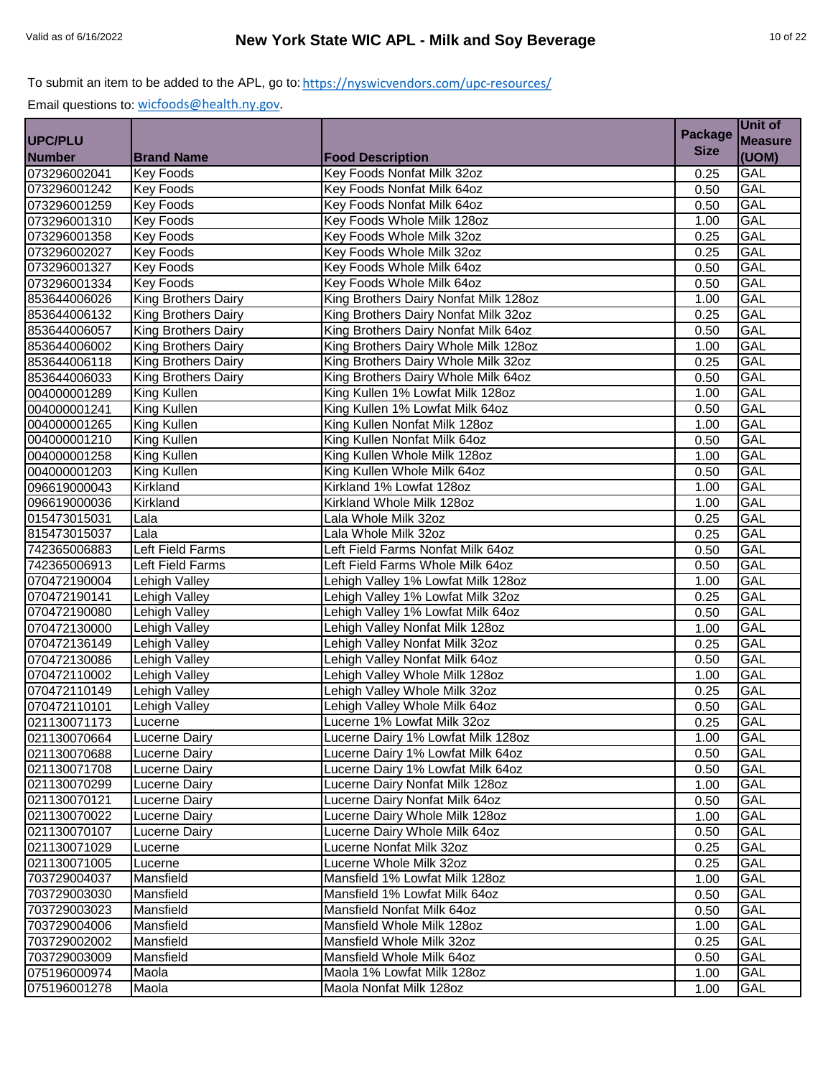|                |                            |                                       | <b>Package</b> | Unit of        |
|----------------|----------------------------|---------------------------------------|----------------|----------------|
| <b>UPC/PLU</b> |                            |                                       |                | <b>Measure</b> |
| <b>Number</b>  | <b>Brand Name</b>          | <b>Food Description</b>               | <b>Size</b>    | (UOM)          |
| 073296002041   | <b>Key Foods</b>           | Key Foods Nonfat Milk 32oz            | 0.25           | <b>GAL</b>     |
| 073296001242   | <b>Key Foods</b>           | Key Foods Nonfat Milk 64oz            | 0.50           | <b>GAL</b>     |
| 073296001259   | <b>Key Foods</b>           | Key Foods Nonfat Milk 64oz            | 0.50           | GAL            |
| 073296001310   | <b>Key Foods</b>           | Key Foods Whole Milk 128oz            | 1.00           | GAL            |
| 073296001358   | <b>Key Foods</b>           | Key Foods Whole Milk 32oz             | 0.25           | GAL            |
| 073296002027   | <b>Key Foods</b>           | Key Foods Whole Milk 32oz             | 0.25           | GAL            |
| 073296001327   | <b>Key Foods</b>           | Key Foods Whole Milk 64oz             | 0.50           | GAL            |
| 073296001334   | <b>Key Foods</b>           | Key Foods Whole Milk 64oz             | 0.50           | GAL            |
| 853644006026   | King Brothers Dairy        | King Brothers Dairy Nonfat Milk 128oz | 1.00           | GAL            |
| 853644006132   | King Brothers Dairy        | King Brothers Dairy Nonfat Milk 32oz  | 0.25           | GAL            |
| 853644006057   | <b>King Brothers Dairy</b> | King Brothers Dairy Nonfat Milk 64oz  | 0.50           | GAL            |
| 853644006002   | King Brothers Dairy        | King Brothers Dairy Whole Milk 128oz  | 1.00           | <b>GAL</b>     |
| 853644006118   | <b>King Brothers Dairy</b> | King Brothers Dairy Whole Milk 32oz   | 0.25           | <b>GAL</b>     |
| 853644006033   | King Brothers Dairy        | King Brothers Dairy Whole Milk 64oz   | 0.50           | <b>GAL</b>     |
| 004000001289   | King Kullen                | King Kullen 1% Lowfat Milk 128oz      | 1.00           | <b>GAL</b>     |
| 004000001241   | King Kullen                | King Kullen 1% Lowfat Milk 64oz       | 0.50           | <b>GAL</b>     |
| 004000001265   | <b>King Kullen</b>         | King Kullen Nonfat Milk 128oz         | 1.00           | <b>GAL</b>     |
| 004000001210   | King Kullen                | King Kullen Nonfat Milk 64oz          | 0.50           | GAL            |
| 004000001258   | King Kullen                | King Kullen Whole Milk 128oz          | 1.00           | <b>GAL</b>     |
| 004000001203   | King Kullen                | King Kullen Whole Milk 64oz           | 0.50           | <b>GAL</b>     |
| 096619000043   | Kirkland                   | Kirkland 1% Lowfat 128oz              | 1.00           | GAL            |
| 096619000036   | Kirkland                   | Kirkland Whole Milk 128oz             | 1.00           | <b>GAL</b>     |
| 015473015031   | Lala                       | Lala Whole Milk 32oz                  | 0.25           | <b>GAL</b>     |
| 815473015037   | Lala                       | Lala Whole Milk 32oz                  | 0.25           | <b>GAL</b>     |
| 742365006883   | Left Field Farms           | Left Field Farms Nonfat Milk 64oz     | 0.50           | GAL            |
| 742365006913   | Left Field Farms           | Left Field Farms Whole Milk 64oz      | 0.50           | <b>GAL</b>     |
| 070472190004   | Lehigh Valley              | Lehigh Valley 1% Lowfat Milk 128oz    | 1.00           | <b>GAL</b>     |
| 070472190141   | Lehigh Valley              | Lehigh Valley 1% Lowfat Milk 32oz     | 0.25           | <b>GAL</b>     |
| 070472190080   | Lehigh Valley              | Lehigh Valley 1% Lowfat Milk 64oz     | 0.50           | GAL            |
| 070472130000   | Lehigh Valley              | Lehigh Valley Nonfat Milk 128oz       | 1.00           | <b>GAL</b>     |
| 070472136149   | Lehigh Valley              | Lehigh Valley Nonfat Milk 32oz        | 0.25           | <b>GAL</b>     |
| 070472130086   | Lehigh Valley              | Lehigh Valley Nonfat Milk 64oz        | 0.50           | GAL            |
| 070472110002   | Lehigh Valley              | Lehigh Valley Whole Milk 128oz        | 1.00           | GAL            |
| 070472110149   | Lehigh Valley              | Lehigh Valley Whole Milk 32oz         | 0.25           | GAL            |
| 070472110101   | Lehigh Valley              | Lehigh Valley Whole Milk 64oz         | 0.50           | <b>GAL</b>     |
| 021130071173   | Lucerne                    | Lucerne 1% Lowfat Milk 32oz           | 0.25           | GAL            |
| 021130070664   | <b>Lucerne Dairy</b>       | Lucerne Dairy 1% Lowfat Milk 128oz    | 1.00           | <b>GAL</b>     |
| 021130070688   | Lucerne Dairy              | Lucerne Dairy 1% Lowfat Milk 64oz     | 0.50           | <b>GAL</b>     |
| 021130071708   | <b>Lucerne Dairy</b>       | Lucerne Dairy 1% Lowfat Milk 64oz     | 0.50           | GAL            |
| 021130070299   | <b>Lucerne Dairy</b>       | Lucerne Dairy Nonfat Milk 128oz       | 1.00           | GAL            |
| 021130070121   | Lucerne Dairy              | Lucerne Dairy Nonfat Milk 64oz        | 0.50           | GAL            |
| 021130070022   | Lucerne Dairy              | Lucerne Dairy Whole Milk 128oz        | 1.00           | <b>GAL</b>     |
| 021130070107   | Lucerne Dairy              | Lucerne Dairy Whole Milk 64oz         | 0.50           | GAL            |
| 021130071029   | Lucerne                    | Lucerne Nonfat Milk 32oz              | 0.25           | GAL            |
| 021130071005   | Lucerne                    | Lucerne Whole Milk 32oz               | 0.25           | GAL            |
| 703729004037   | Mansfield                  | Mansfield 1% Lowfat Milk 128oz        | 1.00           | GAL            |
| 703729003030   | Mansfield                  | Mansfield 1% Lowfat Milk 64oz         | 0.50           | <b>GAL</b>     |
| 703729003023   | Mansfield                  | Mansfield Nonfat Milk 64oz            | 0.50           | GAL            |
| 703729004006   | Mansfield                  | Mansfield Whole Milk 128oz            | 1.00           | GAL            |
| 703729002002   | Mansfield                  | Mansfield Whole Milk 32oz             | 0.25           | GAL            |
| 703729003009   | Mansfield                  | Mansfield Whole Milk 64oz             | 0.50           | GAL            |
| 075196000974   | Maola                      | Maola 1% Lowfat Milk 128oz            | 1.00           | <b>GAL</b>     |
| 075196001278   | Maola                      | Maola Nonfat Milk 128oz               | 1.00           | <b>GAL</b>     |
|                |                            |                                       |                |                |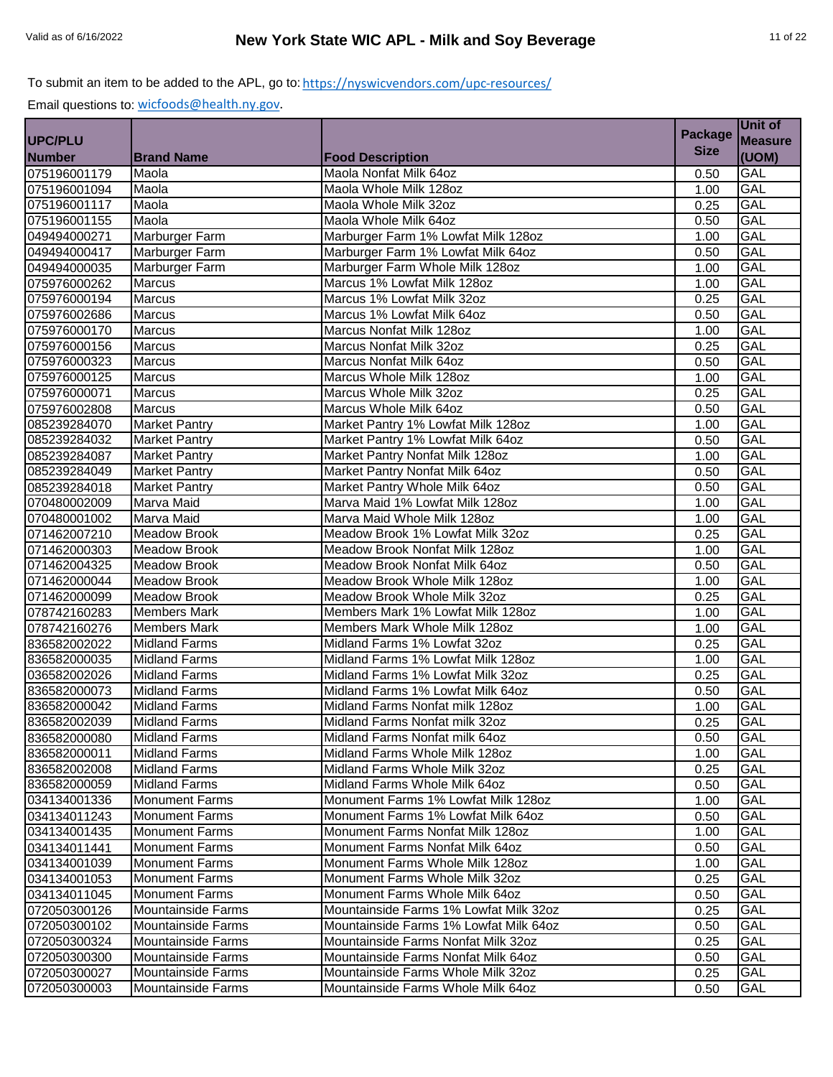| <b>Measure</b><br><b>Size</b><br>(UOM)<br><b>Brand Name</b><br><b>Food Description</b><br>Maola<br>Maola Nonfat Milk 64oz<br>GAL<br>0.50<br><b>GAL</b><br>Maola<br>Maola Whole Milk 128oz<br>1.00<br><b>GAL</b><br>Maola<br>Maola Whole Milk 32oz<br>0.25<br><b>GAL</b><br>Maola<br>Maola Whole Milk 64oz<br>0.50<br><b>GAL</b><br>Marburger Farm<br>Marburger Farm 1% Lowfat Milk 128oz<br>1.00<br><b>GAL</b><br>Marburger Farm<br>Marburger Farm 1% Lowfat Milk 64oz<br>0.50<br><b>GAL</b><br>Marburger Farm<br>Marburger Farm Whole Milk 128oz<br>1.00<br><b>GAL</b><br>Marcus 1% Lowfat Milk 128oz<br><b>Marcus</b><br>1.00<br><b>GAL</b><br><b>Marcus</b><br>Marcus 1% Lowfat Milk 32oz<br>0.25<br><b>GAL</b><br><b>Marcus</b><br>Marcus 1% Lowfat Milk 64oz<br>0.50<br>075976000170<br><b>GAL</b><br>Marcus<br>Marcus Nonfat Milk 128oz<br>1.00<br>075976000156<br><b>GAL</b><br><b>Marcus</b><br><b>Marcus Nonfat Milk 32oz</b><br>0.25<br>075976000323<br>GAL<br><b>Marcus</b><br>Marcus Nonfat Milk 64oz<br>0.50<br>075976000125<br><b>GAL</b><br>Marcus<br>Marcus Whole Milk 128oz<br>1.00<br><b>GAL</b><br><b>Marcus</b><br>Marcus Whole Milk 32oz<br>0.25<br>GAL<br><b>Marcus</b><br>Marcus Whole Milk 64oz<br>0.50<br><b>GAL</b><br>Market Pantry<br>Market Pantry 1% Lowfat Milk 128oz<br>1.00<br><b>GAL</b><br>Market Pantry 1% Lowfat Milk 64oz<br><b>Market Pantry</b><br>0.50<br>GAL<br><b>Market Pantry</b><br>Market Pantry Nonfat Milk 128oz<br>1.00<br>Market Pantry Nonfat Milk 64oz<br><b>GAL</b><br><b>Market Pantry</b><br>0.50<br><b>GAL</b><br>Market Pantry Whole Milk 64oz<br><b>Market Pantry</b><br>0.50<br>085239284018<br>070480002009<br><b>GAL</b><br>Marva Maid<br>Marva Maid 1% Lowfat Milk 128oz<br>1.00<br>070480001002<br>Marva Maid Whole Milk 128oz<br><b>GAL</b><br>Marva Maid<br>1.00<br>071462007210<br>Meadow Brook 1% Lowfat Milk 32oz<br><b>GAL</b><br><b>Meadow Brook</b><br>0.25<br>071462000303<br>GAL<br><b>Meadow Brook</b><br>Meadow Brook Nonfat Milk 128oz<br>1.00<br>071462004325<br><b>GAL</b><br><b>Meadow Brook</b><br>Meadow Brook Nonfat Milk 64oz<br>0.50<br>071462000044<br><b>GAL</b><br><b>Meadow Brook</b><br>Meadow Brook Whole Milk 128oz<br>1.00<br><b>GAL</b><br><b>Meadow Brook</b><br>Meadow Brook Whole Milk 32oz<br>0.25<br><b>GAL</b><br><b>Members Mark</b><br>Members Mark 1% Lowfat Milk 128oz<br>078742160283<br>1.00<br><b>GAL</b><br><b>Members Mark</b><br>Members Mark Whole Milk 128oz<br>078742160276<br>1.00<br><b>GAL</b><br><b>Midland Farms</b><br>Midland Farms 1% Lowfat 32oz<br>836582002022<br>0.25<br>GAL<br><b>Midland Farms</b><br>Midland Farms 1% Lowfat Milk 128oz<br>836582000035<br>1.00<br><b>GAL</b><br>Midland Farms 1% Lowfat Milk 32oz<br>036582002026<br><b>Midland Farms</b><br>0.25<br>Midland Farms 1% Lowfat Milk 64oz<br><b>GAL</b><br><b>Midland Farms</b><br>0.50<br>836582000042<br>Midland Farms Nonfat milk 128oz<br><b>GAL</b><br><b>Midland Farms</b><br>1.00<br>836582002039<br><b>Midland Farms</b><br>0.25<br><b>GAL</b><br>Midland Farms Nonfat milk 32oz<br>836582000080<br><b>Midland Farms</b><br>Midland Farms Nonfat milk 64oz<br>GAL<br>0.50<br>836582000011<br><b>GAL</b><br><b>Midland Farms</b><br>Midland Farms Whole Milk 128oz<br>1.00<br>836582002008<br><b>Midland Farms</b><br>Midland Farms Whole Milk 32oz<br>0.25<br>GAL<br>836582000059<br><b>Midland Farms</b><br>Midland Farms Whole Milk 64oz<br>GAL<br>0.50<br>Monument Farms 1% Lowfat Milk 128oz<br>GAL<br><b>Monument Farms</b><br>1.00<br>Monument Farms 1% Lowfat Milk 64oz<br>GAL<br><b>Monument Farms</b><br>0.50<br>GAL<br>034134001435<br><b>Monument Farms</b><br>Monument Farms Nonfat Milk 128oz<br>1.00<br>GAL<br>Monument Farms<br>Monument Farms Nonfat Milk 64oz<br>034134011441<br>0.50<br>GAL<br><b>Monument Farms</b><br>Monument Farms Whole Milk 128oz<br>034134001039<br>1.00<br>Monument Farms Whole Milk 32oz<br>GAL<br>034134001053<br><b>Monument Farms</b><br>0.25<br><b>Monument Farms</b><br>Monument Farms Whole Milk 64oz<br>GAL<br>0.50<br>Mountainside Farms 1% Lowfat Milk 32oz<br>GAL<br>072050300126<br><b>Mountainside Farms</b><br>0.25<br>072050300102<br>Mountainside Farms<br>Mountainside Farms 1% Lowfat Milk 64oz<br>GAL<br>0.50<br>072050300324<br><b>Mountainside Farms</b><br>Mountainside Farms Nonfat Milk 32oz<br>0.25<br>GAL<br>072050300300<br>GAL<br><b>Mountainside Farms</b><br>Mountainside Farms Nonfat Milk 64oz<br>0.50<br>072050300027<br>Mountainside Farms<br>Mountainside Farms Whole Milk 32oz<br><b>GAL</b><br>0.25<br>Mountainside Farms Whole Milk 64oz<br>GAL<br><b>Mountainside Farms</b><br>0.50 |                |  |                | Unit of |
|----------------------------------------------------------------------------------------------------------------------------------------------------------------------------------------------------------------------------------------------------------------------------------------------------------------------------------------------------------------------------------------------------------------------------------------------------------------------------------------------------------------------------------------------------------------------------------------------------------------------------------------------------------------------------------------------------------------------------------------------------------------------------------------------------------------------------------------------------------------------------------------------------------------------------------------------------------------------------------------------------------------------------------------------------------------------------------------------------------------------------------------------------------------------------------------------------------------------------------------------------------------------------------------------------------------------------------------------------------------------------------------------------------------------------------------------------------------------------------------------------------------------------------------------------------------------------------------------------------------------------------------------------------------------------------------------------------------------------------------------------------------------------------------------------------------------------------------------------------------------------------------------------------------------------------------------------------------------------------------------------------------------------------------------------------------------------------------------------------------------------------------------------------------------------------------------------------------------------------------------------------------------------------------------------------------------------------------------------------------------------------------------------------------------------------------------------------------------------------------------------------------------------------------------------------------------------------------------------------------------------------------------------------------------------------------------------------------------------------------------------------------------------------------------------------------------------------------------------------------------------------------------------------------------------------------------------------------------------------------------------------------------------------------------------------------------------------------------------------------------------------------------------------------------------------------------------------------------------------------------------------------------------------------------------------------------------------------------------------------------------------------------------------------------------------------------------------------------------------------------------------------------------------------------------------------------------------------------------------------------------------------------------------------------------------------------------------------------------------------------------------------------------------------------------------------------------------------------------------------------------------------------------------------------------------------------------------------------------------------------------------------------------------------------------------------------------------------------------------------------------------------------------------------------------------------------------------------------------------------------------------------------------------------------------------------------------------------------------------------------------------------------------------------------------------------------------------------------------------------------------------------------------------------------------------------------------------------------------------------------------------------------------------------------------|----------------|--|----------------|---------|
|                                                                                                                                                                                                                                                                                                                                                                                                                                                                                                                                                                                                                                                                                                                                                                                                                                                                                                                                                                                                                                                                                                                                                                                                                                                                                                                                                                                                                                                                                                                                                                                                                                                                                                                                                                                                                                                                                                                                                                                                                                                                                                                                                                                                                                                                                                                                                                                                                                                                                                                                                                                                                                                                                                                                                                                                                                                                                                                                                                                                                                                                                                                                                                                                                                                                                                                                                                                                                                                                                                                                                                                                                                                                                                                                                                                                                                                                                                                                                                                                                                                                                                                                                                                                                                                                                                                                                                                                                                                                                                                                                                                                                                                                            | <b>UPC/PLU</b> |  | <b>Package</b> |         |
|                                                                                                                                                                                                                                                                                                                                                                                                                                                                                                                                                                                                                                                                                                                                                                                                                                                                                                                                                                                                                                                                                                                                                                                                                                                                                                                                                                                                                                                                                                                                                                                                                                                                                                                                                                                                                                                                                                                                                                                                                                                                                                                                                                                                                                                                                                                                                                                                                                                                                                                                                                                                                                                                                                                                                                                                                                                                                                                                                                                                                                                                                                                                                                                                                                                                                                                                                                                                                                                                                                                                                                                                                                                                                                                                                                                                                                                                                                                                                                                                                                                                                                                                                                                                                                                                                                                                                                                                                                                                                                                                                                                                                                                                            | <b>Number</b>  |  |                |         |
|                                                                                                                                                                                                                                                                                                                                                                                                                                                                                                                                                                                                                                                                                                                                                                                                                                                                                                                                                                                                                                                                                                                                                                                                                                                                                                                                                                                                                                                                                                                                                                                                                                                                                                                                                                                                                                                                                                                                                                                                                                                                                                                                                                                                                                                                                                                                                                                                                                                                                                                                                                                                                                                                                                                                                                                                                                                                                                                                                                                                                                                                                                                                                                                                                                                                                                                                                                                                                                                                                                                                                                                                                                                                                                                                                                                                                                                                                                                                                                                                                                                                                                                                                                                                                                                                                                                                                                                                                                                                                                                                                                                                                                                                            | 075196001179   |  |                |         |
|                                                                                                                                                                                                                                                                                                                                                                                                                                                                                                                                                                                                                                                                                                                                                                                                                                                                                                                                                                                                                                                                                                                                                                                                                                                                                                                                                                                                                                                                                                                                                                                                                                                                                                                                                                                                                                                                                                                                                                                                                                                                                                                                                                                                                                                                                                                                                                                                                                                                                                                                                                                                                                                                                                                                                                                                                                                                                                                                                                                                                                                                                                                                                                                                                                                                                                                                                                                                                                                                                                                                                                                                                                                                                                                                                                                                                                                                                                                                                                                                                                                                                                                                                                                                                                                                                                                                                                                                                                                                                                                                                                                                                                                                            | 075196001094   |  |                |         |
|                                                                                                                                                                                                                                                                                                                                                                                                                                                                                                                                                                                                                                                                                                                                                                                                                                                                                                                                                                                                                                                                                                                                                                                                                                                                                                                                                                                                                                                                                                                                                                                                                                                                                                                                                                                                                                                                                                                                                                                                                                                                                                                                                                                                                                                                                                                                                                                                                                                                                                                                                                                                                                                                                                                                                                                                                                                                                                                                                                                                                                                                                                                                                                                                                                                                                                                                                                                                                                                                                                                                                                                                                                                                                                                                                                                                                                                                                                                                                                                                                                                                                                                                                                                                                                                                                                                                                                                                                                                                                                                                                                                                                                                                            | 075196001117   |  |                |         |
|                                                                                                                                                                                                                                                                                                                                                                                                                                                                                                                                                                                                                                                                                                                                                                                                                                                                                                                                                                                                                                                                                                                                                                                                                                                                                                                                                                                                                                                                                                                                                                                                                                                                                                                                                                                                                                                                                                                                                                                                                                                                                                                                                                                                                                                                                                                                                                                                                                                                                                                                                                                                                                                                                                                                                                                                                                                                                                                                                                                                                                                                                                                                                                                                                                                                                                                                                                                                                                                                                                                                                                                                                                                                                                                                                                                                                                                                                                                                                                                                                                                                                                                                                                                                                                                                                                                                                                                                                                                                                                                                                                                                                                                                            | 075196001155   |  |                |         |
|                                                                                                                                                                                                                                                                                                                                                                                                                                                                                                                                                                                                                                                                                                                                                                                                                                                                                                                                                                                                                                                                                                                                                                                                                                                                                                                                                                                                                                                                                                                                                                                                                                                                                                                                                                                                                                                                                                                                                                                                                                                                                                                                                                                                                                                                                                                                                                                                                                                                                                                                                                                                                                                                                                                                                                                                                                                                                                                                                                                                                                                                                                                                                                                                                                                                                                                                                                                                                                                                                                                                                                                                                                                                                                                                                                                                                                                                                                                                                                                                                                                                                                                                                                                                                                                                                                                                                                                                                                                                                                                                                                                                                                                                            | 049494000271   |  |                |         |
|                                                                                                                                                                                                                                                                                                                                                                                                                                                                                                                                                                                                                                                                                                                                                                                                                                                                                                                                                                                                                                                                                                                                                                                                                                                                                                                                                                                                                                                                                                                                                                                                                                                                                                                                                                                                                                                                                                                                                                                                                                                                                                                                                                                                                                                                                                                                                                                                                                                                                                                                                                                                                                                                                                                                                                                                                                                                                                                                                                                                                                                                                                                                                                                                                                                                                                                                                                                                                                                                                                                                                                                                                                                                                                                                                                                                                                                                                                                                                                                                                                                                                                                                                                                                                                                                                                                                                                                                                                                                                                                                                                                                                                                                            | 049494000417   |  |                |         |
|                                                                                                                                                                                                                                                                                                                                                                                                                                                                                                                                                                                                                                                                                                                                                                                                                                                                                                                                                                                                                                                                                                                                                                                                                                                                                                                                                                                                                                                                                                                                                                                                                                                                                                                                                                                                                                                                                                                                                                                                                                                                                                                                                                                                                                                                                                                                                                                                                                                                                                                                                                                                                                                                                                                                                                                                                                                                                                                                                                                                                                                                                                                                                                                                                                                                                                                                                                                                                                                                                                                                                                                                                                                                                                                                                                                                                                                                                                                                                                                                                                                                                                                                                                                                                                                                                                                                                                                                                                                                                                                                                                                                                                                                            | 049494000035   |  |                |         |
|                                                                                                                                                                                                                                                                                                                                                                                                                                                                                                                                                                                                                                                                                                                                                                                                                                                                                                                                                                                                                                                                                                                                                                                                                                                                                                                                                                                                                                                                                                                                                                                                                                                                                                                                                                                                                                                                                                                                                                                                                                                                                                                                                                                                                                                                                                                                                                                                                                                                                                                                                                                                                                                                                                                                                                                                                                                                                                                                                                                                                                                                                                                                                                                                                                                                                                                                                                                                                                                                                                                                                                                                                                                                                                                                                                                                                                                                                                                                                                                                                                                                                                                                                                                                                                                                                                                                                                                                                                                                                                                                                                                                                                                                            | 075976000262   |  |                |         |
|                                                                                                                                                                                                                                                                                                                                                                                                                                                                                                                                                                                                                                                                                                                                                                                                                                                                                                                                                                                                                                                                                                                                                                                                                                                                                                                                                                                                                                                                                                                                                                                                                                                                                                                                                                                                                                                                                                                                                                                                                                                                                                                                                                                                                                                                                                                                                                                                                                                                                                                                                                                                                                                                                                                                                                                                                                                                                                                                                                                                                                                                                                                                                                                                                                                                                                                                                                                                                                                                                                                                                                                                                                                                                                                                                                                                                                                                                                                                                                                                                                                                                                                                                                                                                                                                                                                                                                                                                                                                                                                                                                                                                                                                            | 075976000194   |  |                |         |
|                                                                                                                                                                                                                                                                                                                                                                                                                                                                                                                                                                                                                                                                                                                                                                                                                                                                                                                                                                                                                                                                                                                                                                                                                                                                                                                                                                                                                                                                                                                                                                                                                                                                                                                                                                                                                                                                                                                                                                                                                                                                                                                                                                                                                                                                                                                                                                                                                                                                                                                                                                                                                                                                                                                                                                                                                                                                                                                                                                                                                                                                                                                                                                                                                                                                                                                                                                                                                                                                                                                                                                                                                                                                                                                                                                                                                                                                                                                                                                                                                                                                                                                                                                                                                                                                                                                                                                                                                                                                                                                                                                                                                                                                            | 075976002686   |  |                |         |
|                                                                                                                                                                                                                                                                                                                                                                                                                                                                                                                                                                                                                                                                                                                                                                                                                                                                                                                                                                                                                                                                                                                                                                                                                                                                                                                                                                                                                                                                                                                                                                                                                                                                                                                                                                                                                                                                                                                                                                                                                                                                                                                                                                                                                                                                                                                                                                                                                                                                                                                                                                                                                                                                                                                                                                                                                                                                                                                                                                                                                                                                                                                                                                                                                                                                                                                                                                                                                                                                                                                                                                                                                                                                                                                                                                                                                                                                                                                                                                                                                                                                                                                                                                                                                                                                                                                                                                                                                                                                                                                                                                                                                                                                            |                |  |                |         |
|                                                                                                                                                                                                                                                                                                                                                                                                                                                                                                                                                                                                                                                                                                                                                                                                                                                                                                                                                                                                                                                                                                                                                                                                                                                                                                                                                                                                                                                                                                                                                                                                                                                                                                                                                                                                                                                                                                                                                                                                                                                                                                                                                                                                                                                                                                                                                                                                                                                                                                                                                                                                                                                                                                                                                                                                                                                                                                                                                                                                                                                                                                                                                                                                                                                                                                                                                                                                                                                                                                                                                                                                                                                                                                                                                                                                                                                                                                                                                                                                                                                                                                                                                                                                                                                                                                                                                                                                                                                                                                                                                                                                                                                                            |                |  |                |         |
|                                                                                                                                                                                                                                                                                                                                                                                                                                                                                                                                                                                                                                                                                                                                                                                                                                                                                                                                                                                                                                                                                                                                                                                                                                                                                                                                                                                                                                                                                                                                                                                                                                                                                                                                                                                                                                                                                                                                                                                                                                                                                                                                                                                                                                                                                                                                                                                                                                                                                                                                                                                                                                                                                                                                                                                                                                                                                                                                                                                                                                                                                                                                                                                                                                                                                                                                                                                                                                                                                                                                                                                                                                                                                                                                                                                                                                                                                                                                                                                                                                                                                                                                                                                                                                                                                                                                                                                                                                                                                                                                                                                                                                                                            |                |  |                |         |
|                                                                                                                                                                                                                                                                                                                                                                                                                                                                                                                                                                                                                                                                                                                                                                                                                                                                                                                                                                                                                                                                                                                                                                                                                                                                                                                                                                                                                                                                                                                                                                                                                                                                                                                                                                                                                                                                                                                                                                                                                                                                                                                                                                                                                                                                                                                                                                                                                                                                                                                                                                                                                                                                                                                                                                                                                                                                                                                                                                                                                                                                                                                                                                                                                                                                                                                                                                                                                                                                                                                                                                                                                                                                                                                                                                                                                                                                                                                                                                                                                                                                                                                                                                                                                                                                                                                                                                                                                                                                                                                                                                                                                                                                            |                |  |                |         |
|                                                                                                                                                                                                                                                                                                                                                                                                                                                                                                                                                                                                                                                                                                                                                                                                                                                                                                                                                                                                                                                                                                                                                                                                                                                                                                                                                                                                                                                                                                                                                                                                                                                                                                                                                                                                                                                                                                                                                                                                                                                                                                                                                                                                                                                                                                                                                                                                                                                                                                                                                                                                                                                                                                                                                                                                                                                                                                                                                                                                                                                                                                                                                                                                                                                                                                                                                                                                                                                                                                                                                                                                                                                                                                                                                                                                                                                                                                                                                                                                                                                                                                                                                                                                                                                                                                                                                                                                                                                                                                                                                                                                                                                                            | 075976000071   |  |                |         |
|                                                                                                                                                                                                                                                                                                                                                                                                                                                                                                                                                                                                                                                                                                                                                                                                                                                                                                                                                                                                                                                                                                                                                                                                                                                                                                                                                                                                                                                                                                                                                                                                                                                                                                                                                                                                                                                                                                                                                                                                                                                                                                                                                                                                                                                                                                                                                                                                                                                                                                                                                                                                                                                                                                                                                                                                                                                                                                                                                                                                                                                                                                                                                                                                                                                                                                                                                                                                                                                                                                                                                                                                                                                                                                                                                                                                                                                                                                                                                                                                                                                                                                                                                                                                                                                                                                                                                                                                                                                                                                                                                                                                                                                                            | 075976002808   |  |                |         |
|                                                                                                                                                                                                                                                                                                                                                                                                                                                                                                                                                                                                                                                                                                                                                                                                                                                                                                                                                                                                                                                                                                                                                                                                                                                                                                                                                                                                                                                                                                                                                                                                                                                                                                                                                                                                                                                                                                                                                                                                                                                                                                                                                                                                                                                                                                                                                                                                                                                                                                                                                                                                                                                                                                                                                                                                                                                                                                                                                                                                                                                                                                                                                                                                                                                                                                                                                                                                                                                                                                                                                                                                                                                                                                                                                                                                                                                                                                                                                                                                                                                                                                                                                                                                                                                                                                                                                                                                                                                                                                                                                                                                                                                                            | 085239284070   |  |                |         |
|                                                                                                                                                                                                                                                                                                                                                                                                                                                                                                                                                                                                                                                                                                                                                                                                                                                                                                                                                                                                                                                                                                                                                                                                                                                                                                                                                                                                                                                                                                                                                                                                                                                                                                                                                                                                                                                                                                                                                                                                                                                                                                                                                                                                                                                                                                                                                                                                                                                                                                                                                                                                                                                                                                                                                                                                                                                                                                                                                                                                                                                                                                                                                                                                                                                                                                                                                                                                                                                                                                                                                                                                                                                                                                                                                                                                                                                                                                                                                                                                                                                                                                                                                                                                                                                                                                                                                                                                                                                                                                                                                                                                                                                                            | 085239284032   |  |                |         |
|                                                                                                                                                                                                                                                                                                                                                                                                                                                                                                                                                                                                                                                                                                                                                                                                                                                                                                                                                                                                                                                                                                                                                                                                                                                                                                                                                                                                                                                                                                                                                                                                                                                                                                                                                                                                                                                                                                                                                                                                                                                                                                                                                                                                                                                                                                                                                                                                                                                                                                                                                                                                                                                                                                                                                                                                                                                                                                                                                                                                                                                                                                                                                                                                                                                                                                                                                                                                                                                                                                                                                                                                                                                                                                                                                                                                                                                                                                                                                                                                                                                                                                                                                                                                                                                                                                                                                                                                                                                                                                                                                                                                                                                                            | 085239284087   |  |                |         |
|                                                                                                                                                                                                                                                                                                                                                                                                                                                                                                                                                                                                                                                                                                                                                                                                                                                                                                                                                                                                                                                                                                                                                                                                                                                                                                                                                                                                                                                                                                                                                                                                                                                                                                                                                                                                                                                                                                                                                                                                                                                                                                                                                                                                                                                                                                                                                                                                                                                                                                                                                                                                                                                                                                                                                                                                                                                                                                                                                                                                                                                                                                                                                                                                                                                                                                                                                                                                                                                                                                                                                                                                                                                                                                                                                                                                                                                                                                                                                                                                                                                                                                                                                                                                                                                                                                                                                                                                                                                                                                                                                                                                                                                                            | 085239284049   |  |                |         |
|                                                                                                                                                                                                                                                                                                                                                                                                                                                                                                                                                                                                                                                                                                                                                                                                                                                                                                                                                                                                                                                                                                                                                                                                                                                                                                                                                                                                                                                                                                                                                                                                                                                                                                                                                                                                                                                                                                                                                                                                                                                                                                                                                                                                                                                                                                                                                                                                                                                                                                                                                                                                                                                                                                                                                                                                                                                                                                                                                                                                                                                                                                                                                                                                                                                                                                                                                                                                                                                                                                                                                                                                                                                                                                                                                                                                                                                                                                                                                                                                                                                                                                                                                                                                                                                                                                                                                                                                                                                                                                                                                                                                                                                                            |                |  |                |         |
|                                                                                                                                                                                                                                                                                                                                                                                                                                                                                                                                                                                                                                                                                                                                                                                                                                                                                                                                                                                                                                                                                                                                                                                                                                                                                                                                                                                                                                                                                                                                                                                                                                                                                                                                                                                                                                                                                                                                                                                                                                                                                                                                                                                                                                                                                                                                                                                                                                                                                                                                                                                                                                                                                                                                                                                                                                                                                                                                                                                                                                                                                                                                                                                                                                                                                                                                                                                                                                                                                                                                                                                                                                                                                                                                                                                                                                                                                                                                                                                                                                                                                                                                                                                                                                                                                                                                                                                                                                                                                                                                                                                                                                                                            |                |  |                |         |
|                                                                                                                                                                                                                                                                                                                                                                                                                                                                                                                                                                                                                                                                                                                                                                                                                                                                                                                                                                                                                                                                                                                                                                                                                                                                                                                                                                                                                                                                                                                                                                                                                                                                                                                                                                                                                                                                                                                                                                                                                                                                                                                                                                                                                                                                                                                                                                                                                                                                                                                                                                                                                                                                                                                                                                                                                                                                                                                                                                                                                                                                                                                                                                                                                                                                                                                                                                                                                                                                                                                                                                                                                                                                                                                                                                                                                                                                                                                                                                                                                                                                                                                                                                                                                                                                                                                                                                                                                                                                                                                                                                                                                                                                            |                |  |                |         |
|                                                                                                                                                                                                                                                                                                                                                                                                                                                                                                                                                                                                                                                                                                                                                                                                                                                                                                                                                                                                                                                                                                                                                                                                                                                                                                                                                                                                                                                                                                                                                                                                                                                                                                                                                                                                                                                                                                                                                                                                                                                                                                                                                                                                                                                                                                                                                                                                                                                                                                                                                                                                                                                                                                                                                                                                                                                                                                                                                                                                                                                                                                                                                                                                                                                                                                                                                                                                                                                                                                                                                                                                                                                                                                                                                                                                                                                                                                                                                                                                                                                                                                                                                                                                                                                                                                                                                                                                                                                                                                                                                                                                                                                                            |                |  |                |         |
|                                                                                                                                                                                                                                                                                                                                                                                                                                                                                                                                                                                                                                                                                                                                                                                                                                                                                                                                                                                                                                                                                                                                                                                                                                                                                                                                                                                                                                                                                                                                                                                                                                                                                                                                                                                                                                                                                                                                                                                                                                                                                                                                                                                                                                                                                                                                                                                                                                                                                                                                                                                                                                                                                                                                                                                                                                                                                                                                                                                                                                                                                                                                                                                                                                                                                                                                                                                                                                                                                                                                                                                                                                                                                                                                                                                                                                                                                                                                                                                                                                                                                                                                                                                                                                                                                                                                                                                                                                                                                                                                                                                                                                                                            |                |  |                |         |
|                                                                                                                                                                                                                                                                                                                                                                                                                                                                                                                                                                                                                                                                                                                                                                                                                                                                                                                                                                                                                                                                                                                                                                                                                                                                                                                                                                                                                                                                                                                                                                                                                                                                                                                                                                                                                                                                                                                                                                                                                                                                                                                                                                                                                                                                                                                                                                                                                                                                                                                                                                                                                                                                                                                                                                                                                                                                                                                                                                                                                                                                                                                                                                                                                                                                                                                                                                                                                                                                                                                                                                                                                                                                                                                                                                                                                                                                                                                                                                                                                                                                                                                                                                                                                                                                                                                                                                                                                                                                                                                                                                                                                                                                            |                |  |                |         |
|                                                                                                                                                                                                                                                                                                                                                                                                                                                                                                                                                                                                                                                                                                                                                                                                                                                                                                                                                                                                                                                                                                                                                                                                                                                                                                                                                                                                                                                                                                                                                                                                                                                                                                                                                                                                                                                                                                                                                                                                                                                                                                                                                                                                                                                                                                                                                                                                                                                                                                                                                                                                                                                                                                                                                                                                                                                                                                                                                                                                                                                                                                                                                                                                                                                                                                                                                                                                                                                                                                                                                                                                                                                                                                                                                                                                                                                                                                                                                                                                                                                                                                                                                                                                                                                                                                                                                                                                                                                                                                                                                                                                                                                                            |                |  |                |         |
|                                                                                                                                                                                                                                                                                                                                                                                                                                                                                                                                                                                                                                                                                                                                                                                                                                                                                                                                                                                                                                                                                                                                                                                                                                                                                                                                                                                                                                                                                                                                                                                                                                                                                                                                                                                                                                                                                                                                                                                                                                                                                                                                                                                                                                                                                                                                                                                                                                                                                                                                                                                                                                                                                                                                                                                                                                                                                                                                                                                                                                                                                                                                                                                                                                                                                                                                                                                                                                                                                                                                                                                                                                                                                                                                                                                                                                                                                                                                                                                                                                                                                                                                                                                                                                                                                                                                                                                                                                                                                                                                                                                                                                                                            | 071462000099   |  |                |         |
|                                                                                                                                                                                                                                                                                                                                                                                                                                                                                                                                                                                                                                                                                                                                                                                                                                                                                                                                                                                                                                                                                                                                                                                                                                                                                                                                                                                                                                                                                                                                                                                                                                                                                                                                                                                                                                                                                                                                                                                                                                                                                                                                                                                                                                                                                                                                                                                                                                                                                                                                                                                                                                                                                                                                                                                                                                                                                                                                                                                                                                                                                                                                                                                                                                                                                                                                                                                                                                                                                                                                                                                                                                                                                                                                                                                                                                                                                                                                                                                                                                                                                                                                                                                                                                                                                                                                                                                                                                                                                                                                                                                                                                                                            |                |  |                |         |
|                                                                                                                                                                                                                                                                                                                                                                                                                                                                                                                                                                                                                                                                                                                                                                                                                                                                                                                                                                                                                                                                                                                                                                                                                                                                                                                                                                                                                                                                                                                                                                                                                                                                                                                                                                                                                                                                                                                                                                                                                                                                                                                                                                                                                                                                                                                                                                                                                                                                                                                                                                                                                                                                                                                                                                                                                                                                                                                                                                                                                                                                                                                                                                                                                                                                                                                                                                                                                                                                                                                                                                                                                                                                                                                                                                                                                                                                                                                                                                                                                                                                                                                                                                                                                                                                                                                                                                                                                                                                                                                                                                                                                                                                            |                |  |                |         |
|                                                                                                                                                                                                                                                                                                                                                                                                                                                                                                                                                                                                                                                                                                                                                                                                                                                                                                                                                                                                                                                                                                                                                                                                                                                                                                                                                                                                                                                                                                                                                                                                                                                                                                                                                                                                                                                                                                                                                                                                                                                                                                                                                                                                                                                                                                                                                                                                                                                                                                                                                                                                                                                                                                                                                                                                                                                                                                                                                                                                                                                                                                                                                                                                                                                                                                                                                                                                                                                                                                                                                                                                                                                                                                                                                                                                                                                                                                                                                                                                                                                                                                                                                                                                                                                                                                                                                                                                                                                                                                                                                                                                                                                                            |                |  |                |         |
|                                                                                                                                                                                                                                                                                                                                                                                                                                                                                                                                                                                                                                                                                                                                                                                                                                                                                                                                                                                                                                                                                                                                                                                                                                                                                                                                                                                                                                                                                                                                                                                                                                                                                                                                                                                                                                                                                                                                                                                                                                                                                                                                                                                                                                                                                                                                                                                                                                                                                                                                                                                                                                                                                                                                                                                                                                                                                                                                                                                                                                                                                                                                                                                                                                                                                                                                                                                                                                                                                                                                                                                                                                                                                                                                                                                                                                                                                                                                                                                                                                                                                                                                                                                                                                                                                                                                                                                                                                                                                                                                                                                                                                                                            |                |  |                |         |
|                                                                                                                                                                                                                                                                                                                                                                                                                                                                                                                                                                                                                                                                                                                                                                                                                                                                                                                                                                                                                                                                                                                                                                                                                                                                                                                                                                                                                                                                                                                                                                                                                                                                                                                                                                                                                                                                                                                                                                                                                                                                                                                                                                                                                                                                                                                                                                                                                                                                                                                                                                                                                                                                                                                                                                                                                                                                                                                                                                                                                                                                                                                                                                                                                                                                                                                                                                                                                                                                                                                                                                                                                                                                                                                                                                                                                                                                                                                                                                                                                                                                                                                                                                                                                                                                                                                                                                                                                                                                                                                                                                                                                                                                            |                |  |                |         |
|                                                                                                                                                                                                                                                                                                                                                                                                                                                                                                                                                                                                                                                                                                                                                                                                                                                                                                                                                                                                                                                                                                                                                                                                                                                                                                                                                                                                                                                                                                                                                                                                                                                                                                                                                                                                                                                                                                                                                                                                                                                                                                                                                                                                                                                                                                                                                                                                                                                                                                                                                                                                                                                                                                                                                                                                                                                                                                                                                                                                                                                                                                                                                                                                                                                                                                                                                                                                                                                                                                                                                                                                                                                                                                                                                                                                                                                                                                                                                                                                                                                                                                                                                                                                                                                                                                                                                                                                                                                                                                                                                                                                                                                                            | 836582000073   |  |                |         |
|                                                                                                                                                                                                                                                                                                                                                                                                                                                                                                                                                                                                                                                                                                                                                                                                                                                                                                                                                                                                                                                                                                                                                                                                                                                                                                                                                                                                                                                                                                                                                                                                                                                                                                                                                                                                                                                                                                                                                                                                                                                                                                                                                                                                                                                                                                                                                                                                                                                                                                                                                                                                                                                                                                                                                                                                                                                                                                                                                                                                                                                                                                                                                                                                                                                                                                                                                                                                                                                                                                                                                                                                                                                                                                                                                                                                                                                                                                                                                                                                                                                                                                                                                                                                                                                                                                                                                                                                                                                                                                                                                                                                                                                                            |                |  |                |         |
|                                                                                                                                                                                                                                                                                                                                                                                                                                                                                                                                                                                                                                                                                                                                                                                                                                                                                                                                                                                                                                                                                                                                                                                                                                                                                                                                                                                                                                                                                                                                                                                                                                                                                                                                                                                                                                                                                                                                                                                                                                                                                                                                                                                                                                                                                                                                                                                                                                                                                                                                                                                                                                                                                                                                                                                                                                                                                                                                                                                                                                                                                                                                                                                                                                                                                                                                                                                                                                                                                                                                                                                                                                                                                                                                                                                                                                                                                                                                                                                                                                                                                                                                                                                                                                                                                                                                                                                                                                                                                                                                                                                                                                                                            |                |  |                |         |
|                                                                                                                                                                                                                                                                                                                                                                                                                                                                                                                                                                                                                                                                                                                                                                                                                                                                                                                                                                                                                                                                                                                                                                                                                                                                                                                                                                                                                                                                                                                                                                                                                                                                                                                                                                                                                                                                                                                                                                                                                                                                                                                                                                                                                                                                                                                                                                                                                                                                                                                                                                                                                                                                                                                                                                                                                                                                                                                                                                                                                                                                                                                                                                                                                                                                                                                                                                                                                                                                                                                                                                                                                                                                                                                                                                                                                                                                                                                                                                                                                                                                                                                                                                                                                                                                                                                                                                                                                                                                                                                                                                                                                                                                            |                |  |                |         |
|                                                                                                                                                                                                                                                                                                                                                                                                                                                                                                                                                                                                                                                                                                                                                                                                                                                                                                                                                                                                                                                                                                                                                                                                                                                                                                                                                                                                                                                                                                                                                                                                                                                                                                                                                                                                                                                                                                                                                                                                                                                                                                                                                                                                                                                                                                                                                                                                                                                                                                                                                                                                                                                                                                                                                                                                                                                                                                                                                                                                                                                                                                                                                                                                                                                                                                                                                                                                                                                                                                                                                                                                                                                                                                                                                                                                                                                                                                                                                                                                                                                                                                                                                                                                                                                                                                                                                                                                                                                                                                                                                                                                                                                                            |                |  |                |         |
|                                                                                                                                                                                                                                                                                                                                                                                                                                                                                                                                                                                                                                                                                                                                                                                                                                                                                                                                                                                                                                                                                                                                                                                                                                                                                                                                                                                                                                                                                                                                                                                                                                                                                                                                                                                                                                                                                                                                                                                                                                                                                                                                                                                                                                                                                                                                                                                                                                                                                                                                                                                                                                                                                                                                                                                                                                                                                                                                                                                                                                                                                                                                                                                                                                                                                                                                                                                                                                                                                                                                                                                                                                                                                                                                                                                                                                                                                                                                                                                                                                                                                                                                                                                                                                                                                                                                                                                                                                                                                                                                                                                                                                                                            |                |  |                |         |
|                                                                                                                                                                                                                                                                                                                                                                                                                                                                                                                                                                                                                                                                                                                                                                                                                                                                                                                                                                                                                                                                                                                                                                                                                                                                                                                                                                                                                                                                                                                                                                                                                                                                                                                                                                                                                                                                                                                                                                                                                                                                                                                                                                                                                                                                                                                                                                                                                                                                                                                                                                                                                                                                                                                                                                                                                                                                                                                                                                                                                                                                                                                                                                                                                                                                                                                                                                                                                                                                                                                                                                                                                                                                                                                                                                                                                                                                                                                                                                                                                                                                                                                                                                                                                                                                                                                                                                                                                                                                                                                                                                                                                                                                            |                |  |                |         |
|                                                                                                                                                                                                                                                                                                                                                                                                                                                                                                                                                                                                                                                                                                                                                                                                                                                                                                                                                                                                                                                                                                                                                                                                                                                                                                                                                                                                                                                                                                                                                                                                                                                                                                                                                                                                                                                                                                                                                                                                                                                                                                                                                                                                                                                                                                                                                                                                                                                                                                                                                                                                                                                                                                                                                                                                                                                                                                                                                                                                                                                                                                                                                                                                                                                                                                                                                                                                                                                                                                                                                                                                                                                                                                                                                                                                                                                                                                                                                                                                                                                                                                                                                                                                                                                                                                                                                                                                                                                                                                                                                                                                                                                                            | 034134001336   |  |                |         |
|                                                                                                                                                                                                                                                                                                                                                                                                                                                                                                                                                                                                                                                                                                                                                                                                                                                                                                                                                                                                                                                                                                                                                                                                                                                                                                                                                                                                                                                                                                                                                                                                                                                                                                                                                                                                                                                                                                                                                                                                                                                                                                                                                                                                                                                                                                                                                                                                                                                                                                                                                                                                                                                                                                                                                                                                                                                                                                                                                                                                                                                                                                                                                                                                                                                                                                                                                                                                                                                                                                                                                                                                                                                                                                                                                                                                                                                                                                                                                                                                                                                                                                                                                                                                                                                                                                                                                                                                                                                                                                                                                                                                                                                                            | 034134011243   |  |                |         |
|                                                                                                                                                                                                                                                                                                                                                                                                                                                                                                                                                                                                                                                                                                                                                                                                                                                                                                                                                                                                                                                                                                                                                                                                                                                                                                                                                                                                                                                                                                                                                                                                                                                                                                                                                                                                                                                                                                                                                                                                                                                                                                                                                                                                                                                                                                                                                                                                                                                                                                                                                                                                                                                                                                                                                                                                                                                                                                                                                                                                                                                                                                                                                                                                                                                                                                                                                                                                                                                                                                                                                                                                                                                                                                                                                                                                                                                                                                                                                                                                                                                                                                                                                                                                                                                                                                                                                                                                                                                                                                                                                                                                                                                                            |                |  |                |         |
|                                                                                                                                                                                                                                                                                                                                                                                                                                                                                                                                                                                                                                                                                                                                                                                                                                                                                                                                                                                                                                                                                                                                                                                                                                                                                                                                                                                                                                                                                                                                                                                                                                                                                                                                                                                                                                                                                                                                                                                                                                                                                                                                                                                                                                                                                                                                                                                                                                                                                                                                                                                                                                                                                                                                                                                                                                                                                                                                                                                                                                                                                                                                                                                                                                                                                                                                                                                                                                                                                                                                                                                                                                                                                                                                                                                                                                                                                                                                                                                                                                                                                                                                                                                                                                                                                                                                                                                                                                                                                                                                                                                                                                                                            |                |  |                |         |
|                                                                                                                                                                                                                                                                                                                                                                                                                                                                                                                                                                                                                                                                                                                                                                                                                                                                                                                                                                                                                                                                                                                                                                                                                                                                                                                                                                                                                                                                                                                                                                                                                                                                                                                                                                                                                                                                                                                                                                                                                                                                                                                                                                                                                                                                                                                                                                                                                                                                                                                                                                                                                                                                                                                                                                                                                                                                                                                                                                                                                                                                                                                                                                                                                                                                                                                                                                                                                                                                                                                                                                                                                                                                                                                                                                                                                                                                                                                                                                                                                                                                                                                                                                                                                                                                                                                                                                                                                                                                                                                                                                                                                                                                            |                |  |                |         |
|                                                                                                                                                                                                                                                                                                                                                                                                                                                                                                                                                                                                                                                                                                                                                                                                                                                                                                                                                                                                                                                                                                                                                                                                                                                                                                                                                                                                                                                                                                                                                                                                                                                                                                                                                                                                                                                                                                                                                                                                                                                                                                                                                                                                                                                                                                                                                                                                                                                                                                                                                                                                                                                                                                                                                                                                                                                                                                                                                                                                                                                                                                                                                                                                                                                                                                                                                                                                                                                                                                                                                                                                                                                                                                                                                                                                                                                                                                                                                                                                                                                                                                                                                                                                                                                                                                                                                                                                                                                                                                                                                                                                                                                                            |                |  |                |         |
|                                                                                                                                                                                                                                                                                                                                                                                                                                                                                                                                                                                                                                                                                                                                                                                                                                                                                                                                                                                                                                                                                                                                                                                                                                                                                                                                                                                                                                                                                                                                                                                                                                                                                                                                                                                                                                                                                                                                                                                                                                                                                                                                                                                                                                                                                                                                                                                                                                                                                                                                                                                                                                                                                                                                                                                                                                                                                                                                                                                                                                                                                                                                                                                                                                                                                                                                                                                                                                                                                                                                                                                                                                                                                                                                                                                                                                                                                                                                                                                                                                                                                                                                                                                                                                                                                                                                                                                                                                                                                                                                                                                                                                                                            | 034134011045   |  |                |         |
|                                                                                                                                                                                                                                                                                                                                                                                                                                                                                                                                                                                                                                                                                                                                                                                                                                                                                                                                                                                                                                                                                                                                                                                                                                                                                                                                                                                                                                                                                                                                                                                                                                                                                                                                                                                                                                                                                                                                                                                                                                                                                                                                                                                                                                                                                                                                                                                                                                                                                                                                                                                                                                                                                                                                                                                                                                                                                                                                                                                                                                                                                                                                                                                                                                                                                                                                                                                                                                                                                                                                                                                                                                                                                                                                                                                                                                                                                                                                                                                                                                                                                                                                                                                                                                                                                                                                                                                                                                                                                                                                                                                                                                                                            |                |  |                |         |
|                                                                                                                                                                                                                                                                                                                                                                                                                                                                                                                                                                                                                                                                                                                                                                                                                                                                                                                                                                                                                                                                                                                                                                                                                                                                                                                                                                                                                                                                                                                                                                                                                                                                                                                                                                                                                                                                                                                                                                                                                                                                                                                                                                                                                                                                                                                                                                                                                                                                                                                                                                                                                                                                                                                                                                                                                                                                                                                                                                                                                                                                                                                                                                                                                                                                                                                                                                                                                                                                                                                                                                                                                                                                                                                                                                                                                                                                                                                                                                                                                                                                                                                                                                                                                                                                                                                                                                                                                                                                                                                                                                                                                                                                            |                |  |                |         |
|                                                                                                                                                                                                                                                                                                                                                                                                                                                                                                                                                                                                                                                                                                                                                                                                                                                                                                                                                                                                                                                                                                                                                                                                                                                                                                                                                                                                                                                                                                                                                                                                                                                                                                                                                                                                                                                                                                                                                                                                                                                                                                                                                                                                                                                                                                                                                                                                                                                                                                                                                                                                                                                                                                                                                                                                                                                                                                                                                                                                                                                                                                                                                                                                                                                                                                                                                                                                                                                                                                                                                                                                                                                                                                                                                                                                                                                                                                                                                                                                                                                                                                                                                                                                                                                                                                                                                                                                                                                                                                                                                                                                                                                                            |                |  |                |         |
|                                                                                                                                                                                                                                                                                                                                                                                                                                                                                                                                                                                                                                                                                                                                                                                                                                                                                                                                                                                                                                                                                                                                                                                                                                                                                                                                                                                                                                                                                                                                                                                                                                                                                                                                                                                                                                                                                                                                                                                                                                                                                                                                                                                                                                                                                                                                                                                                                                                                                                                                                                                                                                                                                                                                                                                                                                                                                                                                                                                                                                                                                                                                                                                                                                                                                                                                                                                                                                                                                                                                                                                                                                                                                                                                                                                                                                                                                                                                                                                                                                                                                                                                                                                                                                                                                                                                                                                                                                                                                                                                                                                                                                                                            |                |  |                |         |
|                                                                                                                                                                                                                                                                                                                                                                                                                                                                                                                                                                                                                                                                                                                                                                                                                                                                                                                                                                                                                                                                                                                                                                                                                                                                                                                                                                                                                                                                                                                                                                                                                                                                                                                                                                                                                                                                                                                                                                                                                                                                                                                                                                                                                                                                                                                                                                                                                                                                                                                                                                                                                                                                                                                                                                                                                                                                                                                                                                                                                                                                                                                                                                                                                                                                                                                                                                                                                                                                                                                                                                                                                                                                                                                                                                                                                                                                                                                                                                                                                                                                                                                                                                                                                                                                                                                                                                                                                                                                                                                                                                                                                                                                            |                |  |                |         |
|                                                                                                                                                                                                                                                                                                                                                                                                                                                                                                                                                                                                                                                                                                                                                                                                                                                                                                                                                                                                                                                                                                                                                                                                                                                                                                                                                                                                                                                                                                                                                                                                                                                                                                                                                                                                                                                                                                                                                                                                                                                                                                                                                                                                                                                                                                                                                                                                                                                                                                                                                                                                                                                                                                                                                                                                                                                                                                                                                                                                                                                                                                                                                                                                                                                                                                                                                                                                                                                                                                                                                                                                                                                                                                                                                                                                                                                                                                                                                                                                                                                                                                                                                                                                                                                                                                                                                                                                                                                                                                                                                                                                                                                                            | 072050300003   |  |                |         |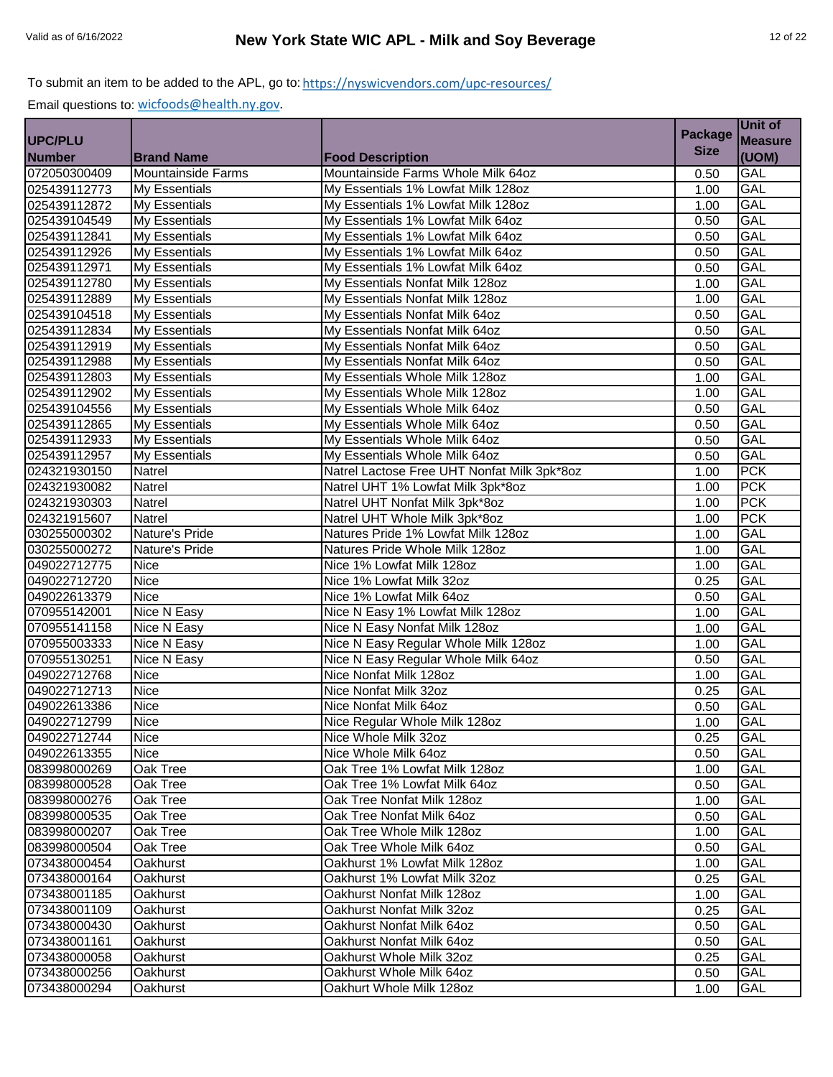|               |                      |                                                         | <b>Package</b> | Unit of        |
|---------------|----------------------|---------------------------------------------------------|----------------|----------------|
| UPC/PLU       |                      |                                                         |                | <b>Measure</b> |
| <b>Number</b> | <b>Brand Name</b>    | <b>Food Description</b>                                 | <b>Size</b>    | (UOM)          |
| 072050300409  | Mountainside Farms   | Mountainside Farms Whole Milk 64oz                      | 0.50           | GAL            |
| 025439112773  | <b>My Essentials</b> | My Essentials 1% Lowfat Milk 128oz                      | 1.00           | <b>GAL</b>     |
| 025439112872  | <b>My Essentials</b> | My Essentials 1% Lowfat Milk 128oz                      | 1.00           | GAL            |
| 025439104549  | <b>My Essentials</b> | My Essentials 1% Lowfat Milk 64oz                       | 0.50           | <b>GAL</b>     |
| 025439112841  | <b>My Essentials</b> | My Essentials 1% Lowfat Milk 64oz                       | 0.50           | GAL            |
| 025439112926  | <b>My Essentials</b> | My Essentials 1% Lowfat Milk 64oz                       | 0.50           | <b>GAL</b>     |
| 025439112971  | <b>My Essentials</b> | My Essentials 1% Lowfat Milk 64oz                       | 0.50           | <b>GAL</b>     |
| 025439112780  | <b>My Essentials</b> | My Essentials Nonfat Milk 128oz                         | 1.00           | <b>GAL</b>     |
| 025439112889  | <b>My Essentials</b> | My Essentials Nonfat Milk 128oz                         | 1.00           | <b>GAL</b>     |
| 025439104518  | <b>My Essentials</b> | My Essentials Nonfat Milk 64oz                          | 0.50           | <b>GAL</b>     |
| 025439112834  | <b>My Essentials</b> | My Essentials Nonfat Milk 64oz                          | 0.50           | GAL            |
| 025439112919  | <b>My Essentials</b> | My Essentials Nonfat Milk 64oz                          | 0.50           | <b>GAL</b>     |
| 025439112988  | <b>My Essentials</b> | My Essentials Nonfat Milk 64oz                          | 0.50           | <b>GAL</b>     |
| 025439112803  | <b>My Essentials</b> | My Essentials Whole Milk 128oz                          | 1.00           | <b>GAL</b>     |
| 025439112902  | <b>My Essentials</b> | My Essentials Whole Milk 128oz                          | 1.00           | <b>GAL</b>     |
| 025439104556  | <b>My Essentials</b> | My Essentials Whole Milk 64oz                           | 0.50           | <b>GAL</b>     |
| 025439112865  | <b>My Essentials</b> | My Essentials Whole Milk 64oz                           | 0.50           | <b>GAL</b>     |
| 025439112933  | <b>My Essentials</b> | My Essentials Whole Milk 64oz                           | 0.50           | <b>GAL</b>     |
| 025439112957  | <b>My Essentials</b> | My Essentials Whole Milk 64oz                           | 0.50           | <b>GAL</b>     |
| 024321930150  | Natrel               | Natrel Lactose Free UHT Nonfat Milk 3pk*8oz             | 1.00           | <b>PCK</b>     |
| 024321930082  | Natrel               | Natrel UHT 1% Lowfat Milk 3pk*8oz                       | 1.00           | <b>PCK</b>     |
| 024321930303  | Natrel               | Natrel UHT Nonfat Milk 3pk*8oz                          | 1.00           | <b>PCK</b>     |
| 024321915607  | <b>Natrel</b>        | Natrel UHT Whole Milk 3pk*8oz                           | 1.00           | <b>PCK</b>     |
| 030255000302  | Nature's Pride       | Natures Pride 1% Lowfat Milk 128oz                      | 1.00           | <b>GAL</b>     |
| 030255000272  | Nature's Pride       | Natures Pride Whole Milk 128oz                          | 1.00           | GAL            |
| 049022712775  | <b>Nice</b>          | Nice 1% Lowfat Milk 128oz                               | 1.00           | <b>GAL</b>     |
| 049022712720  | <b>Nice</b>          | Nice 1% Lowfat Milk 32oz                                | 0.25           | <b>GAL</b>     |
| 049022613379  | <b>Nice</b>          | Nice 1% Lowfat Milk 64oz                                | 0.50           | GAL            |
| 070955142001  | Nice N Easy          | Nice N Easy 1% Lowfat Milk 128oz                        | 1.00           | <b>GAL</b>     |
| 070955141158  | <b>Nice N Easy</b>   | Nice N Easy Nonfat Milk 128oz                           | 1.00           | <b>GAL</b>     |
| 070955003333  | Nice N Easy          | Nice N Easy Regular Whole Milk 128oz                    | 1.00           | <b>GAL</b>     |
| 070955130251  | Nice N Easy          | Nice N Easy Regular Whole Milk 64oz                     | 0.50           | GAL            |
| 049022712768  | <b>Nice</b>          | Nice Nonfat Milk 128oz                                  | 1.00           | <b>GAL</b>     |
| 049022712713  | <b>Nice</b>          | Nice Nonfat Milk 32oz                                   | 0.25           | <b>GAL</b>     |
| 049022613386  | <b>Nice</b>          | Nice Nonfat Milk 64oz                                   | 0.50           | <b>GAL</b>     |
| 049022712799  | <b>Nice</b>          | Nice Regular Whole Milk 128oz                           | 1.00           | <b>GAL</b>     |
| 049022712744  | <b>Nice</b>          | Nice Whole Milk 32oz                                    |                | GAL            |
| 049022613355  | <b>Nice</b>          | Nice Whole Milk 64oz                                    | 0.25           | GAL            |
| 083998000269  |                      | Oak Tree 1% Lowfat Milk 128oz                           | 0.50<br>1.00   | <b>GAL</b>     |
| 083998000528  | Oak Tree<br>Oak Tree | Oak Tree 1% Lowfat Milk 64oz                            |                | GAL            |
| 083998000276  |                      |                                                         | 0.50           |                |
| 083998000535  | Oak Tree             | Oak Tree Nonfat Milk 128oz<br>Oak Tree Nonfat Milk 64oz | 1.00           | GAL            |
|               | Oak Tree             |                                                         | 0.50           | GAL            |
| 083998000207  | Oak Tree             | Oak Tree Whole Milk 128oz                               | 1.00           | GAL            |
| 083998000504  | Oak Tree             | Oak Tree Whole Milk 64oz                                | 0.50           | GAL            |
| 073438000454  | Oakhurst             | Oakhurst 1% Lowfat Milk 128oz                           | 1.00           | GAL            |
| 073438000164  | Oakhurst             | Oakhurst 1% Lowfat Milk 32oz                            | 0.25           | GAL            |
| 073438001185  | <b>Oakhurst</b>      | Oakhurst Nonfat Milk 128oz                              | 1.00           | GAL            |
| 073438001109  | Oakhurst             | Oakhurst Nonfat Milk 32oz                               | 0.25           | GAL            |
| 073438000430  | Oakhurst             | Oakhurst Nonfat Milk 64oz                               | 0.50           | <b>GAL</b>     |
| 073438001161  | <b>Oakhurst</b>      | Oakhurst Nonfat Milk 64oz                               | 0.50           | GAL            |
| 073438000058  | Oakhurst             | Oakhurst Whole Milk 32oz                                | 0.25           | GAL            |
| 073438000256  | Oakhurst             | Oakhurst Whole Milk 64oz                                | 0.50           | <b>GAL</b>     |
| 073438000294  | Oakhurst             | Oakhurt Whole Milk 128oz                                | 1.00           | GAL            |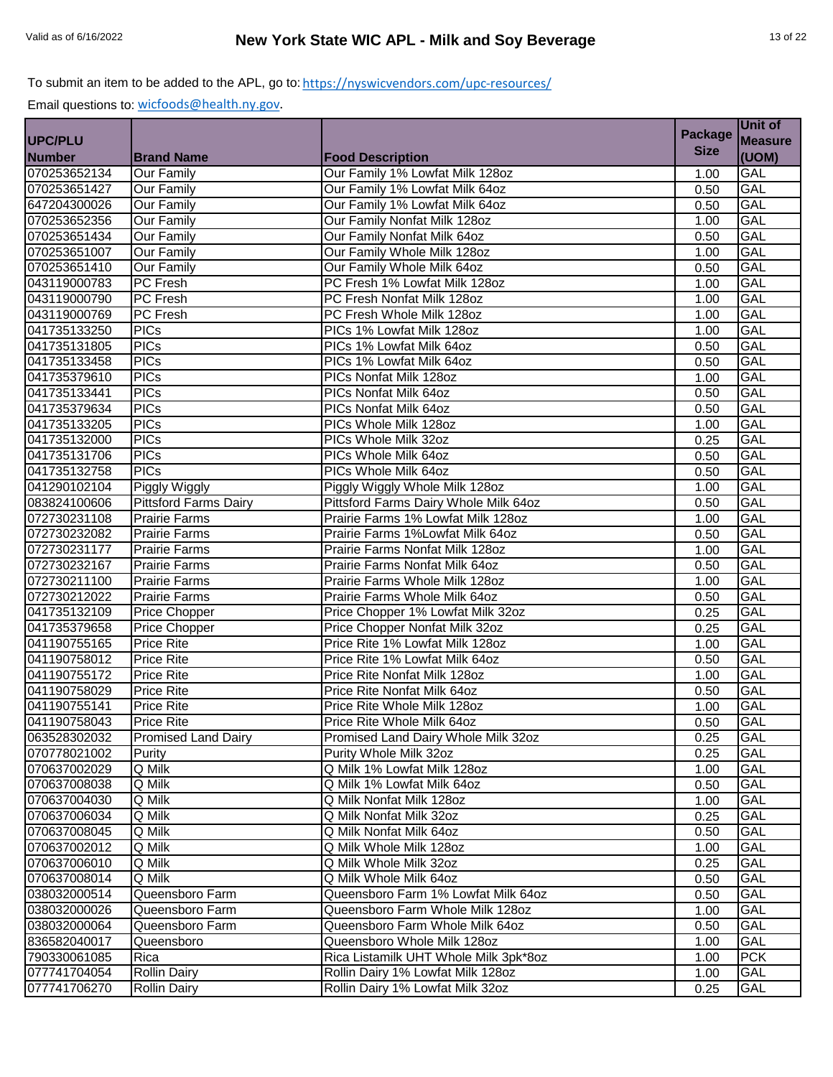|                |                              |                                       | <b>Package</b> | Unit of        |
|----------------|------------------------------|---------------------------------------|----------------|----------------|
| <b>UPC/PLU</b> |                              |                                       |                | <b>Measure</b> |
| <b>Number</b>  | <b>Brand Name</b>            | <b>Food Description</b>               | <b>Size</b>    | (UOM)          |
| 070253652134   | <b>Our Family</b>            | Our Family 1% Lowfat Milk 128oz       | 1.00           | <b>GAL</b>     |
| 070253651427   | <b>Our Family</b>            | Our Family 1% Lowfat Milk 64oz        | 0.50           | <b>GAL</b>     |
| 647204300026   | <b>Our Family</b>            | Our Family 1% Lowfat Milk 64oz        | 0.50           | GAL            |
| 070253652356   | <b>Our Family</b>            | Our Family Nonfat Milk 128oz          | 1.00           | <b>GAL</b>     |
| 070253651434   | <b>Our Family</b>            | Our Family Nonfat Milk 64oz           | 0.50           | <b>GAL</b>     |
| 070253651007   | <b>Our Family</b>            | Our Family Whole Milk 128oz           | 1.00           | <b>GAL</b>     |
| 070253651410   | <b>Our Family</b>            | Our Family Whole Milk 64oz            | 0.50           | <b>GAL</b>     |
| 043119000783   | <b>PC</b> Fresh              | PC Fresh 1% Lowfat Milk 128oz         | 1.00           | <b>GAL</b>     |
| 043119000790   | <b>PC Fresh</b>              | PC Fresh Nonfat Milk 128oz            | 1.00           | <b>GAL</b>     |
| 043119000769   | <b>PC Fresh</b>              | PC Fresh Whole Milk 128oz             | 1.00           | GAL            |
| 041735133250   | <b>PICs</b>                  | PICs 1% Lowfat Milk 128oz             | 1.00           | <b>GAL</b>     |
| 041735131805   | <b>PICs</b>                  | PICs 1% Lowfat Milk 64oz              | 0.50           | <b>GAL</b>     |
| 041735133458   | <b>PICs</b>                  | PICs 1% Lowfat Milk 64oz              | 0.50           | GAL            |
| 041735379610   | <b>PICs</b>                  | PICs Nonfat Milk 128oz                | 1.00           | GAL            |
| 041735133441   | <b>PICs</b>                  | PICs Nonfat Milk 64oz                 | 0.50           | <b>GAL</b>     |
| 041735379634   | <b>PICs</b>                  | PICs Nonfat Milk 64oz                 | 0.50           | GAL            |
| 041735133205   | <b>PICs</b>                  | PICs Whole Milk 128oz                 | 1.00           | GAL            |
| 041735132000   | <b>PICs</b>                  | PICs Whole Milk 32oz                  | 0.25           | <b>GAL</b>     |
| 041735131706   | <b>PICs</b>                  | PICs Whole Milk 64oz                  | 0.50           | <b>GAL</b>     |
| 041735132758   | <b>PICs</b>                  | PICs Whole Milk 64oz                  | 0.50           | <b>GAL</b>     |
| 041290102104   | Piggly Wiggly                | Piggly Wiggly Whole Milk 128oz        | 1.00           | <b>GAL</b>     |
| 083824100606   | <b>Pittsford Farms Dairy</b> | Pittsford Farms Dairy Whole Milk 64oz | 0.50           | GAL            |
| 072730231108   | <b>Prairie Farms</b>         | Prairie Farms 1% Lowfat Milk 128oz    | 1.00           | <b>GAL</b>     |
| 072730232082   | <b>Prairie Farms</b>         | Prairie Farms 1%Lowfat Milk 64oz      | 0.50           | GAL            |
| 072730231177   | <b>Prairie Farms</b>         | Prairie Farms Nonfat Milk 128oz       | 1.00           | GAL            |
| 072730232167   | <b>Prairie Farms</b>         | Prairie Farms Nonfat Milk 64oz        | 0.50           | <b>GAL</b>     |
| 072730211100   | <b>Prairie Farms</b>         | Prairie Farms Whole Milk 128oz        | 1.00           | <b>GAL</b>     |
| 072730212022   | <b>Prairie Farms</b>         | Prairie Farms Whole Milk 64oz         | 0.50           | <b>GAL</b>     |
| 041735132109   | <b>Price Chopper</b>         | Price Chopper 1% Lowfat Milk 32oz     | 0.25           | <b>GAL</b>     |
| 041735379658   | <b>Price Chopper</b>         | Price Chopper Nonfat Milk 32oz        | 0.25           | <b>GAL</b>     |
| 041190755165   | <b>Price Rite</b>            | Price Rite 1% Lowfat Milk 128oz       | 1.00           | <b>GAL</b>     |
| 041190758012   | <b>Price Rite</b>            | Price Rite 1% Lowfat Milk 64oz        | 0.50           | GAL            |
| 041190755172   | <b>Price Rite</b>            | Price Rite Nonfat Milk 128oz          | 1.00           | <b>GAL</b>     |
| 041190758029   | <b>Price Rite</b>            | Price Rite Nonfat Milk 64oz           | 0.50           | <b>GAL</b>     |
| 041190755141   | <b>Price Rite</b>            | Price Rite Whole Milk 128oz           | 1.00           | GAL            |
| 041190758043   | <b>Price Rite</b>            | Price Rite Whole Milk 64oz            | 0.50           | GAL            |
| 063528302032   | <b>Promised Land Dairy</b>   | Promised Land Dairy Whole Milk 32oz   | 0.25           | GAL            |
| 070778021002   | Purity                       | Purity Whole Milk 32oz                | 0.25           | GAL            |
| 070637002029   | Q Milk                       | Q Milk 1% Lowfat Milk 128oz           | 1.00           | GAL            |
| 070637008038   | Q Milk                       | Q Milk 1% Lowfat Milk 64oz            | 0.50           | GAL            |
| 070637004030   | Q Milk                       | Q Milk Nonfat Milk 128oz              | 1.00           | GAL            |
| 070637006034   | Q Milk                       | Q Milk Nonfat Milk 32oz               | 0.25           | <b>GAL</b>     |
| 070637008045   | Q Milk                       | Q Milk Nonfat Milk 64oz               | 0.50           | GAL            |
| 070637002012   | Q Milk                       | Q Milk Whole Milk 128oz               | 1.00           | GAL            |
| 070637006010   | Q Milk                       | Q Milk Whole Milk 32oz                | 0.25           | GAL            |
| 070637008014   | Q Milk                       | Q Milk Whole Milk 64oz                | 0.50           | GAL            |
| 038032000514   | Queensboro Farm              | Queensboro Farm 1% Lowfat Milk 64oz   | 0.50           | GAL            |
| 038032000026   | Queensboro Farm              | Queensboro Farm Whole Milk 128oz      |                | <b>GAL</b>     |
| 038032000064   | Queensboro Farm              | Queensboro Farm Whole Milk 64oz       | 1.00           | GAL            |
| 836582040017   |                              | Queensboro Whole Milk 128oz           | 0.50<br>1.00   | GAL            |
| 790330061085   | Queensboro<br>Rica           | Rica Listamilk UHT Whole Milk 3pk*8oz |                | <b>PCK</b>     |
|                |                              |                                       | 1.00           | GAL            |
| 077741704054   | <b>Rollin Dairy</b>          | Rollin Dairy 1% Lowfat Milk 128oz     | 1.00           |                |
| 077741706270   | <b>Rollin Dairy</b>          | Rollin Dairy 1% Lowfat Milk 32oz      | 0.25           | GAL            |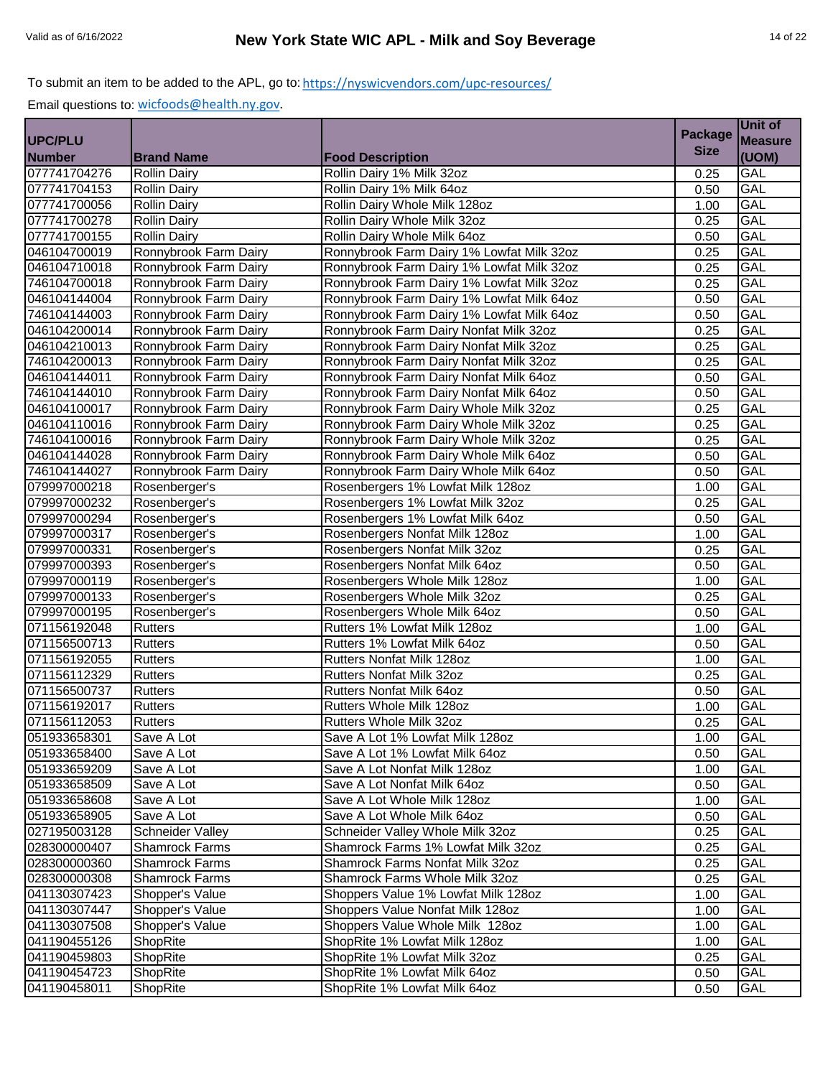|                |                       |                                           |                | Unit of        |
|----------------|-----------------------|-------------------------------------------|----------------|----------------|
| <b>UPC/PLU</b> |                       |                                           | <b>Package</b> | <b>Measure</b> |
| <b>Number</b>  | <b>Brand Name</b>     | <b>Food Description</b>                   | <b>Size</b>    | (UOM)          |
| 077741704276   | <b>Rollin Dairy</b>   | Rollin Dairy 1% Milk 32oz                 | 0.25           | GAL            |
| 077741704153   | <b>Rollin Dairy</b>   | Rollin Dairy 1% Milk 64oz                 | 0.50           | <b>GAL</b>     |
| 077741700056   | Rollin Dairy          | Rollin Dairy Whole Milk 128oz             | 1.00           | GAL            |
| 077741700278   | <b>Rollin Dairy</b>   | Rollin Dairy Whole Milk 32oz              | 0.25           | <b>GAL</b>     |
| 077741700155   | <b>Rollin Dairy</b>   | Rollin Dairy Whole Milk 64oz              | 0.50           | <b>GAL</b>     |
| 046104700019   | Ronnybrook Farm Dairy | Ronnybrook Farm Dairy 1% Lowfat Milk 32oz | 0.25           | <b>GAL</b>     |
| 046104710018   | Ronnybrook Farm Dairy | Ronnybrook Farm Dairy 1% Lowfat Milk 32oz | 0.25           | <b>GAL</b>     |
| 746104700018   | Ronnybrook Farm Dairy | Ronnybrook Farm Dairy 1% Lowfat Milk 32oz | 0.25           | <b>GAL</b>     |
| 046104144004   | Ronnybrook Farm Dairy | Ronnybrook Farm Dairy 1% Lowfat Milk 64oz | 0.50           | GAL            |
| 746104144003   | Ronnybrook Farm Dairy | Ronnybrook Farm Dairy 1% Lowfat Milk 64oz | 0.50           | GAL            |
| 046104200014   | Ronnybrook Farm Dairy | Ronnybrook Farm Dairy Nonfat Milk 32oz    | 0.25           | GAL            |
| 046104210013   | Ronnybrook Farm Dairy | Ronnybrook Farm Dairy Nonfat Milk 32oz    | 0.25           | GAL            |
| 746104200013   | Ronnybrook Farm Dairy | Ronnybrook Farm Dairy Nonfat Milk 32oz    | 0.25           | <b>GAL</b>     |
| 046104144011   | Ronnybrook Farm Dairy | Ronnybrook Farm Dairy Nonfat Milk 64oz    | 0.50           | <b>GAL</b>     |
| 746104144010   | Ronnybrook Farm Dairy | Ronnybrook Farm Dairy Nonfat Milk 64oz    | 0.50           | <b>GAL</b>     |
| 046104100017   | Ronnybrook Farm Dairy | Ronnybrook Farm Dairy Whole Milk 32oz     | 0.25           | <b>GAL</b>     |
| 046104110016   | Ronnybrook Farm Dairy | Ronnybrook Farm Dairy Whole Milk 32oz     | 0.25           | <b>GAL</b>     |
| 746104100016   | Ronnybrook Farm Dairy | Ronnybrook Farm Dairy Whole Milk 32oz     | 0.25           | <b>GAL</b>     |
| 046104144028   | Ronnybrook Farm Dairy | Ronnybrook Farm Dairy Whole Milk 64oz     | 0.50           | <b>GAL</b>     |
| 746104144027   | Ronnybrook Farm Dairy | Ronnybrook Farm Dairy Whole Milk 64oz     | 0.50           | <b>GAL</b>     |
| 079997000218   | Rosenberger's         | Rosenbergers 1% Lowfat Milk 128oz         | 1.00           | GAL            |
| 079997000232   | Rosenberger's         | Rosenbergers 1% Lowfat Milk 32oz          | 0.25           | <b>GAL</b>     |
| 079997000294   | Rosenberger's         | Rosenbergers 1% Lowfat Milk 64oz          | 0.50           | GAL            |
| 079997000317   | Rosenberger's         | Rosenbergers Nonfat Milk 128oz            | 1.00           | <b>GAL</b>     |
| 079997000331   | Rosenberger's         | Rosenbergers Nonfat Milk 32oz             | 0.25           | GAL            |
| 079997000393   | Rosenberger's         | Rosenbergers Nonfat Milk 64oz             | 0.50           | <b>GAL</b>     |
| 079997000119   | Rosenberger's         | Rosenbergers Whole Milk 128oz             | 1.00           | <b>GAL</b>     |
| 079997000133   | Rosenberger's         | Rosenbergers Whole Milk 32oz              | 0.25           | <b>GAL</b>     |
| 079997000195   | Rosenberger's         | Rosenbergers Whole Milk 64oz              | 0.50           | <b>GAL</b>     |
| 071156192048   | <b>Rutters</b>        | Rutters 1% Lowfat Milk 128oz              | 1.00           | <b>GAL</b>     |
| 071156500713   | <b>Rutters</b>        | Rutters 1% Lowfat Milk 64oz               | 0.50           | <b>GAL</b>     |
| 071156192055   | <b>Rutters</b>        | <b>Rutters Nonfat Milk 128oz</b>          | 1.00           | GAL            |
| 071156112329   | Rutters               | <b>Rutters Nonfat Milk 32oz</b>           | 0.25           | <b>GAL</b>     |
| 071156500737   | Rutters               | <b>Rutters Nonfat Milk 64oz</b>           | 0.50           | <b>GAL</b>     |
| 071156192017   | <b>Rutters</b>        | Rutters Whole Milk 128oz                  | 1.00           | <b>GAL</b>     |
| 071156112053   | <b>Rutters</b>        | Rutters Whole Milk 32oz                   | 0.25           | <b>GAL</b>     |
| 051933658301   | Save A Lot            | Save A Lot 1% Lowfat Milk 128oz           | 1.00           | GAL            |
| 051933658400   | Save A Lot            | Save A Lot 1% Lowfat Milk 64oz            | 0.50           | GAL            |
| 051933659209   | Save A Lot            | Save A Lot Nonfat Milk 128oz              | 1.00           | GAL            |
| 051933658509   | Save A Lot            | Save A Lot Nonfat Milk 64oz               | 0.50           | GAL            |
| 051933658608   | Save A Lot            | Save A Lot Whole Milk 128oz               | 1.00           | GAL            |
| 051933658905   | Save A Lot            | Save A Lot Whole Milk 64oz                | 0.50           | GAL            |
| 027195003128   | Schneider Valley      | Schneider Valley Whole Milk 32oz          | 0.25           | GAL            |
| 028300000407   | Shamrock Farms        | Shamrock Farms 1% Lowfat Milk 32oz        | 0.25           | GAL            |
| 028300000360   | <b>Shamrock Farms</b> | Shamrock Farms Nonfat Milk 32oz           | 0.25           | GAL            |
| 028300000308   | <b>Shamrock Farms</b> | Shamrock Farms Whole Milk 32oz            | 0.25           | GAL            |
| 041130307423   | Shopper's Value       | Shoppers Value 1% Lowfat Milk 128oz       | 1.00           | GAL            |
| 041130307447   | Shopper's Value       | Shoppers Value Nonfat Milk 128oz          | 1.00           | GAL            |
| 041130307508   | Shopper's Value       | Shoppers Value Whole Milk 128oz           | 1.00           | GAL            |
| 041190455126   | ShopRite              | ShopRite 1% Lowfat Milk 128oz             | 1.00           | GAL            |
| 041190459803   | ShopRite              | ShopRite 1% Lowfat Milk 32oz              | 0.25           | GAL            |
| 041190454723   | ShopRite              | ShopRite 1% Lowfat Milk 64oz              | 0.50           | GAL            |
| 041190458011   | ShopRite              | ShopRite 1% Lowfat Milk 64oz              | 0.50           | GAL            |
|                |                       |                                           |                |                |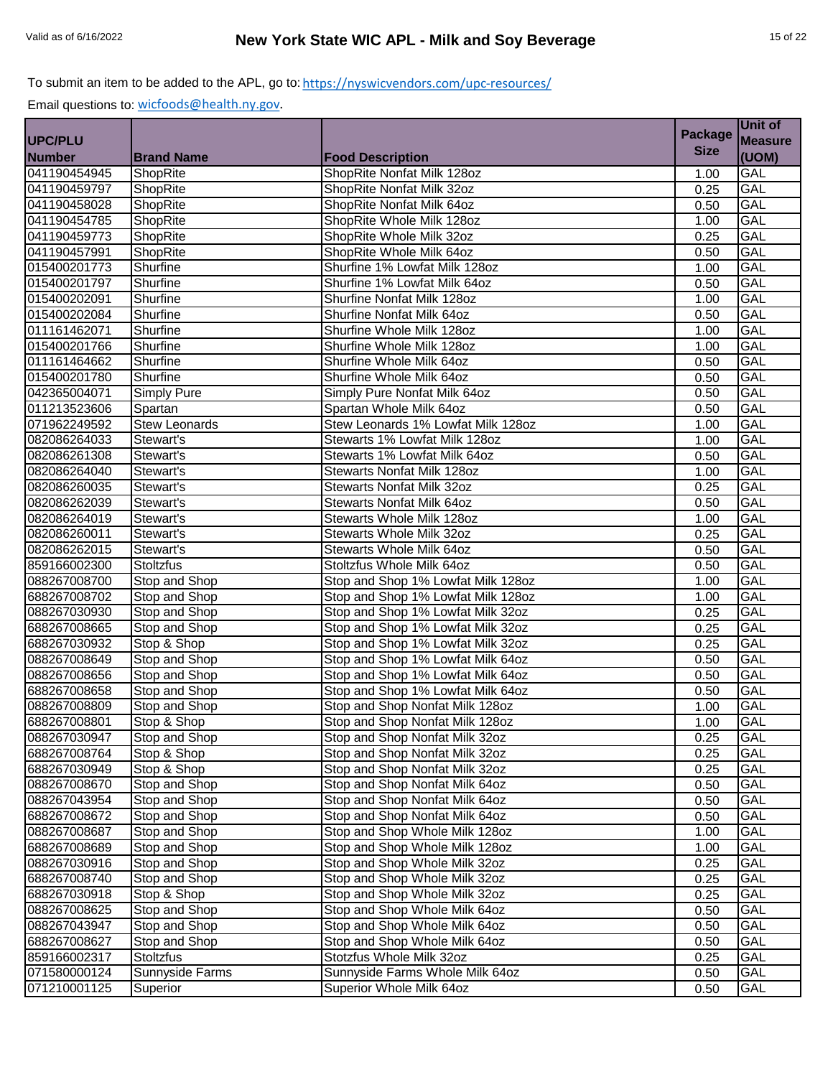|                |                      |                                    |                | Unit of        |
|----------------|----------------------|------------------------------------|----------------|----------------|
| <b>UPC/PLU</b> |                      |                                    | <b>Package</b> | <b>Measure</b> |
| <b>Number</b>  | <b>Brand Name</b>    | <b>Food Description</b>            | <b>Size</b>    | (UOM)          |
| 041190454945   | ShopRite             | ShopRite Nonfat Milk 128oz         | 1.00           | GAL            |
| 041190459797   | ShopRite             | ShopRite Nonfat Milk 32oz          | 0.25           | <b>GAL</b>     |
| 041190458028   | ShopRite             | ShopRite Nonfat Milk 64oz          | 0.50           | <b>GAL</b>     |
| 041190454785   | ShopRite             | ShopRite Whole Milk 128oz          | 1.00           | <b>GAL</b>     |
| 041190459773   | ShopRite             | ShopRite Whole Milk 32oz           | 0.25           | <b>GAL</b>     |
| 041190457991   | ShopRite             | ShopRite Whole Milk 64oz           | 0.50           | <b>GAL</b>     |
| 015400201773   | Shurfine             | Shurfine 1% Lowfat Milk 128oz      | 1.00           | <b>GAL</b>     |
| 015400201797   | Shurfine             | Shurfine 1% Lowfat Milk 64oz       | 0.50           | <b>GAL</b>     |
| 015400202091   | Shurfine             | Shurfine Nonfat Milk 128oz         | 1.00           | <b>GAL</b>     |
| 015400202084   | Shurfine             | Shurfine Nonfat Milk 64oz          | 0.50           | GAL            |
| 011161462071   | Shurfine             | Shurfine Whole Milk 128oz          | 1.00           | GAL            |
| 015400201766   | Shurfine             | Shurfine Whole Milk 128oz          | 1.00           | <b>GAL</b>     |
| 011161464662   | Shurfine             | Shurfine Whole Milk 64oz           | 0.50           | GAL            |
| 015400201780   | Shurfine             | Shurfine Whole Milk 64oz           | 0.50           | GAL            |
| 042365004071   | <b>Simply Pure</b>   | Simply Pure Nonfat Milk 64oz       | 0.50           | <b>GAL</b>     |
| 011213523606   | Spartan              | Spartan Whole Milk 64oz            | 0.50           | <b>GAL</b>     |
| 071962249592   | <b>Stew Leonards</b> | Stew Leonards 1% Lowfat Milk 128oz | 1.00           | GAL            |
| 082086264033   | Stewart's            | Stewarts 1% Lowfat Milk 128oz      | 1.00           | <b>GAL</b>     |
| 082086261308   | Stewart's            | Stewarts 1% Lowfat Milk 64oz       | 0.50           | <b>GAL</b>     |
| 082086264040   | Stewart's            | Stewarts Nonfat Milk 128oz         | 1.00           | <b>GAL</b>     |
| 082086260035   | Stewart's            | <b>Stewarts Nonfat Milk 32oz</b>   | 0.25           | <b>GAL</b>     |
| 082086262039   | Stewart's            | Stewarts Nonfat Milk 64oz          | 0.50           | <b>GAL</b>     |
| 082086264019   | Stewart's            | Stewarts Whole Milk 128oz          | 1.00           | <b>GAL</b>     |
| 082086260011   | Stewart's            | Stewarts Whole Milk 32oz           | 0.25           | <b>GAL</b>     |
| 082086262015   | Stewart's            | Stewarts Whole Milk 64oz           | 0.50           | GAL            |
| 859166002300   | Stoltzfus            | Stoltzfus Whole Milk 64oz          | 0.50           | <b>GAL</b>     |
| 088267008700   | Stop and Shop        | Stop and Shop 1% Lowfat Milk 128oz | 1.00           | <b>GAL</b>     |
| 688267008702   | Stop and Shop        | Stop and Shop 1% Lowfat Milk 128oz | 1.00           | <b>GAL</b>     |
| 088267030930   | Stop and Shop        | Stop and Shop 1% Lowfat Milk 32oz  | 0.25           | <b>GAL</b>     |
| 688267008665   | Stop and Shop        | Stop and Shop 1% Lowfat Milk 32oz  | 0.25           | <b>GAL</b>     |
| 688267030932   | Stop & Shop          | Stop and Shop 1% Lowfat Milk 32oz  | 0.25           | <b>GAL</b>     |
| 088267008649   | Stop and Shop        | Stop and Shop 1% Lowfat Milk 64oz  | 0.50           | GAL            |
| 088267008656   | Stop and Shop        | Stop and Shop 1% Lowfat Milk 64oz  | 0.50           | <b>GAL</b>     |
| 688267008658   | Stop and Shop        | Stop and Shop 1% Lowfat Milk 64oz  | 0.50           | <b>GAL</b>     |
| 088267008809   | Stop and Shop        | Stop and Shop Nonfat Milk 128oz    | 1.00           | <b>GAL</b>     |
| 688267008801   | Stop & Shop          | Stop and Shop Nonfat Milk 128oz    | 1.00           | <b>GAL</b>     |
| 088267030947   | Stop and Shop        | Stop and Shop Nonfat Milk 32oz     | 0.25           | GAL            |
| 688267008764   | Stop & Shop          | Stop and Shop Nonfat Milk 32oz     | 0.25           | GAL            |
| 688267030949   | Stop & Shop          | Stop and Shop Nonfat Milk 32oz     | 0.25           | GAL            |
| 088267008670   | Stop and Shop        | Stop and Shop Nonfat Milk 64oz     | 0.50           | GAL            |
| 088267043954   | Stop and Shop        | Stop and Shop Nonfat Milk 64oz     | 0.50           | GAL            |
| 688267008672   | Stop and Shop        | Stop and Shop Nonfat Milk 64oz     | 0.50           | GAL            |
| 088267008687   | Stop and Shop        | Stop and Shop Whole Milk 128oz     | 1.00           | GAL            |
| 688267008689   | Stop and Shop        | Stop and Shop Whole Milk 128oz     | 1.00           | GAL            |
| 088267030916   | Stop and Shop        | Stop and Shop Whole Milk 32oz      | 0.25           | GAL            |
| 688267008740   | Stop and Shop        | Stop and Shop Whole Milk 32oz      | 0.25           | GAL            |
| 688267030918   | Stop & Shop          | Stop and Shop Whole Milk 32oz      | 0.25           | GAL            |
| 088267008625   | Stop and Shop        | Stop and Shop Whole Milk 64oz      | 0.50           | GAL            |
| 088267043947   | Stop and Shop        | Stop and Shop Whole Milk 64oz      | 0.50           | GAL            |
| 688267008627   | Stop and Shop        | Stop and Shop Whole Milk 64oz      | 0.50           | GAL            |
| 859166002317   | <b>Stoltzfus</b>     | Stotzfus Whole Milk 32oz           | 0.25           | GAL            |
| 071580000124   | Sunnyside Farms      | Sunnyside Farms Whole Milk 64oz    | 0.50           | GAL            |
| 071210001125   | Superior             | Superior Whole Milk 64oz           | 0.50           | GAL            |
|                |                      |                                    |                |                |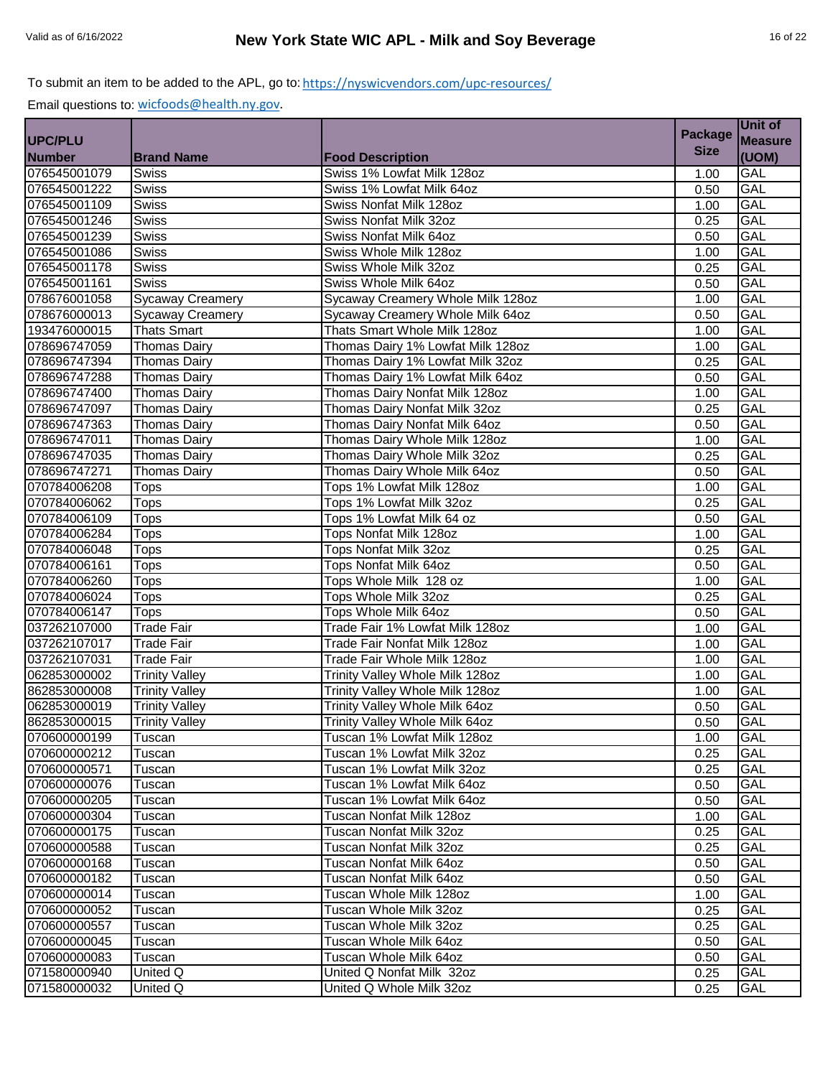|                              |                         |                                   |                | Unit of           |
|------------------------------|-------------------------|-----------------------------------|----------------|-------------------|
| <b>UPC/PLU</b>               |                         |                                   | <b>Package</b> | <b>Measure</b>    |
| <b>Number</b>                | <b>Brand Name</b>       | <b>Food Description</b>           | <b>Size</b>    | (UOM)             |
| 076545001079                 | <b>Swiss</b>            | Swiss 1% Lowfat Milk 128oz        | 1.00           | GAL               |
| 076545001222                 | <b>Swiss</b>            | Swiss 1% Lowfat Milk 64oz         | 0.50           | <b>GAL</b>        |
| 076545001109                 | <b>Swiss</b>            | Swiss Nonfat Milk 128oz           | 1.00           | GAL               |
| 076545001246                 | Swiss                   | Swiss Nonfat Milk 32oz            | 0.25           | <b>GAL</b>        |
| 076545001239                 | Swiss                   | Swiss Nonfat Milk 64oz            | 0.50           | <b>GAL</b>        |
| 076545001086                 | Swiss                   | Swiss Whole Milk 128oz            | 1.00           | <b>GAL</b>        |
| 076545001178                 | Swiss                   | Swiss Whole Milk 32oz             | 0.25           | <b>GAL</b>        |
| 076545001161                 | <b>Swiss</b>            | Swiss Whole Milk 64oz             | 0.50           | <b>GAL</b>        |
| 078676001058                 | <b>Sycaway Creamery</b> | Sycaway Creamery Whole Milk 128oz | 1.00           | <b>GAL</b>        |
| 078676000013                 | <b>Sycaway Creamery</b> | Sycaway Creamery Whole Milk 64oz  | 0.50           | <b>GAL</b>        |
| 193476000015                 | <b>Thats Smart</b>      | Thats Smart Whole Milk 128oz      | 1.00           | GAL               |
| 078696747059                 | <b>Thomas Dairy</b>     | Thomas Dairy 1% Lowfat Milk 128oz | 1.00           | <b>GAL</b>        |
| 078696747394                 | <b>Thomas Dairy</b>     | Thomas Dairy 1% Lowfat Milk 32oz  | 0.25           | <b>GAL</b>        |
| 078696747288                 | <b>Thomas Dairy</b>     | Thomas Dairy 1% Lowfat Milk 64oz  | 0.50           | GAL               |
| 078696747400                 | <b>Thomas Dairy</b>     | Thomas Dairy Nonfat Milk 128oz    | 1.00           | <b>GAL</b>        |
| 078696747097                 | <b>Thomas Dairy</b>     | Thomas Dairy Nonfat Milk 32oz     | 0.25           | <b>GAL</b>        |
| 078696747363                 | <b>Thomas Dairy</b>     | Thomas Dairy Nonfat Milk 64oz     | 0.50           | <b>GAL</b>        |
| 078696747011                 | Thomas Dairy            | Thomas Dairy Whole Milk 128oz     | 1.00           | <b>GAL</b>        |
| 078696747035                 | <b>Thomas Dairy</b>     | Thomas Dairy Whole Milk 32oz      | 0.25           | <b>GAL</b>        |
| 078696747271                 | <b>Thomas Dairy</b>     | Thomas Dairy Whole Milk 64oz      | 0.50           | <b>GAL</b>        |
| 070784006208                 | <b>Tops</b>             | Tops 1% Lowfat Milk 128oz         | 1.00           | GAL               |
| 070784006062                 | <b>Tops</b>             | Tops 1% Lowfat Milk 32oz          | 0.25           | <b>GAL</b>        |
| 070784006109                 | <b>Tops</b>             | Tops 1% Lowfat Milk 64 oz         | 0.50           | <b>GAL</b>        |
| 070784006284                 | <b>Tops</b>             | Tops Nonfat Milk 128oz            | 1.00           | <b>GAL</b>        |
| 070784006048                 | <b>Tops</b>             | Tops Nonfat Milk 32oz             | 0.25           | GAL               |
| 070784006161                 | <b>Tops</b>             | Tops Nonfat Milk 64oz             | 0.50           | <b>GAL</b>        |
| 070784006260                 | <b>Tops</b>             | Tops Whole Milk 128 oz            | 1.00           | <b>GAL</b>        |
| 070784006024                 | <b>Tops</b>             | Tops Whole Milk 32oz              | 0.25           | <b>GAL</b>        |
| 070784006147                 | <b>Tops</b>             | Tops Whole Milk 64oz              | 0.50           | <b>GAL</b>        |
| 037262107000                 | <b>Trade Fair</b>       | Trade Fair 1% Lowfat Milk 128oz   | 1.00           | <b>GAL</b>        |
| 037262107017                 | <b>Trade Fair</b>       | Trade Fair Nonfat Milk 128oz      | 1.00           | <b>GAL</b>        |
| 037262107031                 | <b>Trade Fair</b>       | Trade Fair Whole Milk 128oz       | 1.00           | GAL               |
| 062853000002                 | <b>Trinity Valley</b>   | Trinity Valley Whole Milk 128oz   | 1.00           | <b>GAL</b>        |
| 862853000008                 | <b>Trinity Valley</b>   | Trinity Valley Whole Milk 128oz   |                | <b>GAL</b>        |
| 062853000019                 | <b>Trinity Valley</b>   | Trinity Valley Whole Milk 64oz    | 1.00<br>0.50   | <b>GAL</b>        |
|                              | <b>Trinity Valley</b>   | Trinity Valley Whole Milk 64oz    |                | GAL               |
| 862853000015<br>070600000199 |                         |                                   | 0.50           |                   |
| 070600000212                 | Tuscan                  | Tuscan 1% Lowfat Milk 128oz       | 1.00           | <b>GAL</b><br>GAL |
|                              | Tuscan                  | Tuscan 1% Lowfat Milk 32oz        | 0.25           |                   |
| 070600000571                 | Tuscan                  | Tuscan 1% Lowfat Milk 32oz        | 0.25           | GAL               |
| 070600000076                 | Tuscan                  | Tuscan 1% Lowfat Milk 64oz        | 0.50           | GAL               |
| 070600000205                 | Tuscan                  | Tuscan 1% Lowfat Milk 64oz        | 0.50           | GAL               |
| 070600000304                 | Tuscan                  | Tuscan Nonfat Milk 128oz          | 1.00           | GAL               |
| 070600000175                 | Tuscan                  | Tuscan Nonfat Milk 32oz           | 0.25           | GAL               |
| 070600000588                 | Tuscan                  | Tuscan Nonfat Milk 32oz           | 0.25           | GAL               |
| 070600000168                 | Tuscan                  | Tuscan Nonfat Milk 64oz           | 0.50           | GAL               |
| 070600000182                 | Tuscan                  | Tuscan Nonfat Milk 64oz           | 0.50           | GAL               |
| 070600000014                 | Tuscan                  | Tuscan Whole Milk 128oz           | 1.00           | GAL               |
| 070600000052                 | Tuscan                  | Tuscan Whole Milk 32oz            | 0.25           | GAL               |
| 070600000557                 | Tuscan                  | Tuscan Whole Milk 32oz            | 0.25           | GAL               |
| 070600000045                 | Tuscan                  | Tuscan Whole Milk 64oz            | 0.50           | GAL               |
| 070600000083                 | Tuscan                  | Tuscan Whole Milk 64oz            | 0.50           | GAL               |
| 071580000940                 | United Q                | United Q Nonfat Milk 32oz         | 0.25           | GAL               |
| 071580000032                 | United Q                | United Q Whole Milk 32oz          | 0.25           | GAL               |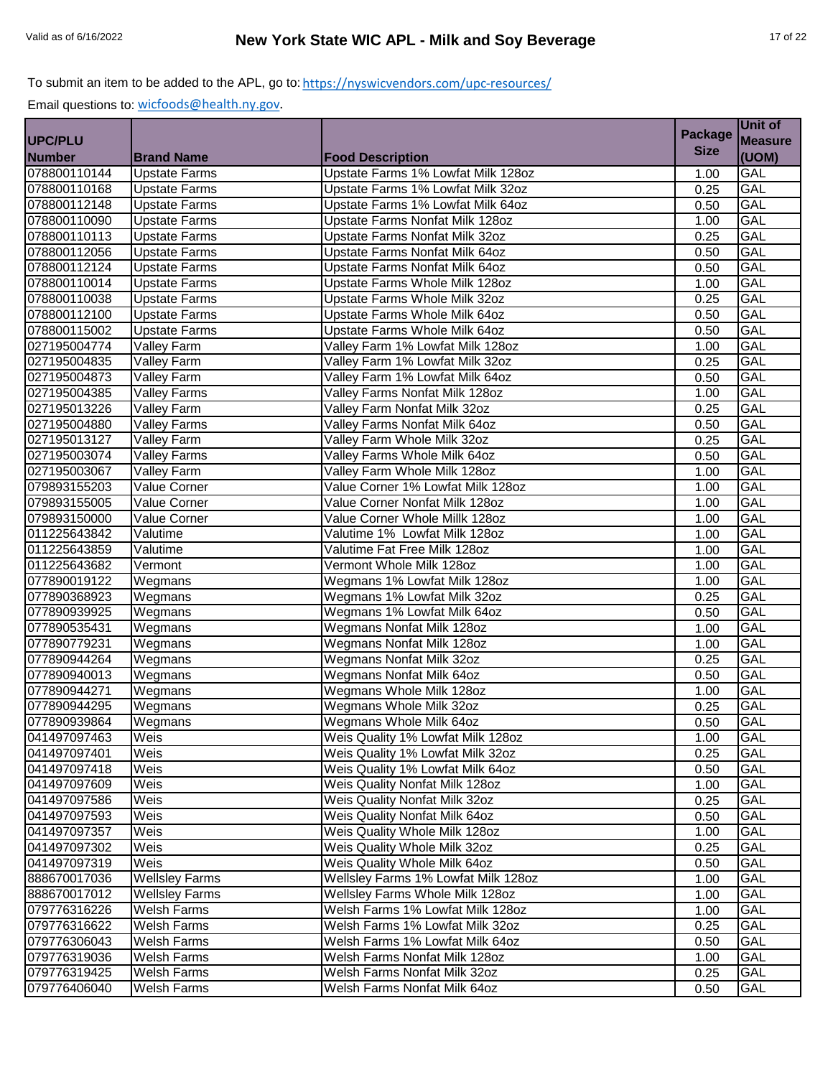|               |                       |                                      | <b>Package</b> | Unit of        |
|---------------|-----------------------|--------------------------------------|----------------|----------------|
| UPC/PLU       |                       |                                      |                | <b>Measure</b> |
| <b>Number</b> | <b>Brand Name</b>     | <b>Food Description</b>              | <b>Size</b>    | (UOM)          |
| 078800110144  | <b>Upstate Farms</b>  | Upstate Farms 1% Lowfat Milk 128oz   | 1.00           | <b>GAL</b>     |
| 078800110168  | <b>Upstate Farms</b>  | Upstate Farms 1% Lowfat Milk 32oz    | 0.25           | <b>GAL</b>     |
| 078800112148  | <b>Upstate Farms</b>  | Upstate Farms 1% Lowfat Milk 64oz    | 0.50           | GAL            |
| 078800110090  | <b>Upstate Farms</b>  | Upstate Farms Nonfat Milk 128oz      | 1.00           | <b>GAL</b>     |
| 078800110113  | <b>Upstate Farms</b>  | Upstate Farms Nonfat Milk 32oz       | 0.25           | <b>GAL</b>     |
| 078800112056  | <b>Upstate Farms</b>  | Upstate Farms Nonfat Milk 64oz       | 0.50           | <b>GAL</b>     |
| 078800112124  | <b>Upstate Farms</b>  | Upstate Farms Nonfat Milk 64oz       | 0.50           | <b>GAL</b>     |
| 078800110014  | <b>Upstate Farms</b>  | Upstate Farms Whole Milk 128oz       | 1.00           | <b>GAL</b>     |
| 078800110038  | <b>Upstate Farms</b>  | <b>Upstate Farms Whole Milk 32oz</b> | 0.25           | <b>GAL</b>     |
| 078800112100  | <b>Upstate Farms</b>  | Upstate Farms Whole Milk 64oz        | 0.50           | GAL            |
| 078800115002  | <b>Upstate Farms</b>  | Upstate Farms Whole Milk 64oz        | 0.50           | <b>GAL</b>     |
| 027195004774  | Valley Farm           | Valley Farm 1% Lowfat Milk 128oz     | 1.00           | <b>GAL</b>     |
| 027195004835  | <b>Valley Farm</b>    | Valley Farm 1% Lowfat Milk 32oz      | 0.25           | GAL            |
| 027195004873  | <b>Valley Farm</b>    | Valley Farm 1% Lowfat Milk 64oz      | 0.50           | GAL            |
| 027195004385  | <b>Valley Farms</b>   | Valley Farms Nonfat Milk 128oz       | 1.00           | <b>GAL</b>     |
| 027195013226  | Valley Farm           | Valley Farm Nonfat Milk 32oz         | 0.25           | <b>GAL</b>     |
| 027195004880  | <b>Valley Farms</b>   | Valley Farms Nonfat Milk 64oz        | 0.50           | <b>GAL</b>     |
| 027195013127  | Valley Farm           | Valley Farm Whole Milk 32oz          | 0.25           | <b>GAL</b>     |
| 027195003074  | <b>Valley Farms</b>   | Valley Farms Whole Milk 64oz         | 0.50           | <b>GAL</b>     |
| 027195003067  | <b>Valley Farm</b>    | Valley Farm Whole Milk 128oz         | 1.00           | <b>GAL</b>     |
| 079893155203  | Value Corner          | Value Corner 1% Lowfat Milk 128oz    | 1.00           | GAL            |
| 079893155005  | <b>Value Corner</b>   | Value Corner Nonfat Milk 128oz       | 1.00           | GAL            |
| 079893150000  | Value Corner          | Value Corner Whole Millk 128oz       | 1.00           | <b>GAL</b>     |
| 011225643842  | Valutime              | Valutime 1% Lowfat Milk 128oz        | 1.00           | <b>GAL</b>     |
| 011225643859  | Valutime              | Valutime Fat Free Milk 128oz         | 1.00           | GAL            |
| 011225643682  | Vermont               | Vermont Whole Milk 128oz             | 1.00           | <b>GAL</b>     |
| 077890019122  | Wegmans               | Wegmans 1% Lowfat Milk 128oz         | 1.00           | <b>GAL</b>     |
| 077890368923  | Wegmans               | Wegmans 1% Lowfat Milk 32oz          | 0.25           | <b>GAL</b>     |
| 077890939925  | Wegmans               | Wegmans 1% Lowfat Milk 64oz          | 0.50           | GAL            |
| 077890535431  | Wegmans               | <b>Wegmans Nonfat Milk 128oz</b>     | 1.00           | <b>GAL</b>     |
| 077890779231  | Wegmans               | <b>Wegmans Nonfat Milk 128oz</b>     | 1.00           | <b>GAL</b>     |
| 077890944264  | Wegmans               | <b>Wegmans Nonfat Milk 32oz</b>      | 0.25           | <b>GAL</b>     |
| 077890940013  | Wegmans               | <b>Wegmans Nonfat Milk 64oz</b>      | 0.50           | <b>GAL</b>     |
| 077890944271  | Wegmans               | Wegmans Whole Milk 128oz             | 1.00           | <b>GAL</b>     |
| 077890944295  | Wegmans               | <b>Wegmans Whole Milk 32oz</b>       | 0.25           | GAL            |
| 077890939864  | Wegmans               | Wegmans Whole Milk 64oz              | 0.50           | GAL            |
| 041497097463  | Weis                  | Weis Quality 1% Lowfat Milk 128oz    | 1.00           | <b>GAL</b>     |
| 041497097401  | Weis                  | Weis Quality 1% Lowfat Milk 32oz     | 0.25           | GAL            |
| 041497097418  | Weis                  | Weis Quality 1% Lowfat Milk 64oz     | 0.50           | GAL            |
| 041497097609  | Weis                  | Weis Quality Nonfat Milk 128oz       | 1.00           | GAL            |
| 041497097586  | Weis                  | <b>Weis Quality Nonfat Milk 32oz</b> | 0.25           | GAL            |
| 041497097593  | Weis                  | Weis Quality Nonfat Milk 64oz        | 0.50           | <b>GAL</b>     |
| 041497097357  | Weis                  | Weis Quality Whole Milk 128oz        | 1.00           | GAL            |
| 041497097302  | Weis                  | Weis Quality Whole Milk 32oz         | 0.25           | GAL            |
| 041497097319  | Weis                  | Weis Quality Whole Milk 64oz         | 0.50           | GAL            |
| 888670017036  | <b>Wellsley Farms</b> | Wellsley Farms 1% Lowfat Milk 128oz  | 1.00           | GAL            |
| 888670017012  | <b>Wellsley Farms</b> | Wellsley Farms Whole Milk 128oz      | 1.00           | GAL            |
| 079776316226  | <b>Welsh Farms</b>    | Welsh Farms 1% Lowfat Milk 128oz     | 1.00           | <b>GAL</b>     |
| 079776316622  | <b>Welsh Farms</b>    | Welsh Farms 1% Lowfat Milk 32oz      | 0.25           | GAL            |
| 079776306043  | <b>Welsh Farms</b>    | Welsh Farms 1% Lowfat Milk 64oz      | 0.50           | GAL            |
| 079776319036  | <b>Welsh Farms</b>    | Welsh Farms Nonfat Milk 128oz        | 1.00           | GAL            |
| 079776319425  | <b>Welsh Farms</b>    | Welsh Farms Nonfat Milk 32oz         | 0.25           | GAL            |
| 079776406040  | <b>Welsh Farms</b>    | Welsh Farms Nonfat Milk 64oz         | 0.50           | GAL            |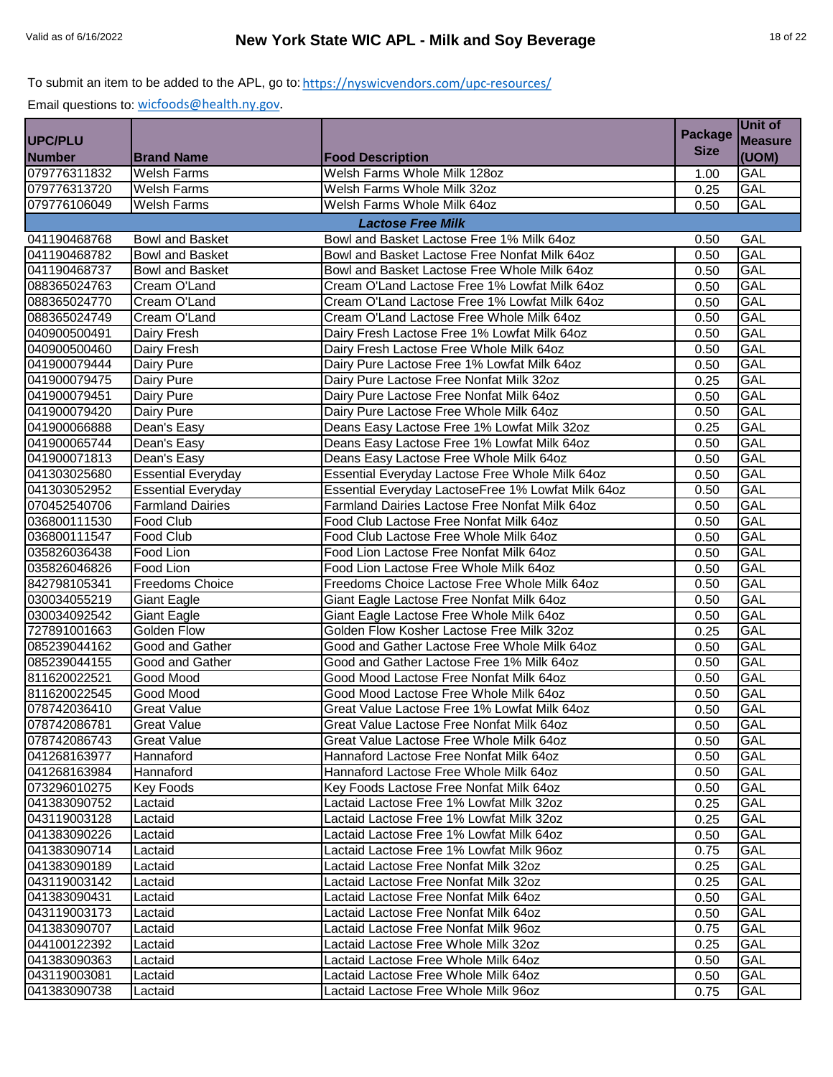|                |                           |                                                    |                | Unit of        |
|----------------|---------------------------|----------------------------------------------------|----------------|----------------|
| <b>UPC/PLU</b> |                           |                                                    | <b>Package</b> | <b>Measure</b> |
| <b>Number</b>  | <b>Brand Name</b>         | <b>Food Description</b>                            | <b>Size</b>    | (UOM)          |
| 079776311832   | <b>Welsh Farms</b>        | Welsh Farms Whole Milk 128oz                       | 1.00           | <b>GAL</b>     |
| 079776313720   | <b>Welsh Farms</b>        | Welsh Farms Whole Milk 32oz                        | 0.25           | <b>GAL</b>     |
| 079776106049   | <b>Welsh Farms</b>        | Welsh Farms Whole Milk 64oz                        | 0.50           | GAL            |
|                |                           | <b>Lactose Free Milk</b>                           |                |                |
| 041190468768   | Bowl and Basket           | Bowl and Basket Lactose Free 1% Milk 64oz          | 0.50           | <b>GAL</b>     |
| 041190468782   | <b>Bowl and Basket</b>    | Bowl and Basket Lactose Free Nonfat Milk 64oz      | 0.50           | GAL            |
| 041190468737   | <b>Bowl and Basket</b>    | Bowl and Basket Lactose Free Whole Milk 64oz       | 0.50           | GAL            |
| 088365024763   | Cream O'Land              | Cream O'Land Lactose Free 1% Lowfat Milk 64oz      | 0.50           | <b>GAL</b>     |
| 088365024770   | Cream O'Land              | Cream O'Land Lactose Free 1% Lowfat Milk 64oz      | 0.50           | <b>GAL</b>     |
| 088365024749   | Cream O'Land              | Cream O'Land Lactose Free Whole Milk 64oz          | 0.50           | GAL            |
| 040900500491   | Dairy Fresh               | Dairy Fresh Lactose Free 1% Lowfat Milk 64oz       | 0.50           | <b>GAL</b>     |
| 040900500460   | Dairy Fresh               | Dairy Fresh Lactose Free Whole Milk 64oz           | 0.50           | <b>GAL</b>     |
| 041900079444   | Dairy Pure                | Dairy Pure Lactose Free 1% Lowfat Milk 64oz        | 0.50           | GAL            |
| 041900079475   | Dairy Pure                | Dairy Pure Lactose Free Nonfat Milk 32oz           | 0.25           | <b>GAL</b>     |
| 041900079451   | Dairy Pure                | Dairy Pure Lactose Free Nonfat Milk 64oz           | 0.50           | <b>GAL</b>     |
| 041900079420   | Dairy Pure                | Dairy Pure Lactose Free Whole Milk 64oz            | 0.50           | <b>GAL</b>     |
| 041900066888   | Dean's Easy               | Deans Easy Lactose Free 1% Lowfat Milk 32oz        | 0.25           | GAL            |
| 041900065744   | Dean's Easy               | Deans Easy Lactose Free 1% Lowfat Milk 64oz        | 0.50           | <b>GAL</b>     |
| 041900071813   | Dean's Easy               | Deans Easy Lactose Free Whole Milk 64oz            | 0.50           | <b>GAL</b>     |
| 041303025680   | <b>Essential Everyday</b> | Essential Everyday Lactose Free Whole Milk 64oz    | 0.50           | <b>GAL</b>     |
| 041303052952   | <b>Essential Everyday</b> | Essential Everyday LactoseFree 1% Lowfat Milk 64oz | 0.50           | <b>GAL</b>     |
| 070452540706   | <b>Farmland Dairies</b>   | Farmland Dairies Lactose Free Nonfat Milk 64oz     | 0.50           | <b>GAL</b>     |
| 036800111530   | <b>Food Club</b>          | Food Club Lactose Free Nonfat Milk 64oz            | 0.50           | <b>GAL</b>     |
| 036800111547   | Food Club                 | Food Club Lactose Free Whole Milk 64oz             | 0.50           | GAL            |
| 035826036438   | Food Lion                 | Food Lion Lactose Free Nonfat Milk 64oz            | 0.50           | <b>GAL</b>     |
| 035826046826   | Food Lion                 | Food Lion Lactose Free Whole Milk 64oz             | 0.50           | GAL            |
| 842798105341   | <b>Freedoms Choice</b>    | Freedoms Choice Lactose Free Whole Milk 64oz       | 0.50           | <b>GAL</b>     |
| 030034055219   | <b>Giant Eagle</b>        | Giant Eagle Lactose Free Nonfat Milk 64oz          | 0.50           | <b>GAL</b>     |
| 030034092542   | Giant Eagle               | Giant Eagle Lactose Free Whole Milk 64oz           | 0.50           | <b>GAL</b>     |
| 727891001663   | Golden Flow               | Golden Flow Kosher Lactose Free Milk 32oz          | 0.25           | <b>GAL</b>     |
| 085239044162   | Good and Gather           | Good and Gather Lactose Free Whole Milk 64oz       | 0.50           | <b>GAL</b>     |
| 085239044155   | Good and Gather           | Good and Gather Lactose Free 1% Milk 64oz          | 0.50           | <b>GAL</b>     |
| 811620022521   | Good Mood                 | Good Mood Lactose Free Nonfat Milk 64oz            | 0.50           | <b>GAL</b>     |
| 811620022545   | Good Mood                 | Good Mood Lactose Free Whole Milk 64oz             | 0.50           | <b>GAL</b>     |
| 078742036410   | <b>Great Value</b>        | Great Value Lactose Free 1% Lowfat Milk 64oz       | 0.50           | GAL            |
| 078742086781   | <b>Great Value</b>        | Great Value Lactose Free Nonfat Milk 64oz          | 0.50           | <b>GAL</b>     |
| 078742086743   | <b>Great Value</b>        | Great Value Lactose Free Whole Milk 64oz           | 0.50           | <b>GAL</b>     |
| 041268163977   | Hannaford                 | Hannaford Lactose Free Nonfat Milk 64oz            | 0.50           | GAL            |
| 041268163984   | Hannaford                 | Hannaford Lactose Free Whole Milk 64oz             | 0.50           | GAL            |
| 073296010275   | Key Foods                 | Key Foods Lactose Free Nonfat Milk 64oz            | 0.50           | GAL            |
| 041383090752   | Lactaid                   | Lactaid Lactose Free 1% Lowfat Milk 32oz           | 0.25           | GAL            |
| 043119003128   | Lactaid                   | Lactaid Lactose Free 1% Lowfat Milk 32oz           | 0.25           | <b>GAL</b>     |
| 041383090226   | Lactaid                   | Lactaid Lactose Free 1% Lowfat Milk 64oz           | 0.50           | GAL            |
| 041383090714   | Lactaid                   | Lactaid Lactose Free 1% Lowfat Milk 96oz           | 0.75           | GAL            |
| 041383090189   | Lactaid                   | Lactaid Lactose Free Nonfat Milk 32oz              | 0.25           | GAL            |
| 043119003142   | Lactaid                   | Lactaid Lactose Free Nonfat Milk 32oz              | 0.25           | GAL            |
| 041383090431   | Lactaid                   | Lactaid Lactose Free Nonfat Milk 64oz              | 0.50           | GAL            |
| 043119003173   | Lactaid                   | Lactaid Lactose Free Nonfat Milk 64oz              | 0.50           | <b>GAL</b>     |
| 041383090707   | Lactaid                   | Lactaid Lactose Free Nonfat Milk 96oz              | 0.75           | GAL            |
| 044100122392   | Lactaid                   | Lactaid Lactose Free Whole Milk 32oz               | 0.25           | GAL            |
| 041383090363   | Lactaid                   | Lactaid Lactose Free Whole Milk 64oz               | 0.50           | GAL            |
| 043119003081   | Lactaid                   | Lactaid Lactose Free Whole Milk 64oz               | 0.50           | GAL            |
| 041383090738   | Lactaid                   | Lactaid Lactose Free Whole Milk 96oz               | 0.75           | GAL            |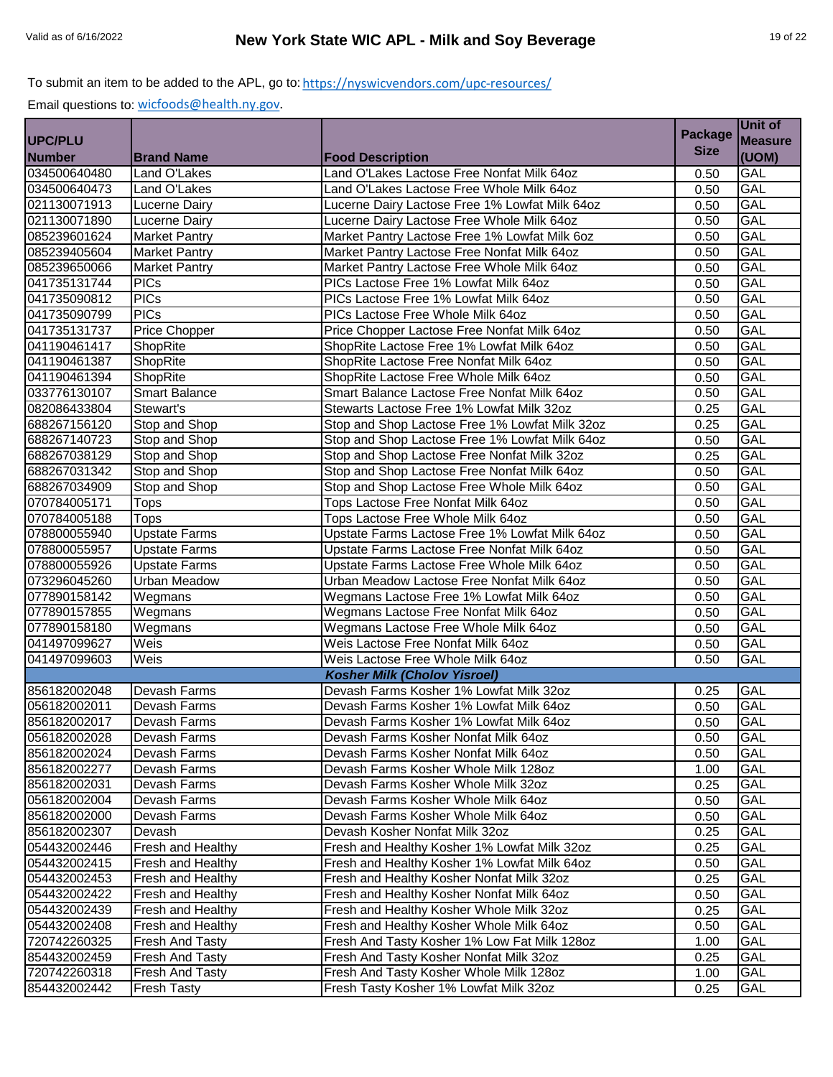|                |                        |                                                | <b>Package</b> | Unit of        |
|----------------|------------------------|------------------------------------------------|----------------|----------------|
| <b>UPC/PLU</b> |                        |                                                |                | <b>Measure</b> |
| <b>Number</b>  | <b>Brand Name</b>      | <b>Food Description</b>                        | <b>Size</b>    | (UOM)          |
| 034500640480   | Land O'Lakes           | Land O'Lakes Lactose Free Nonfat Milk 64oz     | 0.50           | GAL            |
| 034500640473   | Land O'Lakes           | Land O'Lakes Lactose Free Whole Milk 64oz      | 0.50           | <b>GAL</b>     |
| 021130071913   | <b>Lucerne Dairy</b>   | Lucerne Dairy Lactose Free 1% Lowfat Milk 64oz | 0.50           | GAL            |
| 021130071890   | <b>Lucerne Dairy</b>   | Lucerne Dairy Lactose Free Whole Milk 64oz     | 0.50           | <b>GAL</b>     |
| 085239601624   | <b>Market Pantry</b>   | Market Pantry Lactose Free 1% Lowfat Milk 6oz  | 0.50           | <b>GAL</b>     |
| 085239405604   | <b>Market Pantry</b>   | Market Pantry Lactose Free Nonfat Milk 64oz    | 0.50           | <b>GAL</b>     |
| 085239650066   | <b>Market Pantry</b>   | Market Pantry Lactose Free Whole Milk 64oz     | 0.50           | <b>GAL</b>     |
| 041735131744   | <b>PICs</b>            | PICs Lactose Free 1% Lowfat Milk 64oz          | 0.50           | <b>GAL</b>     |
| 041735090812   | <b>PICs</b>            | PICs Lactose Free 1% Lowfat Milk 64oz          | 0.50           | <b>GAL</b>     |
| 041735090799   | <b>PICs</b>            | PICs Lactose Free Whole Milk 64oz              | 0.50           | GAL            |
| 041735131737   | Price Chopper          | Price Chopper Lactose Free Nonfat Milk 64oz    | 0.50           | <b>GAL</b>     |
| 041190461417   | ShopRite               | ShopRite Lactose Free 1% Lowfat Milk 64oz      | 0.50           | <b>GAL</b>     |
| 041190461387   | ShopRite               | ShopRite Lactose Free Nonfat Milk 64oz         | 0.50           | <b>GAL</b>     |
| 041190461394   | ShopRite               | ShopRite Lactose Free Whole Milk 64oz          | 0.50           | GAL            |
| 033776130107   | <b>Smart Balance</b>   | Smart Balance Lactose Free Nonfat Milk 64oz    | 0.50           | <b>GAL</b>     |
| 082086433804   | Stewart's              | Stewarts Lactose Free 1% Lowfat Milk 32oz      | 0.25           | <b>GAL</b>     |
| 688267156120   | Stop and Shop          | Stop and Shop Lactose Free 1% Lowfat Milk 32oz | 0.25           | <b>GAL</b>     |
| 688267140723   | Stop and Shop          | Stop and Shop Lactose Free 1% Lowfat Milk 64oz | 0.50           | <b>GAL</b>     |
| 688267038129   | Stop and Shop          | Stop and Shop Lactose Free Nonfat Milk 32oz    | 0.25           | <b>GAL</b>     |
| 688267031342   | Stop and Shop          | Stop and Shop Lactose Free Nonfat Milk 64oz    | 0.50           | <b>GAL</b>     |
| 688267034909   | Stop and Shop          | Stop and Shop Lactose Free Whole Milk 64oz     | 0.50           | GAL            |
| 070784005171   | <b>Tops</b>            | Tops Lactose Free Nonfat Milk 64oz             | 0.50           | <b>GAL</b>     |
| 070784005188   | <b>Tops</b>            | Tops Lactose Free Whole Milk 64oz              | 0.50           | GAL            |
| 078800055940   | <b>Upstate Farms</b>   | Upstate Farms Lactose Free 1% Lowfat Milk 64oz | 0.50           | <b>GAL</b>     |
| 078800055957   | <b>Upstate Farms</b>   | Upstate Farms Lactose Free Nonfat Milk 64oz    | 0.50           | GAL            |
| 078800055926   | <b>Upstate Farms</b>   | Upstate Farms Lactose Free Whole Milk 64oz     | 0.50           | <b>GAL</b>     |
| 073296045260   | <b>Urban Meadow</b>    | Urban Meadow Lactose Free Nonfat Milk 64oz     | 0.50           | <b>GAL</b>     |
| 077890158142   | Wegmans                | Wegmans Lactose Free 1% Lowfat Milk 64oz       | 0.50           | <b>GAL</b>     |
| 077890157855   | Wegmans                | Wegmans Lactose Free Nonfat Milk 64oz          | 0.50           | <b>GAL</b>     |
| 077890158180   | Wegmans                | Wegmans Lactose Free Whole Milk 64oz           | 0.50           | <b>GAL</b>     |
| 041497099627   | Weis                   | Weis Lactose Free Nonfat Milk 64oz             | 0.50           | <b>GAL</b>     |
| 041497099603   | Weis                   | Weis Lactose Free Whole Milk 64oz              | 0.50           | GAL            |
|                |                        | <b>Kosher Milk (Cholov Yisroel)</b>            |                |                |
| 856182002048   | <b>Devash Farms</b>    | Devash Farms Kosher 1% Lowfat Milk 32oz        | 0.25           | <b>GAL</b>     |
| 056182002011   | Devash Farms           | Devash Farms Kosher 1% Lowfat Milk 64oz        | 0.50           | <b>GAL</b>     |
| 856182002017   | Devash Farms           | Devash Farms Kosher 1% Lowfat Milk 64oz        | 0.50           | GAL            |
| 056182002028   | Devash Farms           | Devash Farms Kosher Nonfat Milk 64oz           | 0.50           | <b>GAL</b>     |
| 856182002024   | Devash Farms           | Devash Farms Kosher Nonfat Milk 64oz           | 0.50           | GAL            |
| 856182002277   | Devash Farms           | Devash Farms Kosher Whole Milk 128oz           | 1.00           | GAL            |
| 856182002031   | Devash Farms           | Devash Farms Kosher Whole Milk 32oz            | 0.25           | GAL            |
| 056182002004   | Devash Farms           | Devash Farms Kosher Whole Milk 64oz            | 0.50           | GAL            |
| 856182002000   | Devash Farms           | Devash Farms Kosher Whole Milk 64oz            | 0.50           | GAL            |
| 856182002307   | Devash                 | Devash Kosher Nonfat Milk 32oz                 | 0.25           | GAL            |
| 054432002446   | Fresh and Healthy      | Fresh and Healthy Kosher 1% Lowfat Milk 32oz   | 0.25           | GAL            |
| 054432002415   | Fresh and Healthy      | Fresh and Healthy Kosher 1% Lowfat Milk 64oz   | 0.50           | GAL            |
| 054432002453   | Fresh and Healthy      | Fresh and Healthy Kosher Nonfat Milk 32oz      | 0.25           | GAL            |
| 054432002422   | Fresh and Healthy      | Fresh and Healthy Kosher Nonfat Milk 64oz      | 0.50           | GAL            |
| 054432002439   | Fresh and Healthy      | Fresh and Healthy Kosher Whole Milk 32oz       | 0.25           | GAL            |
| 054432002408   | Fresh and Healthy      | Fresh and Healthy Kosher Whole Milk 64oz       | 0.50           | GAL            |
| 720742260325   | <b>Fresh And Tasty</b> | Fresh And Tasty Kosher 1% Low Fat Milk 128oz   | 1.00           | GAL            |
| 854432002459   | Fresh And Tasty        | Fresh And Tasty Kosher Nonfat Milk 32oz        | 0.25           | GAL            |
| 720742260318   | <b>Fresh And Tasty</b> | Fresh And Tasty Kosher Whole Milk 128oz        | 1.00           | GAL            |
| 854432002442   | <b>Fresh Tasty</b>     | Fresh Tasty Kosher 1% Lowfat Milk 32oz         | 0.25           | GAL            |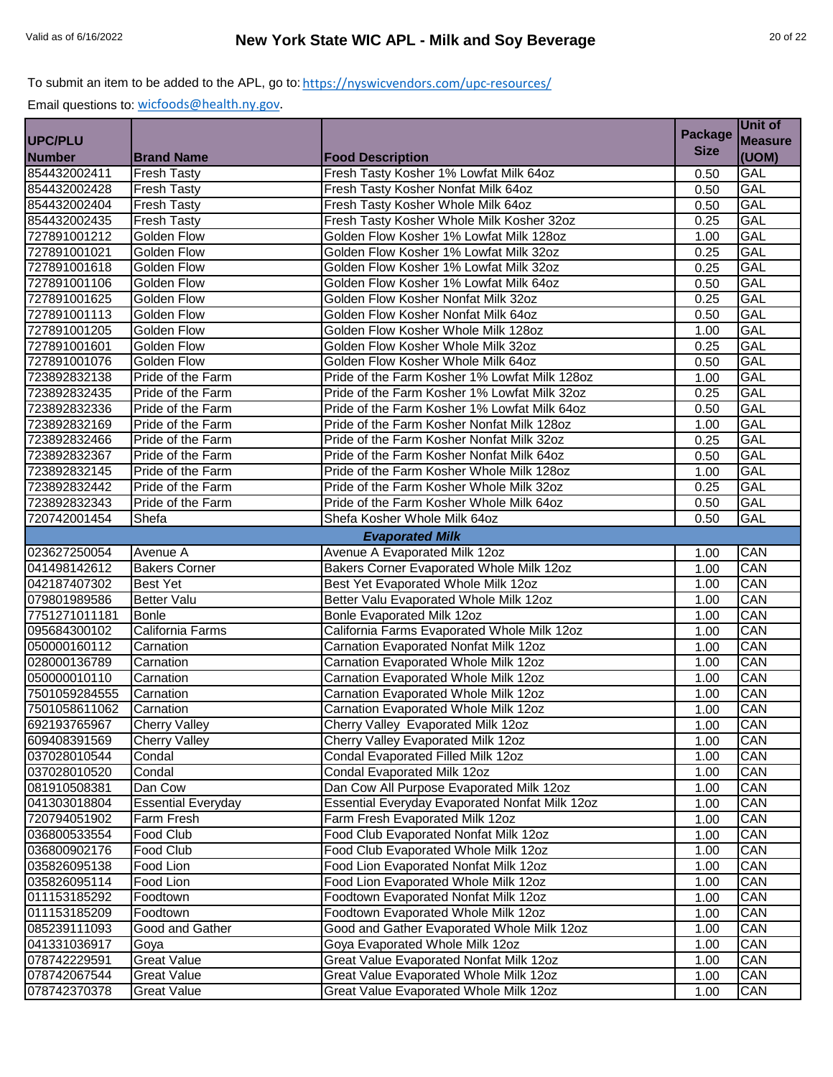| <b>Size</b><br>(UOM)<br><b>Brand Name</b><br><b>Food Description</b><br><b>GAL</b><br>Fresh Tasty Kosher 1% Lowfat Milk 64oz<br><b>Fresh Tasty</b><br>0.50<br><b>GAL</b><br><b>Fresh Tasty</b><br>Fresh Tasty Kosher Nonfat Milk 64oz<br>0.50<br><b>GAL</b><br><b>Fresh Tasty</b><br>Fresh Tasty Kosher Whole Milk 64oz<br>0.50<br><b>GAL</b><br><b>Fresh Tasty</b><br>Fresh Tasty Kosher Whole Milk Kosher 32oz<br>0.25<br><b>GAL</b><br>Golden Flow<br>Golden Flow Kosher 1% Lowfat Milk 128oz<br>1.00<br><b>GAL</b><br>Golden Flow<br>Golden Flow Kosher 1% Lowfat Milk 32oz<br>0.25<br><b>GAL</b><br>Golden Flow<br>Golden Flow Kosher 1% Lowfat Milk 32oz<br>0.25<br>727891001106<br><b>GAL</b><br>Golden Flow<br>Golden Flow Kosher 1% Lowfat Milk 64oz<br>0.50<br>727891001625<br>GAL<br><b>Golden Flow</b><br>Golden Flow Kosher Nonfat Milk 32oz<br>0.25<br>727891001113<br>GAL<br>Golden Flow<br>Golden Flow Kosher Nonfat Milk 64oz<br>0.50<br>727891001205<br><b>GAL</b><br>Golden Flow<br>Golden Flow Kosher Whole Milk 128oz<br>1.00<br>727891001601<br><b>GAL</b><br>Golden Flow<br>Golden Flow Kosher Whole Milk 32oz<br>0.25<br>727891001076<br>GAL<br>Golden Flow<br>Golden Flow Kosher Whole Milk 64oz<br>0.50<br>723892832138<br>GAL<br>Pride of the Farm<br>Pride of the Farm Kosher 1% Lowfat Milk 128oz<br>1.00<br>723892832435<br><b>GAL</b><br>Pride of the Farm Kosher 1% Lowfat Milk 32oz<br>Pride of the Farm<br>0.25<br><b>GAL</b><br>Pride of the Farm<br>Pride of the Farm Kosher 1% Lowfat Milk 64oz<br>0.50<br><b>GAL</b><br>Pride of the Farm<br>Pride of the Farm Kosher Nonfat Milk 128oz<br>1.00<br><b>GAL</b><br>Pride of the Farm<br>Pride of the Farm Kosher Nonfat Milk 32oz<br>0.25<br><b>GAL</b><br><b>Pride of the Farm</b><br>Pride of the Farm Kosher Nonfat Milk 64oz<br>0.50<br><b>GAL</b><br>Pride of the Farm<br>Pride of the Farm Kosher Whole Milk 128oz<br>1.00<br>GAL<br>Pride of the Farm Kosher Whole Milk 32oz<br>0.25<br>Pride of the Farm<br><b>GAL</b><br>Pride of the Farm<br>Pride of the Farm Kosher Whole Milk 64oz<br>0.50<br>Shefa Kosher Whole Milk 64oz<br>GAL<br>Shefa<br>0.50<br><b>Evaporated Milk</b><br>023627250054<br>CAN<br>Avenue A Evaporated Milk 12oz<br>Avenue A<br>1.00<br>CAN<br><b>Bakers Corner</b><br>Bakers Corner Evaporated Whole Milk 12oz<br>1.00<br>042187407302<br>CAN<br><b>Best Yet</b><br>Best Yet Evaporated Whole Milk 12oz<br>1.00<br>079801989586<br>Better Valu Evaporated Whole Milk 12oz<br>CAN<br><b>Better Valu</b><br>1.00<br>7751271011181<br>CAN<br><b>Bonle</b><br>Bonle Evaporated Milk 12oz<br>1.00<br>095684300102<br>CAN<br>California Farms<br>California Farms Evaporated Whole Milk 12oz<br>1.00<br>050000160112<br>CAN<br>Carnation<br>Carnation Evaporated Nonfat Milk 12oz<br>1.00<br>CAN<br>Carnation Evaporated Whole Milk 12oz<br>Carnation<br>1.00<br>CAN<br>Carnation<br>Carnation Evaporated Whole Milk 12oz<br>1.00<br>CAN<br>Carnation<br>Carnation Evaporated Whole Milk 12oz<br>1.00<br>CAN<br>Carnation<br>Carnation Evaporated Whole Milk 12oz<br>1.00<br><b>Cherry Valley</b><br><b>CAN</b><br>Cherry Valley Evaporated Milk 12oz<br>1.00<br><b>Cherry Valley</b><br>Cherry Valley Evaporated Milk 12oz<br>CAN<br>1.00<br>Condal Evaporated Filled Milk 12oz<br>CAN<br>037028010544<br>Condal<br>1.00<br>Condal<br>CAN<br>Condal Evaporated Milk 12oz<br>1.00<br>Dan Cow<br>Dan Cow All Purpose Evaporated Milk 12oz<br>CAN<br>1.00<br>CAN<br><b>Essential Everyday Evaporated Nonfat Milk 12oz</b><br><b>Essential Everyday</b><br>1.00<br>720794051902<br>CAN<br>Farm Fresh Evaporated Milk 12oz<br>Farm Fresh<br>1.00<br>CAN<br>Food Club<br>Food Club Evaporated Nonfat Milk 12oz<br>1.00<br>CAN<br>Food Club<br>Food Club Evaporated Whole Milk 12oz<br>1.00<br>CAN<br>Food Lion<br>Food Lion Evaporated Nonfat Milk 12oz<br>1.00<br>CAN<br>Food Lion<br>Food Lion Evaporated Whole Milk 12oz<br>1.00<br>CAN<br>Foodtown<br>Foodtown Evaporated Nonfat Milk 12oz<br>1.00<br>Foodtown Evaporated Whole Milk 12oz<br>CAN<br>Foodtown<br>1.00<br>CAN<br>Good and Gather<br>Good and Gather Evaporated Whole Milk 12oz<br>1.00<br>CAN<br>Goya Evaporated Whole Milk 12oz<br>Goya<br>1.00<br><b>Great Value</b><br>CAN<br>Great Value Evaporated Nonfat Milk 12oz<br>1.00<br><b>Great Value</b><br>CAN<br>Great Value Evaporated Whole Milk 12oz<br>1.00<br><b>Great Value</b><br>Great Value Evaporated Whole Milk 12oz<br>1.00<br>CAN |                |  | <b>Package</b> | Unit of        |
|-----------------------------------------------------------------------------------------------------------------------------------------------------------------------------------------------------------------------------------------------------------------------------------------------------------------------------------------------------------------------------------------------------------------------------------------------------------------------------------------------------------------------------------------------------------------------------------------------------------------------------------------------------------------------------------------------------------------------------------------------------------------------------------------------------------------------------------------------------------------------------------------------------------------------------------------------------------------------------------------------------------------------------------------------------------------------------------------------------------------------------------------------------------------------------------------------------------------------------------------------------------------------------------------------------------------------------------------------------------------------------------------------------------------------------------------------------------------------------------------------------------------------------------------------------------------------------------------------------------------------------------------------------------------------------------------------------------------------------------------------------------------------------------------------------------------------------------------------------------------------------------------------------------------------------------------------------------------------------------------------------------------------------------------------------------------------------------------------------------------------------------------------------------------------------------------------------------------------------------------------------------------------------------------------------------------------------------------------------------------------------------------------------------------------------------------------------------------------------------------------------------------------------------------------------------------------------------------------------------------------------------------------------------------------------------------------------------------------------------------------------------------------------------------------------------------------------------------------------------------------------------------------------------------------------------------------------------------------------------------------------------------------------------------------------------------------------------------------------------------------------------------------------------------------------------------------------------------------------------------------------------------------------------------------------------------------------------------------------------------------------------------------------------------------------------------------------------------------------------------------------------------------------------------------------------------------------------------------------------------------------------------------------------------------------------------------------------------------------------------------------------------------------------------------------------------------------------------------------------------------------------------------------------------------------------------------------------------------------------------------------------------------------------------------------------------------------------------------------------------------------------------------------------------------------------------------------------------------------------------------------------------------------------------------------------------------------------------------------------------------------------------------------------------------------------------------------------------------------|----------------|--|----------------|----------------|
|                                                                                                                                                                                                                                                                                                                                                                                                                                                                                                                                                                                                                                                                                                                                                                                                                                                                                                                                                                                                                                                                                                                                                                                                                                                                                                                                                                                                                                                                                                                                                                                                                                                                                                                                                                                                                                                                                                                                                                                                                                                                                                                                                                                                                                                                                                                                                                                                                                                                                                                                                                                                                                                                                                                                                                                                                                                                                                                                                                                                                                                                                                                                                                                                                                                                                                                                                                                                                                                                                                                                                                                                                                                                                                                                                                                                                                                                                                                                                                                                                                                                                                                                                                                                                                                                                                                                                                                                                                                                             | <b>UPC/PLU</b> |  |                | <b>Measure</b> |
|                                                                                                                                                                                                                                                                                                                                                                                                                                                                                                                                                                                                                                                                                                                                                                                                                                                                                                                                                                                                                                                                                                                                                                                                                                                                                                                                                                                                                                                                                                                                                                                                                                                                                                                                                                                                                                                                                                                                                                                                                                                                                                                                                                                                                                                                                                                                                                                                                                                                                                                                                                                                                                                                                                                                                                                                                                                                                                                                                                                                                                                                                                                                                                                                                                                                                                                                                                                                                                                                                                                                                                                                                                                                                                                                                                                                                                                                                                                                                                                                                                                                                                                                                                                                                                                                                                                                                                                                                                                                             | <b>Number</b>  |  |                |                |
|                                                                                                                                                                                                                                                                                                                                                                                                                                                                                                                                                                                                                                                                                                                                                                                                                                                                                                                                                                                                                                                                                                                                                                                                                                                                                                                                                                                                                                                                                                                                                                                                                                                                                                                                                                                                                                                                                                                                                                                                                                                                                                                                                                                                                                                                                                                                                                                                                                                                                                                                                                                                                                                                                                                                                                                                                                                                                                                                                                                                                                                                                                                                                                                                                                                                                                                                                                                                                                                                                                                                                                                                                                                                                                                                                                                                                                                                                                                                                                                                                                                                                                                                                                                                                                                                                                                                                                                                                                                                             | 854432002411   |  |                |                |
|                                                                                                                                                                                                                                                                                                                                                                                                                                                                                                                                                                                                                                                                                                                                                                                                                                                                                                                                                                                                                                                                                                                                                                                                                                                                                                                                                                                                                                                                                                                                                                                                                                                                                                                                                                                                                                                                                                                                                                                                                                                                                                                                                                                                                                                                                                                                                                                                                                                                                                                                                                                                                                                                                                                                                                                                                                                                                                                                                                                                                                                                                                                                                                                                                                                                                                                                                                                                                                                                                                                                                                                                                                                                                                                                                                                                                                                                                                                                                                                                                                                                                                                                                                                                                                                                                                                                                                                                                                                                             | 854432002428   |  |                |                |
|                                                                                                                                                                                                                                                                                                                                                                                                                                                                                                                                                                                                                                                                                                                                                                                                                                                                                                                                                                                                                                                                                                                                                                                                                                                                                                                                                                                                                                                                                                                                                                                                                                                                                                                                                                                                                                                                                                                                                                                                                                                                                                                                                                                                                                                                                                                                                                                                                                                                                                                                                                                                                                                                                                                                                                                                                                                                                                                                                                                                                                                                                                                                                                                                                                                                                                                                                                                                                                                                                                                                                                                                                                                                                                                                                                                                                                                                                                                                                                                                                                                                                                                                                                                                                                                                                                                                                                                                                                                                             | 854432002404   |  |                |                |
|                                                                                                                                                                                                                                                                                                                                                                                                                                                                                                                                                                                                                                                                                                                                                                                                                                                                                                                                                                                                                                                                                                                                                                                                                                                                                                                                                                                                                                                                                                                                                                                                                                                                                                                                                                                                                                                                                                                                                                                                                                                                                                                                                                                                                                                                                                                                                                                                                                                                                                                                                                                                                                                                                                                                                                                                                                                                                                                                                                                                                                                                                                                                                                                                                                                                                                                                                                                                                                                                                                                                                                                                                                                                                                                                                                                                                                                                                                                                                                                                                                                                                                                                                                                                                                                                                                                                                                                                                                                                             | 854432002435   |  |                |                |
|                                                                                                                                                                                                                                                                                                                                                                                                                                                                                                                                                                                                                                                                                                                                                                                                                                                                                                                                                                                                                                                                                                                                                                                                                                                                                                                                                                                                                                                                                                                                                                                                                                                                                                                                                                                                                                                                                                                                                                                                                                                                                                                                                                                                                                                                                                                                                                                                                                                                                                                                                                                                                                                                                                                                                                                                                                                                                                                                                                                                                                                                                                                                                                                                                                                                                                                                                                                                                                                                                                                                                                                                                                                                                                                                                                                                                                                                                                                                                                                                                                                                                                                                                                                                                                                                                                                                                                                                                                                                             | 727891001212   |  |                |                |
|                                                                                                                                                                                                                                                                                                                                                                                                                                                                                                                                                                                                                                                                                                                                                                                                                                                                                                                                                                                                                                                                                                                                                                                                                                                                                                                                                                                                                                                                                                                                                                                                                                                                                                                                                                                                                                                                                                                                                                                                                                                                                                                                                                                                                                                                                                                                                                                                                                                                                                                                                                                                                                                                                                                                                                                                                                                                                                                                                                                                                                                                                                                                                                                                                                                                                                                                                                                                                                                                                                                                                                                                                                                                                                                                                                                                                                                                                                                                                                                                                                                                                                                                                                                                                                                                                                                                                                                                                                                                             | 727891001021   |  |                |                |
|                                                                                                                                                                                                                                                                                                                                                                                                                                                                                                                                                                                                                                                                                                                                                                                                                                                                                                                                                                                                                                                                                                                                                                                                                                                                                                                                                                                                                                                                                                                                                                                                                                                                                                                                                                                                                                                                                                                                                                                                                                                                                                                                                                                                                                                                                                                                                                                                                                                                                                                                                                                                                                                                                                                                                                                                                                                                                                                                                                                                                                                                                                                                                                                                                                                                                                                                                                                                                                                                                                                                                                                                                                                                                                                                                                                                                                                                                                                                                                                                                                                                                                                                                                                                                                                                                                                                                                                                                                                                             | 727891001618   |  |                |                |
|                                                                                                                                                                                                                                                                                                                                                                                                                                                                                                                                                                                                                                                                                                                                                                                                                                                                                                                                                                                                                                                                                                                                                                                                                                                                                                                                                                                                                                                                                                                                                                                                                                                                                                                                                                                                                                                                                                                                                                                                                                                                                                                                                                                                                                                                                                                                                                                                                                                                                                                                                                                                                                                                                                                                                                                                                                                                                                                                                                                                                                                                                                                                                                                                                                                                                                                                                                                                                                                                                                                                                                                                                                                                                                                                                                                                                                                                                                                                                                                                                                                                                                                                                                                                                                                                                                                                                                                                                                                                             |                |  |                |                |
|                                                                                                                                                                                                                                                                                                                                                                                                                                                                                                                                                                                                                                                                                                                                                                                                                                                                                                                                                                                                                                                                                                                                                                                                                                                                                                                                                                                                                                                                                                                                                                                                                                                                                                                                                                                                                                                                                                                                                                                                                                                                                                                                                                                                                                                                                                                                                                                                                                                                                                                                                                                                                                                                                                                                                                                                                                                                                                                                                                                                                                                                                                                                                                                                                                                                                                                                                                                                                                                                                                                                                                                                                                                                                                                                                                                                                                                                                                                                                                                                                                                                                                                                                                                                                                                                                                                                                                                                                                                                             |                |  |                |                |
|                                                                                                                                                                                                                                                                                                                                                                                                                                                                                                                                                                                                                                                                                                                                                                                                                                                                                                                                                                                                                                                                                                                                                                                                                                                                                                                                                                                                                                                                                                                                                                                                                                                                                                                                                                                                                                                                                                                                                                                                                                                                                                                                                                                                                                                                                                                                                                                                                                                                                                                                                                                                                                                                                                                                                                                                                                                                                                                                                                                                                                                                                                                                                                                                                                                                                                                                                                                                                                                                                                                                                                                                                                                                                                                                                                                                                                                                                                                                                                                                                                                                                                                                                                                                                                                                                                                                                                                                                                                                             |                |  |                |                |
|                                                                                                                                                                                                                                                                                                                                                                                                                                                                                                                                                                                                                                                                                                                                                                                                                                                                                                                                                                                                                                                                                                                                                                                                                                                                                                                                                                                                                                                                                                                                                                                                                                                                                                                                                                                                                                                                                                                                                                                                                                                                                                                                                                                                                                                                                                                                                                                                                                                                                                                                                                                                                                                                                                                                                                                                                                                                                                                                                                                                                                                                                                                                                                                                                                                                                                                                                                                                                                                                                                                                                                                                                                                                                                                                                                                                                                                                                                                                                                                                                                                                                                                                                                                                                                                                                                                                                                                                                                                                             |                |  |                |                |
|                                                                                                                                                                                                                                                                                                                                                                                                                                                                                                                                                                                                                                                                                                                                                                                                                                                                                                                                                                                                                                                                                                                                                                                                                                                                                                                                                                                                                                                                                                                                                                                                                                                                                                                                                                                                                                                                                                                                                                                                                                                                                                                                                                                                                                                                                                                                                                                                                                                                                                                                                                                                                                                                                                                                                                                                                                                                                                                                                                                                                                                                                                                                                                                                                                                                                                                                                                                                                                                                                                                                                                                                                                                                                                                                                                                                                                                                                                                                                                                                                                                                                                                                                                                                                                                                                                                                                                                                                                                                             |                |  |                |                |
|                                                                                                                                                                                                                                                                                                                                                                                                                                                                                                                                                                                                                                                                                                                                                                                                                                                                                                                                                                                                                                                                                                                                                                                                                                                                                                                                                                                                                                                                                                                                                                                                                                                                                                                                                                                                                                                                                                                                                                                                                                                                                                                                                                                                                                                                                                                                                                                                                                                                                                                                                                                                                                                                                                                                                                                                                                                                                                                                                                                                                                                                                                                                                                                                                                                                                                                                                                                                                                                                                                                                                                                                                                                                                                                                                                                                                                                                                                                                                                                                                                                                                                                                                                                                                                                                                                                                                                                                                                                                             |                |  |                |                |
|                                                                                                                                                                                                                                                                                                                                                                                                                                                                                                                                                                                                                                                                                                                                                                                                                                                                                                                                                                                                                                                                                                                                                                                                                                                                                                                                                                                                                                                                                                                                                                                                                                                                                                                                                                                                                                                                                                                                                                                                                                                                                                                                                                                                                                                                                                                                                                                                                                                                                                                                                                                                                                                                                                                                                                                                                                                                                                                                                                                                                                                                                                                                                                                                                                                                                                                                                                                                                                                                                                                                                                                                                                                                                                                                                                                                                                                                                                                                                                                                                                                                                                                                                                                                                                                                                                                                                                                                                                                                             |                |  |                |                |
|                                                                                                                                                                                                                                                                                                                                                                                                                                                                                                                                                                                                                                                                                                                                                                                                                                                                                                                                                                                                                                                                                                                                                                                                                                                                                                                                                                                                                                                                                                                                                                                                                                                                                                                                                                                                                                                                                                                                                                                                                                                                                                                                                                                                                                                                                                                                                                                                                                                                                                                                                                                                                                                                                                                                                                                                                                                                                                                                                                                                                                                                                                                                                                                                                                                                                                                                                                                                                                                                                                                                                                                                                                                                                                                                                                                                                                                                                                                                                                                                                                                                                                                                                                                                                                                                                                                                                                                                                                                                             |                |  |                |                |
|                                                                                                                                                                                                                                                                                                                                                                                                                                                                                                                                                                                                                                                                                                                                                                                                                                                                                                                                                                                                                                                                                                                                                                                                                                                                                                                                                                                                                                                                                                                                                                                                                                                                                                                                                                                                                                                                                                                                                                                                                                                                                                                                                                                                                                                                                                                                                                                                                                                                                                                                                                                                                                                                                                                                                                                                                                                                                                                                                                                                                                                                                                                                                                                                                                                                                                                                                                                                                                                                                                                                                                                                                                                                                                                                                                                                                                                                                                                                                                                                                                                                                                                                                                                                                                                                                                                                                                                                                                                                             | 723892832336   |  |                |                |
|                                                                                                                                                                                                                                                                                                                                                                                                                                                                                                                                                                                                                                                                                                                                                                                                                                                                                                                                                                                                                                                                                                                                                                                                                                                                                                                                                                                                                                                                                                                                                                                                                                                                                                                                                                                                                                                                                                                                                                                                                                                                                                                                                                                                                                                                                                                                                                                                                                                                                                                                                                                                                                                                                                                                                                                                                                                                                                                                                                                                                                                                                                                                                                                                                                                                                                                                                                                                                                                                                                                                                                                                                                                                                                                                                                                                                                                                                                                                                                                                                                                                                                                                                                                                                                                                                                                                                                                                                                                                             | 723892832169   |  |                |                |
|                                                                                                                                                                                                                                                                                                                                                                                                                                                                                                                                                                                                                                                                                                                                                                                                                                                                                                                                                                                                                                                                                                                                                                                                                                                                                                                                                                                                                                                                                                                                                                                                                                                                                                                                                                                                                                                                                                                                                                                                                                                                                                                                                                                                                                                                                                                                                                                                                                                                                                                                                                                                                                                                                                                                                                                                                                                                                                                                                                                                                                                                                                                                                                                                                                                                                                                                                                                                                                                                                                                                                                                                                                                                                                                                                                                                                                                                                                                                                                                                                                                                                                                                                                                                                                                                                                                                                                                                                                                                             | 723892832466   |  |                |                |
|                                                                                                                                                                                                                                                                                                                                                                                                                                                                                                                                                                                                                                                                                                                                                                                                                                                                                                                                                                                                                                                                                                                                                                                                                                                                                                                                                                                                                                                                                                                                                                                                                                                                                                                                                                                                                                                                                                                                                                                                                                                                                                                                                                                                                                                                                                                                                                                                                                                                                                                                                                                                                                                                                                                                                                                                                                                                                                                                                                                                                                                                                                                                                                                                                                                                                                                                                                                                                                                                                                                                                                                                                                                                                                                                                                                                                                                                                                                                                                                                                                                                                                                                                                                                                                                                                                                                                                                                                                                                             | 723892832367   |  |                |                |
|                                                                                                                                                                                                                                                                                                                                                                                                                                                                                                                                                                                                                                                                                                                                                                                                                                                                                                                                                                                                                                                                                                                                                                                                                                                                                                                                                                                                                                                                                                                                                                                                                                                                                                                                                                                                                                                                                                                                                                                                                                                                                                                                                                                                                                                                                                                                                                                                                                                                                                                                                                                                                                                                                                                                                                                                                                                                                                                                                                                                                                                                                                                                                                                                                                                                                                                                                                                                                                                                                                                                                                                                                                                                                                                                                                                                                                                                                                                                                                                                                                                                                                                                                                                                                                                                                                                                                                                                                                                                             | 723892832145   |  |                |                |
|                                                                                                                                                                                                                                                                                                                                                                                                                                                                                                                                                                                                                                                                                                                                                                                                                                                                                                                                                                                                                                                                                                                                                                                                                                                                                                                                                                                                                                                                                                                                                                                                                                                                                                                                                                                                                                                                                                                                                                                                                                                                                                                                                                                                                                                                                                                                                                                                                                                                                                                                                                                                                                                                                                                                                                                                                                                                                                                                                                                                                                                                                                                                                                                                                                                                                                                                                                                                                                                                                                                                                                                                                                                                                                                                                                                                                                                                                                                                                                                                                                                                                                                                                                                                                                                                                                                                                                                                                                                                             | 723892832442   |  |                |                |
|                                                                                                                                                                                                                                                                                                                                                                                                                                                                                                                                                                                                                                                                                                                                                                                                                                                                                                                                                                                                                                                                                                                                                                                                                                                                                                                                                                                                                                                                                                                                                                                                                                                                                                                                                                                                                                                                                                                                                                                                                                                                                                                                                                                                                                                                                                                                                                                                                                                                                                                                                                                                                                                                                                                                                                                                                                                                                                                                                                                                                                                                                                                                                                                                                                                                                                                                                                                                                                                                                                                                                                                                                                                                                                                                                                                                                                                                                                                                                                                                                                                                                                                                                                                                                                                                                                                                                                                                                                                                             | 723892832343   |  |                |                |
|                                                                                                                                                                                                                                                                                                                                                                                                                                                                                                                                                                                                                                                                                                                                                                                                                                                                                                                                                                                                                                                                                                                                                                                                                                                                                                                                                                                                                                                                                                                                                                                                                                                                                                                                                                                                                                                                                                                                                                                                                                                                                                                                                                                                                                                                                                                                                                                                                                                                                                                                                                                                                                                                                                                                                                                                                                                                                                                                                                                                                                                                                                                                                                                                                                                                                                                                                                                                                                                                                                                                                                                                                                                                                                                                                                                                                                                                                                                                                                                                                                                                                                                                                                                                                                                                                                                                                                                                                                                                             | 720742001454   |  |                |                |
|                                                                                                                                                                                                                                                                                                                                                                                                                                                                                                                                                                                                                                                                                                                                                                                                                                                                                                                                                                                                                                                                                                                                                                                                                                                                                                                                                                                                                                                                                                                                                                                                                                                                                                                                                                                                                                                                                                                                                                                                                                                                                                                                                                                                                                                                                                                                                                                                                                                                                                                                                                                                                                                                                                                                                                                                                                                                                                                                                                                                                                                                                                                                                                                                                                                                                                                                                                                                                                                                                                                                                                                                                                                                                                                                                                                                                                                                                                                                                                                                                                                                                                                                                                                                                                                                                                                                                                                                                                                                             |                |  |                |                |
|                                                                                                                                                                                                                                                                                                                                                                                                                                                                                                                                                                                                                                                                                                                                                                                                                                                                                                                                                                                                                                                                                                                                                                                                                                                                                                                                                                                                                                                                                                                                                                                                                                                                                                                                                                                                                                                                                                                                                                                                                                                                                                                                                                                                                                                                                                                                                                                                                                                                                                                                                                                                                                                                                                                                                                                                                                                                                                                                                                                                                                                                                                                                                                                                                                                                                                                                                                                                                                                                                                                                                                                                                                                                                                                                                                                                                                                                                                                                                                                                                                                                                                                                                                                                                                                                                                                                                                                                                                                                             |                |  |                |                |
|                                                                                                                                                                                                                                                                                                                                                                                                                                                                                                                                                                                                                                                                                                                                                                                                                                                                                                                                                                                                                                                                                                                                                                                                                                                                                                                                                                                                                                                                                                                                                                                                                                                                                                                                                                                                                                                                                                                                                                                                                                                                                                                                                                                                                                                                                                                                                                                                                                                                                                                                                                                                                                                                                                                                                                                                                                                                                                                                                                                                                                                                                                                                                                                                                                                                                                                                                                                                                                                                                                                                                                                                                                                                                                                                                                                                                                                                                                                                                                                                                                                                                                                                                                                                                                                                                                                                                                                                                                                                             | 041498142612   |  |                |                |
|                                                                                                                                                                                                                                                                                                                                                                                                                                                                                                                                                                                                                                                                                                                                                                                                                                                                                                                                                                                                                                                                                                                                                                                                                                                                                                                                                                                                                                                                                                                                                                                                                                                                                                                                                                                                                                                                                                                                                                                                                                                                                                                                                                                                                                                                                                                                                                                                                                                                                                                                                                                                                                                                                                                                                                                                                                                                                                                                                                                                                                                                                                                                                                                                                                                                                                                                                                                                                                                                                                                                                                                                                                                                                                                                                                                                                                                                                                                                                                                                                                                                                                                                                                                                                                                                                                                                                                                                                                                                             |                |  |                |                |
|                                                                                                                                                                                                                                                                                                                                                                                                                                                                                                                                                                                                                                                                                                                                                                                                                                                                                                                                                                                                                                                                                                                                                                                                                                                                                                                                                                                                                                                                                                                                                                                                                                                                                                                                                                                                                                                                                                                                                                                                                                                                                                                                                                                                                                                                                                                                                                                                                                                                                                                                                                                                                                                                                                                                                                                                                                                                                                                                                                                                                                                                                                                                                                                                                                                                                                                                                                                                                                                                                                                                                                                                                                                                                                                                                                                                                                                                                                                                                                                                                                                                                                                                                                                                                                                                                                                                                                                                                                                                             |                |  |                |                |
|                                                                                                                                                                                                                                                                                                                                                                                                                                                                                                                                                                                                                                                                                                                                                                                                                                                                                                                                                                                                                                                                                                                                                                                                                                                                                                                                                                                                                                                                                                                                                                                                                                                                                                                                                                                                                                                                                                                                                                                                                                                                                                                                                                                                                                                                                                                                                                                                                                                                                                                                                                                                                                                                                                                                                                                                                                                                                                                                                                                                                                                                                                                                                                                                                                                                                                                                                                                                                                                                                                                                                                                                                                                                                                                                                                                                                                                                                                                                                                                                                                                                                                                                                                                                                                                                                                                                                                                                                                                                             |                |  |                |                |
|                                                                                                                                                                                                                                                                                                                                                                                                                                                                                                                                                                                                                                                                                                                                                                                                                                                                                                                                                                                                                                                                                                                                                                                                                                                                                                                                                                                                                                                                                                                                                                                                                                                                                                                                                                                                                                                                                                                                                                                                                                                                                                                                                                                                                                                                                                                                                                                                                                                                                                                                                                                                                                                                                                                                                                                                                                                                                                                                                                                                                                                                                                                                                                                                                                                                                                                                                                                                                                                                                                                                                                                                                                                                                                                                                                                                                                                                                                                                                                                                                                                                                                                                                                                                                                                                                                                                                                                                                                                                             |                |  |                |                |
|                                                                                                                                                                                                                                                                                                                                                                                                                                                                                                                                                                                                                                                                                                                                                                                                                                                                                                                                                                                                                                                                                                                                                                                                                                                                                                                                                                                                                                                                                                                                                                                                                                                                                                                                                                                                                                                                                                                                                                                                                                                                                                                                                                                                                                                                                                                                                                                                                                                                                                                                                                                                                                                                                                                                                                                                                                                                                                                                                                                                                                                                                                                                                                                                                                                                                                                                                                                                                                                                                                                                                                                                                                                                                                                                                                                                                                                                                                                                                                                                                                                                                                                                                                                                                                                                                                                                                                                                                                                                             |                |  |                |                |
|                                                                                                                                                                                                                                                                                                                                                                                                                                                                                                                                                                                                                                                                                                                                                                                                                                                                                                                                                                                                                                                                                                                                                                                                                                                                                                                                                                                                                                                                                                                                                                                                                                                                                                                                                                                                                                                                                                                                                                                                                                                                                                                                                                                                                                                                                                                                                                                                                                                                                                                                                                                                                                                                                                                                                                                                                                                                                                                                                                                                                                                                                                                                                                                                                                                                                                                                                                                                                                                                                                                                                                                                                                                                                                                                                                                                                                                                                                                                                                                                                                                                                                                                                                                                                                                                                                                                                                                                                                                                             | 028000136789   |  |                |                |
|                                                                                                                                                                                                                                                                                                                                                                                                                                                                                                                                                                                                                                                                                                                                                                                                                                                                                                                                                                                                                                                                                                                                                                                                                                                                                                                                                                                                                                                                                                                                                                                                                                                                                                                                                                                                                                                                                                                                                                                                                                                                                                                                                                                                                                                                                                                                                                                                                                                                                                                                                                                                                                                                                                                                                                                                                                                                                                                                                                                                                                                                                                                                                                                                                                                                                                                                                                                                                                                                                                                                                                                                                                                                                                                                                                                                                                                                                                                                                                                                                                                                                                                                                                                                                                                                                                                                                                                                                                                                             | 050000010110   |  |                |                |
|                                                                                                                                                                                                                                                                                                                                                                                                                                                                                                                                                                                                                                                                                                                                                                                                                                                                                                                                                                                                                                                                                                                                                                                                                                                                                                                                                                                                                                                                                                                                                                                                                                                                                                                                                                                                                                                                                                                                                                                                                                                                                                                                                                                                                                                                                                                                                                                                                                                                                                                                                                                                                                                                                                                                                                                                                                                                                                                                                                                                                                                                                                                                                                                                                                                                                                                                                                                                                                                                                                                                                                                                                                                                                                                                                                                                                                                                                                                                                                                                                                                                                                                                                                                                                                                                                                                                                                                                                                                                             | 7501059284555  |  |                |                |
|                                                                                                                                                                                                                                                                                                                                                                                                                                                                                                                                                                                                                                                                                                                                                                                                                                                                                                                                                                                                                                                                                                                                                                                                                                                                                                                                                                                                                                                                                                                                                                                                                                                                                                                                                                                                                                                                                                                                                                                                                                                                                                                                                                                                                                                                                                                                                                                                                                                                                                                                                                                                                                                                                                                                                                                                                                                                                                                                                                                                                                                                                                                                                                                                                                                                                                                                                                                                                                                                                                                                                                                                                                                                                                                                                                                                                                                                                                                                                                                                                                                                                                                                                                                                                                                                                                                                                                                                                                                                             | 7501058611062  |  |                |                |
|                                                                                                                                                                                                                                                                                                                                                                                                                                                                                                                                                                                                                                                                                                                                                                                                                                                                                                                                                                                                                                                                                                                                                                                                                                                                                                                                                                                                                                                                                                                                                                                                                                                                                                                                                                                                                                                                                                                                                                                                                                                                                                                                                                                                                                                                                                                                                                                                                                                                                                                                                                                                                                                                                                                                                                                                                                                                                                                                                                                                                                                                                                                                                                                                                                                                                                                                                                                                                                                                                                                                                                                                                                                                                                                                                                                                                                                                                                                                                                                                                                                                                                                                                                                                                                                                                                                                                                                                                                                                             | 692193765967   |  |                |                |
|                                                                                                                                                                                                                                                                                                                                                                                                                                                                                                                                                                                                                                                                                                                                                                                                                                                                                                                                                                                                                                                                                                                                                                                                                                                                                                                                                                                                                                                                                                                                                                                                                                                                                                                                                                                                                                                                                                                                                                                                                                                                                                                                                                                                                                                                                                                                                                                                                                                                                                                                                                                                                                                                                                                                                                                                                                                                                                                                                                                                                                                                                                                                                                                                                                                                                                                                                                                                                                                                                                                                                                                                                                                                                                                                                                                                                                                                                                                                                                                                                                                                                                                                                                                                                                                                                                                                                                                                                                                                             | 609408391569   |  |                |                |
|                                                                                                                                                                                                                                                                                                                                                                                                                                                                                                                                                                                                                                                                                                                                                                                                                                                                                                                                                                                                                                                                                                                                                                                                                                                                                                                                                                                                                                                                                                                                                                                                                                                                                                                                                                                                                                                                                                                                                                                                                                                                                                                                                                                                                                                                                                                                                                                                                                                                                                                                                                                                                                                                                                                                                                                                                                                                                                                                                                                                                                                                                                                                                                                                                                                                                                                                                                                                                                                                                                                                                                                                                                                                                                                                                                                                                                                                                                                                                                                                                                                                                                                                                                                                                                                                                                                                                                                                                                                                             |                |  |                |                |
|                                                                                                                                                                                                                                                                                                                                                                                                                                                                                                                                                                                                                                                                                                                                                                                                                                                                                                                                                                                                                                                                                                                                                                                                                                                                                                                                                                                                                                                                                                                                                                                                                                                                                                                                                                                                                                                                                                                                                                                                                                                                                                                                                                                                                                                                                                                                                                                                                                                                                                                                                                                                                                                                                                                                                                                                                                                                                                                                                                                                                                                                                                                                                                                                                                                                                                                                                                                                                                                                                                                                                                                                                                                                                                                                                                                                                                                                                                                                                                                                                                                                                                                                                                                                                                                                                                                                                                                                                                                                             | 037028010520   |  |                |                |
|                                                                                                                                                                                                                                                                                                                                                                                                                                                                                                                                                                                                                                                                                                                                                                                                                                                                                                                                                                                                                                                                                                                                                                                                                                                                                                                                                                                                                                                                                                                                                                                                                                                                                                                                                                                                                                                                                                                                                                                                                                                                                                                                                                                                                                                                                                                                                                                                                                                                                                                                                                                                                                                                                                                                                                                                                                                                                                                                                                                                                                                                                                                                                                                                                                                                                                                                                                                                                                                                                                                                                                                                                                                                                                                                                                                                                                                                                                                                                                                                                                                                                                                                                                                                                                                                                                                                                                                                                                                                             | 081910508381   |  |                |                |
|                                                                                                                                                                                                                                                                                                                                                                                                                                                                                                                                                                                                                                                                                                                                                                                                                                                                                                                                                                                                                                                                                                                                                                                                                                                                                                                                                                                                                                                                                                                                                                                                                                                                                                                                                                                                                                                                                                                                                                                                                                                                                                                                                                                                                                                                                                                                                                                                                                                                                                                                                                                                                                                                                                                                                                                                                                                                                                                                                                                                                                                                                                                                                                                                                                                                                                                                                                                                                                                                                                                                                                                                                                                                                                                                                                                                                                                                                                                                                                                                                                                                                                                                                                                                                                                                                                                                                                                                                                                                             | 041303018804   |  |                |                |
|                                                                                                                                                                                                                                                                                                                                                                                                                                                                                                                                                                                                                                                                                                                                                                                                                                                                                                                                                                                                                                                                                                                                                                                                                                                                                                                                                                                                                                                                                                                                                                                                                                                                                                                                                                                                                                                                                                                                                                                                                                                                                                                                                                                                                                                                                                                                                                                                                                                                                                                                                                                                                                                                                                                                                                                                                                                                                                                                                                                                                                                                                                                                                                                                                                                                                                                                                                                                                                                                                                                                                                                                                                                                                                                                                                                                                                                                                                                                                                                                                                                                                                                                                                                                                                                                                                                                                                                                                                                                             |                |  |                |                |
|                                                                                                                                                                                                                                                                                                                                                                                                                                                                                                                                                                                                                                                                                                                                                                                                                                                                                                                                                                                                                                                                                                                                                                                                                                                                                                                                                                                                                                                                                                                                                                                                                                                                                                                                                                                                                                                                                                                                                                                                                                                                                                                                                                                                                                                                                                                                                                                                                                                                                                                                                                                                                                                                                                                                                                                                                                                                                                                                                                                                                                                                                                                                                                                                                                                                                                                                                                                                                                                                                                                                                                                                                                                                                                                                                                                                                                                                                                                                                                                                                                                                                                                                                                                                                                                                                                                                                                                                                                                                             | 036800533554   |  |                |                |
|                                                                                                                                                                                                                                                                                                                                                                                                                                                                                                                                                                                                                                                                                                                                                                                                                                                                                                                                                                                                                                                                                                                                                                                                                                                                                                                                                                                                                                                                                                                                                                                                                                                                                                                                                                                                                                                                                                                                                                                                                                                                                                                                                                                                                                                                                                                                                                                                                                                                                                                                                                                                                                                                                                                                                                                                                                                                                                                                                                                                                                                                                                                                                                                                                                                                                                                                                                                                                                                                                                                                                                                                                                                                                                                                                                                                                                                                                                                                                                                                                                                                                                                                                                                                                                                                                                                                                                                                                                                                             | 036800902176   |  |                |                |
|                                                                                                                                                                                                                                                                                                                                                                                                                                                                                                                                                                                                                                                                                                                                                                                                                                                                                                                                                                                                                                                                                                                                                                                                                                                                                                                                                                                                                                                                                                                                                                                                                                                                                                                                                                                                                                                                                                                                                                                                                                                                                                                                                                                                                                                                                                                                                                                                                                                                                                                                                                                                                                                                                                                                                                                                                                                                                                                                                                                                                                                                                                                                                                                                                                                                                                                                                                                                                                                                                                                                                                                                                                                                                                                                                                                                                                                                                                                                                                                                                                                                                                                                                                                                                                                                                                                                                                                                                                                                             | 035826095138   |  |                |                |
|                                                                                                                                                                                                                                                                                                                                                                                                                                                                                                                                                                                                                                                                                                                                                                                                                                                                                                                                                                                                                                                                                                                                                                                                                                                                                                                                                                                                                                                                                                                                                                                                                                                                                                                                                                                                                                                                                                                                                                                                                                                                                                                                                                                                                                                                                                                                                                                                                                                                                                                                                                                                                                                                                                                                                                                                                                                                                                                                                                                                                                                                                                                                                                                                                                                                                                                                                                                                                                                                                                                                                                                                                                                                                                                                                                                                                                                                                                                                                                                                                                                                                                                                                                                                                                                                                                                                                                                                                                                                             | 035826095114   |  |                |                |
|                                                                                                                                                                                                                                                                                                                                                                                                                                                                                                                                                                                                                                                                                                                                                                                                                                                                                                                                                                                                                                                                                                                                                                                                                                                                                                                                                                                                                                                                                                                                                                                                                                                                                                                                                                                                                                                                                                                                                                                                                                                                                                                                                                                                                                                                                                                                                                                                                                                                                                                                                                                                                                                                                                                                                                                                                                                                                                                                                                                                                                                                                                                                                                                                                                                                                                                                                                                                                                                                                                                                                                                                                                                                                                                                                                                                                                                                                                                                                                                                                                                                                                                                                                                                                                                                                                                                                                                                                                                                             | 011153185292   |  |                |                |
|                                                                                                                                                                                                                                                                                                                                                                                                                                                                                                                                                                                                                                                                                                                                                                                                                                                                                                                                                                                                                                                                                                                                                                                                                                                                                                                                                                                                                                                                                                                                                                                                                                                                                                                                                                                                                                                                                                                                                                                                                                                                                                                                                                                                                                                                                                                                                                                                                                                                                                                                                                                                                                                                                                                                                                                                                                                                                                                                                                                                                                                                                                                                                                                                                                                                                                                                                                                                                                                                                                                                                                                                                                                                                                                                                                                                                                                                                                                                                                                                                                                                                                                                                                                                                                                                                                                                                                                                                                                                             | 011153185209   |  |                |                |
|                                                                                                                                                                                                                                                                                                                                                                                                                                                                                                                                                                                                                                                                                                                                                                                                                                                                                                                                                                                                                                                                                                                                                                                                                                                                                                                                                                                                                                                                                                                                                                                                                                                                                                                                                                                                                                                                                                                                                                                                                                                                                                                                                                                                                                                                                                                                                                                                                                                                                                                                                                                                                                                                                                                                                                                                                                                                                                                                                                                                                                                                                                                                                                                                                                                                                                                                                                                                                                                                                                                                                                                                                                                                                                                                                                                                                                                                                                                                                                                                                                                                                                                                                                                                                                                                                                                                                                                                                                                                             | 085239111093   |  |                |                |
|                                                                                                                                                                                                                                                                                                                                                                                                                                                                                                                                                                                                                                                                                                                                                                                                                                                                                                                                                                                                                                                                                                                                                                                                                                                                                                                                                                                                                                                                                                                                                                                                                                                                                                                                                                                                                                                                                                                                                                                                                                                                                                                                                                                                                                                                                                                                                                                                                                                                                                                                                                                                                                                                                                                                                                                                                                                                                                                                                                                                                                                                                                                                                                                                                                                                                                                                                                                                                                                                                                                                                                                                                                                                                                                                                                                                                                                                                                                                                                                                                                                                                                                                                                                                                                                                                                                                                                                                                                                                             | 041331036917   |  |                |                |
|                                                                                                                                                                                                                                                                                                                                                                                                                                                                                                                                                                                                                                                                                                                                                                                                                                                                                                                                                                                                                                                                                                                                                                                                                                                                                                                                                                                                                                                                                                                                                                                                                                                                                                                                                                                                                                                                                                                                                                                                                                                                                                                                                                                                                                                                                                                                                                                                                                                                                                                                                                                                                                                                                                                                                                                                                                                                                                                                                                                                                                                                                                                                                                                                                                                                                                                                                                                                                                                                                                                                                                                                                                                                                                                                                                                                                                                                                                                                                                                                                                                                                                                                                                                                                                                                                                                                                                                                                                                                             | 078742229591   |  |                |                |
|                                                                                                                                                                                                                                                                                                                                                                                                                                                                                                                                                                                                                                                                                                                                                                                                                                                                                                                                                                                                                                                                                                                                                                                                                                                                                                                                                                                                                                                                                                                                                                                                                                                                                                                                                                                                                                                                                                                                                                                                                                                                                                                                                                                                                                                                                                                                                                                                                                                                                                                                                                                                                                                                                                                                                                                                                                                                                                                                                                                                                                                                                                                                                                                                                                                                                                                                                                                                                                                                                                                                                                                                                                                                                                                                                                                                                                                                                                                                                                                                                                                                                                                                                                                                                                                                                                                                                                                                                                                                             | 078742067544   |  |                |                |
|                                                                                                                                                                                                                                                                                                                                                                                                                                                                                                                                                                                                                                                                                                                                                                                                                                                                                                                                                                                                                                                                                                                                                                                                                                                                                                                                                                                                                                                                                                                                                                                                                                                                                                                                                                                                                                                                                                                                                                                                                                                                                                                                                                                                                                                                                                                                                                                                                                                                                                                                                                                                                                                                                                                                                                                                                                                                                                                                                                                                                                                                                                                                                                                                                                                                                                                                                                                                                                                                                                                                                                                                                                                                                                                                                                                                                                                                                                                                                                                                                                                                                                                                                                                                                                                                                                                                                                                                                                                                             | 078742370378   |  |                |                |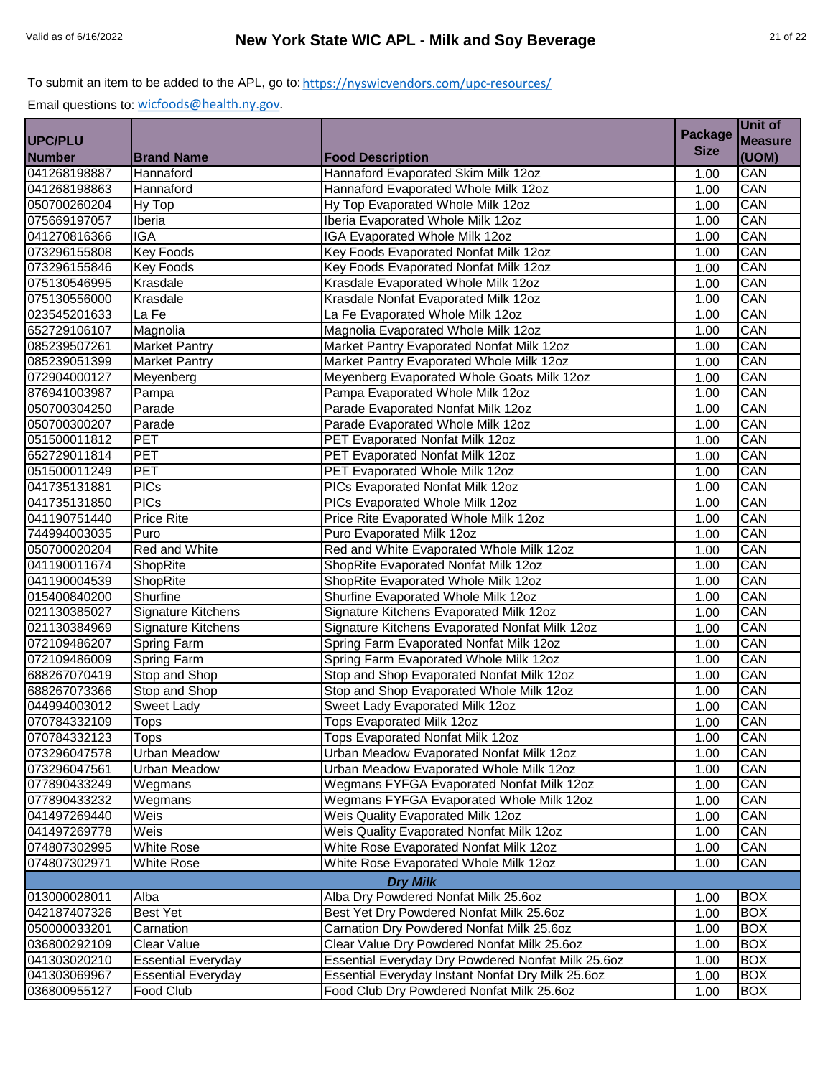|                |                           |                                                    | <b>Package</b> | Unit of        |
|----------------|---------------------------|----------------------------------------------------|----------------|----------------|
| <b>UPC/PLU</b> |                           |                                                    |                | <b>Measure</b> |
| <b>Number</b>  | <b>Brand Name</b>         | <b>Food Description</b>                            | <b>Size</b>    | (UOM)          |
| 041268198887   | Hannaford                 | Hannaford Evaporated Skim Milk 12oz                | 1.00           | CAN            |
| 041268198863   | Hannaford                 | Hannaford Evaporated Whole Milk 12oz               | 1.00           | CAN            |
| 050700260204   | Hy Top                    | Hy Top Evaporated Whole Milk 12oz                  | 1.00           | CAN            |
| 075669197057   | Iberia                    | Iberia Evaporated Whole Milk 12oz                  | 1.00           | CAN            |
| 041270816366   | <b>IGA</b>                | IGA Evaporated Whole Milk 12oz                     | 1.00           | CAN            |
| 073296155808   | <b>Key Foods</b>          | Kev Foods Evaporated Nonfat Milk 12oz              | 1.00           | CAN            |
| 073296155846   | <b>Key Foods</b>          | Key Foods Evaporated Nonfat Milk 12oz              | 1.00           | CAN            |
| 075130546995   | Krasdale                  | Krasdale Evaporated Whole Milk 12oz                | 1.00           | CAN            |
| 075130556000   | Krasdale                  | Krasdale Nonfat Evaporated Milk 12oz               | 1.00           | CAN            |
| 023545201633   | La Fe                     | La Fe Evaporated Whole Milk 12oz                   | 1.00           | CAN            |
| 652729106107   | Magnolia                  | Magnolia Evaporated Whole Milk 12oz                | 1.00           | CAN            |
| 085239507261   | Market Pantry             | Market Pantry Evaporated Nonfat Milk 12oz          | 1.00           | CAN            |
| 085239051399   | <b>Market Pantry</b>      | Market Pantry Evaporated Whole Milk 12oz           | 1.00           | CAN            |
| 072904000127   | Meyenberg                 | Meyenberg Evaporated Whole Goats Milk 12oz         | 1.00           | CAN            |
| 876941003987   | Pampa                     | Pampa Evaporated Whole Milk 12oz                   | 1.00           | CAN            |
| 050700304250   | Parade                    | Parade Evaporated Nonfat Milk 12oz                 | 1.00           | CAN            |
| 050700300207   | Parade                    | Parade Evaporated Whole Milk 12oz                  | 1.00           | CAN            |
| 051500011812   | <b>PET</b>                | PET Evaporated Nonfat Milk 12oz                    | 1.00           | CAN            |
| 652729011814   | <b>PET</b>                | PET Evaporated Nonfat Milk 12oz                    | 1.00           | CAN            |
| 051500011249   | <b>PET</b>                | PET Evaporated Whole Milk 12oz                     | 1.00           | CAN            |
| 041735131881   | <b>PICs</b>               | PICs Evaporated Nonfat Milk 12oz                   | 1.00           | CAN            |
| 041735131850   | <b>PICs</b>               | PICs Evaporated Whole Milk 12oz                    | 1.00           | CAN            |
| 041190751440   | <b>Price Rite</b>         | Price Rite Evaporated Whole Milk 12oz              | 1.00           | CAN            |
| 744994003035   | Puro                      | Puro Evaporated Milk 12oz                          | 1.00           | CAN            |
| 050700020204   | Red and White             | Red and White Evaporated Whole Milk 12oz           | 1.00           | CAN            |
| 041190011674   | ShopRite                  | ShopRite Evaporated Nonfat Milk 12oz               | 1.00           | CAN            |
| 041190004539   | <b>ShopRite</b>           | ShopRite Evaporated Whole Milk 12oz                | 1.00           | CAN            |
| 015400840200   | Shurfine                  | Shurfine Evaporated Whole Milk 12oz                | 1.00           | CAN            |
| 021130385027   | <b>Signature Kitchens</b> | Signature Kitchens Evaporated Milk 12oz            | 1.00           | CAN            |
| 021130384969   | <b>Signature Kitchens</b> | Signature Kitchens Evaporated Nonfat Milk 12oz     | 1.00           | CAN            |
| 072109486207   | Spring Farm               | Spring Farm Evaporated Nonfat Milk 12oz            | 1.00           | CAN            |
| 072109486009   | Spring Farm               | Spring Farm Evaporated Whole Milk 12oz             | 1.00           | CAN            |
| 688267070419   | Stop and Shop             | Stop and Shop Evaporated Nonfat Milk 12oz          | 1.00           | CAN            |
| 688267073366   | Stop and Shop             | Stop and Shop Evaporated Whole Milk 12oz           | 1.00           | CAN            |
| 044994003012   | Sweet Lady                | Sweet Lady Evaporated Milk 12oz                    | 1.00           | CAN            |
| 070784332109   | <b>Tops</b>               | <b>Tops Evaporated Milk 12oz</b>                   | 1.00           | CAN            |
| 070784332123   | <b>Tops</b>               | <b>Tops Evaporated Nonfat Milk 12oz</b>            | 1.00           | CAN            |
| 073296047578   | Urban Meadow              | Urban Meadow Evaporated Nonfat Milk 12oz           | 1.00           | CAN            |
| 073296047561   | Urban Meadow              | Urban Meadow Evaporated Whole Milk 12oz            | 1.00           | CAN            |
| 077890433249   | Wegmans                   | Wegmans FYFGA Evaporated Nonfat Milk 12oz          | 1.00           | CAN            |
| 077890433232   | Wegmans                   | Wegmans FYFGA Evaporated Whole Milk 12oz           | 1.00           | CAN            |
| 041497269440   | Weis                      | Weis Quality Evaporated Milk 12oz                  | 1.00           | CAN            |
| 041497269778   | Weis                      | Weis Quality Evaporated Nonfat Milk 12oz           | 1.00           | CAN            |
| 074807302995   | White Rose                | White Rose Evaporated Nonfat Milk 12oz             | 1.00           | CAN            |
| 074807302971   | White Rose                | White Rose Evaporated Whole Milk 12oz              | 1.00           | CAN            |
|                |                           | <b>Dry Milk</b>                                    |                |                |
| 013000028011   | Alba                      | Alba Dry Powdered Nonfat Milk 25.6oz               | 1.00           | <b>BOX</b>     |
| 042187407326   | <b>Best Yet</b>           | Best Yet Dry Powdered Nonfat Milk 25.6oz           | 1.00           | <b>BOX</b>     |
| 050000033201   | Carnation                 | Carnation Dry Powdered Nonfat Milk 25.6oz          | 1.00           | <b>BOX</b>     |
| 036800292109   | Clear Value               | Clear Value Dry Powdered Nonfat Milk 25.6oz        | 1.00           | <b>BOX</b>     |
| 041303020210   | <b>Essential Everyday</b> | Essential Everyday Dry Powdered Nonfat Milk 25.6oz | 1.00           | <b>BOX</b>     |
| 041303069967   | <b>Essential Everyday</b> | Essential Everyday Instant Nonfat Dry Milk 25.6oz  | 1.00           | <b>BOX</b>     |
| 036800955127   | Food Club                 | Food Club Dry Powdered Nonfat Milk 25.6oz          | 1.00           | <b>BOX</b>     |